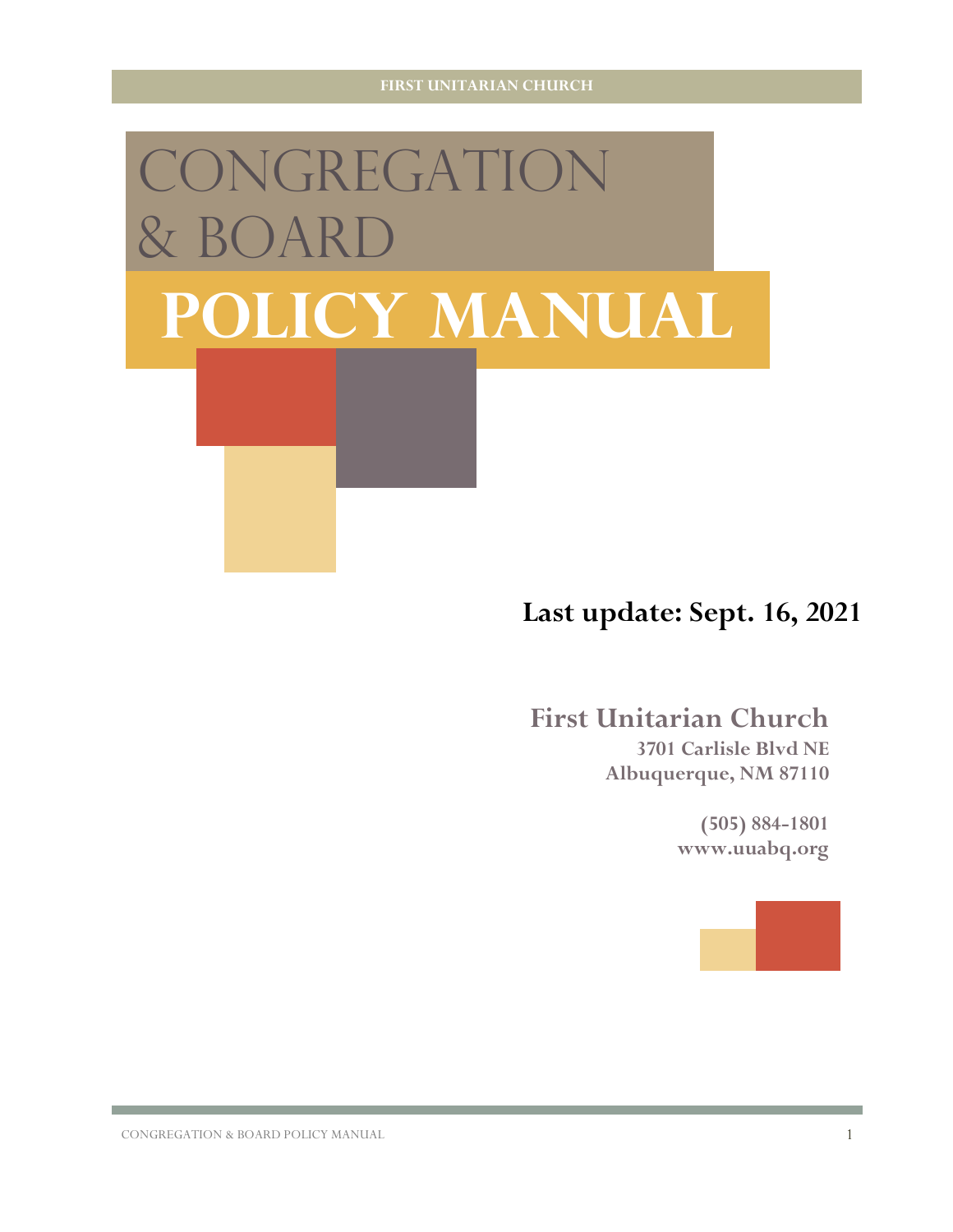# CONGREGATION  $\&$  BOA **Policy Manual**

## **Last update: Sept. 16, 2021**

# **First Unitarian Church 3701 Carlisle Blvd NE**

**Albuquerque, NM 87110**

**(505) 884-1801 www.uuabq.org**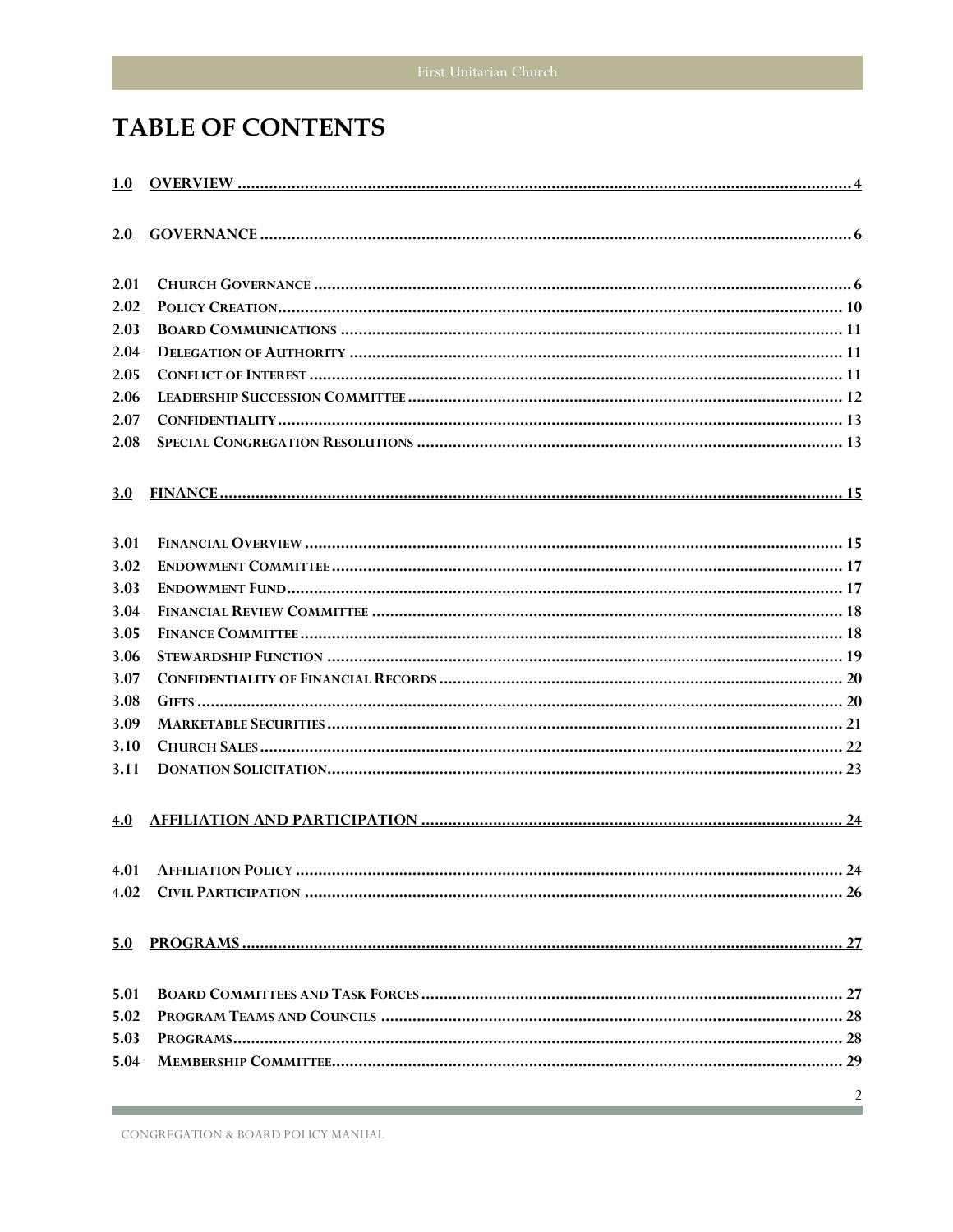## **TABLE OF CONTENTS**

| 1.0        |    |
|------------|----|
| 2.0        |    |
|            |    |
| 2.01       |    |
| 2.02       |    |
| 2.03       |    |
| 2.04       |    |
| 2.05       |    |
| 2.06       |    |
| 2.07       |    |
| 2.08       |    |
| 3.0        |    |
|            |    |
| 3.01       |    |
| 3.02       |    |
| 3.03       |    |
| 3.04       |    |
| 3.05       |    |
| 3.06       |    |
| 3.07       |    |
| 3.08       |    |
| 3.09       |    |
| 3.10       |    |
| 3.11       |    |
| 4.0        |    |
|            | 24 |
|            |    |
| <u>5.0</u> |    |
| 5.01       |    |
| 5.02       |    |
| 5.03       |    |
| 5.04       |    |
|            |    |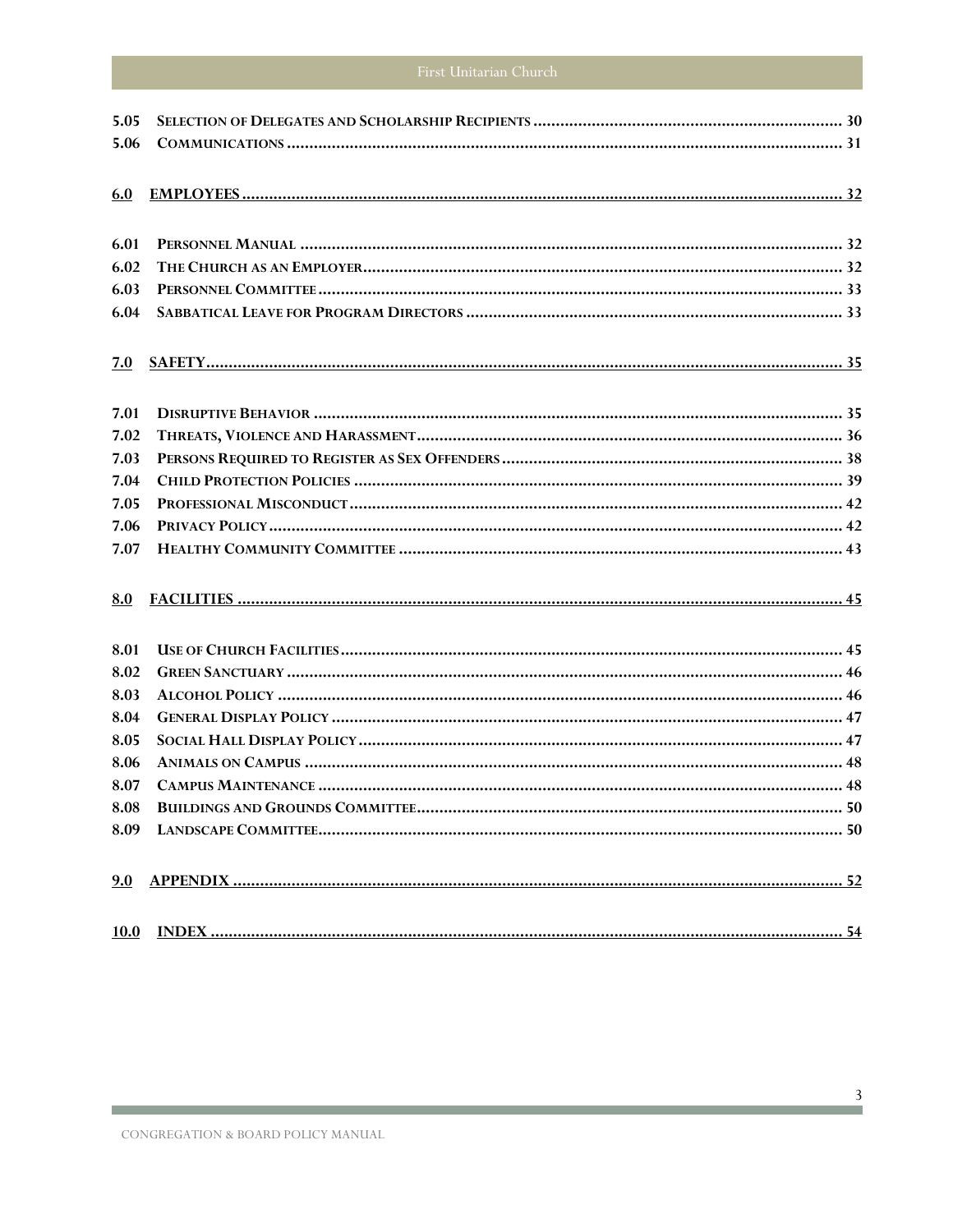the control of the control of the control of the control of the control of

| 5.05 |  |
|------|--|
| 5.06 |  |
| 6.0  |  |
| 6.01 |  |
| 6.02 |  |
| 6.03 |  |
| 6.04 |  |
| 7.0  |  |
| 7.01 |  |
| 7.02 |  |
| 7.03 |  |
| 7.04 |  |
| 7.05 |  |
| 7.06 |  |
| 7.07 |  |
| 8.0  |  |
| 8.01 |  |
| 8.02 |  |
| 8.03 |  |
| 8.04 |  |
| 8.05 |  |
| 8.06 |  |
| 8.07 |  |
| 8.08 |  |
|      |  |
|      |  |
|      |  |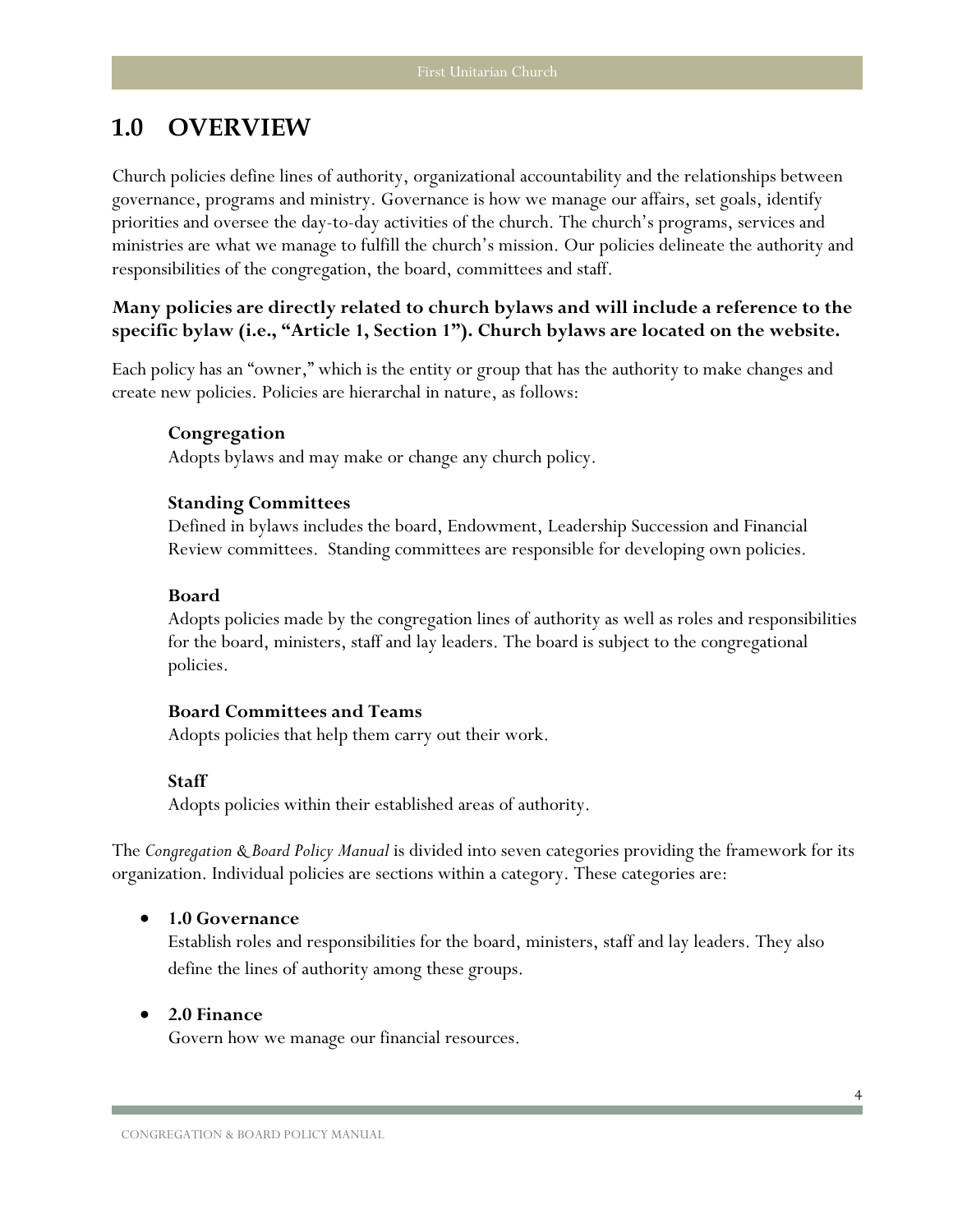## <span id="page-3-0"></span>**1.0 OVERVIEW**

Church policies define lines of authority, organizational accountability and the relationships between governance, programs and ministry. Governance is how we manage our affairs, set goals, identify priorities and oversee the day-to-day activities of the church. The church's programs, services and ministries are what we manage to fulfill the church's mission. Our policies delineate the authority and responsibilities of the congregation, the board, committees and staff.

### **Many policies are directly related to church bylaws and will include a reference to the specific bylaw (i.e., "Article 1, Section 1"). Church bylaws are located on the website.**

Each policy has an "owner," which is the entity or group that has the authority to make changes and create new policies. Policies are hierarchal in nature, as follows:

#### **Congregation**

Adopts bylaws and may make or change any church policy.

#### **Standing Committees**

Defined in bylaws includes the board, Endowment, Leadership Succession and Financial Review committees. Standing committees are responsible for developing own policies.

#### **Board**

Adopts policies made by the congregation lines of authority as well as roles and responsibilities for the board, ministers, staff and lay leaders. The board is subject to the congregational policies.

#### **Board Committees and Teams**

Adopts policies that help them carry out their work.

#### **Staff**

Adopts policies within their established areas of authority.

The *Congregation & Board Policy Manual* is divided into seven categories providing the framework for its organization. Individual policies are sections within a category. These categories are:

#### • **[1.0 Governance](#page-7-2)**

Establish roles and responsibilities for the board, ministers, staff and lay leaders. They also define the lines of authority among these groups.

#### • **[2.0 Finance](#page-16-0)**

Govern how we manage our financial resources.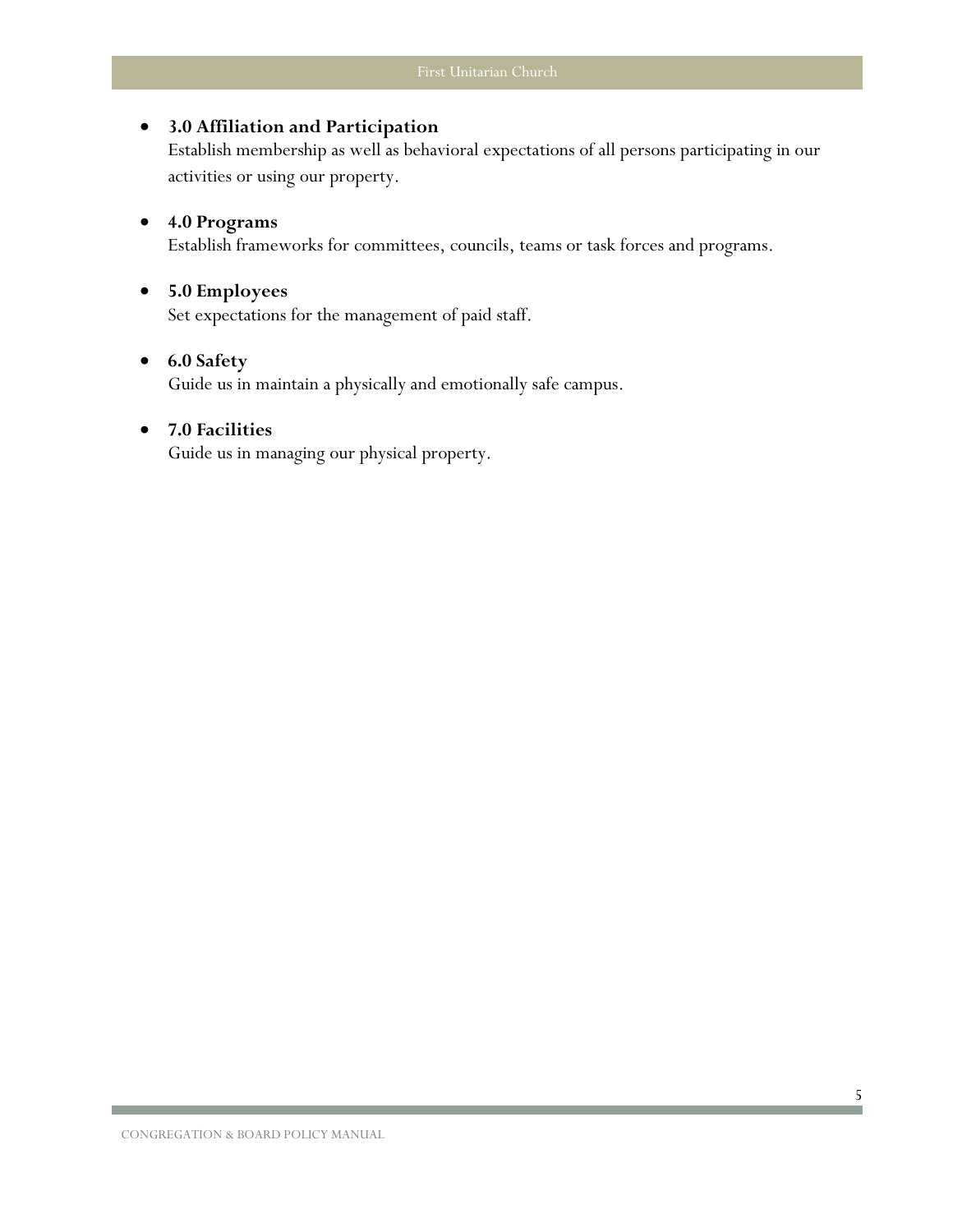#### • **[3.0 Affiliation and Participation](#page-25-0)**

Establish membership as well as behavioral expectations of all persons participating in our activities or using our property.

## <span id="page-4-0"></span>• **[4.0 Programs](#page-4-0)**

Establish frameworks for committees, councils, teams or task forces and programs.

#### • **5.0 Employees**

Set expectations for the management of paid staff.

#### • **[6.0 Safety](#page-36-0)**

Guide us in maintain a physically and emotionally safe campus.

#### • **[7.0 Facilities](#page-45-0)**

Guide us in managing our physical property.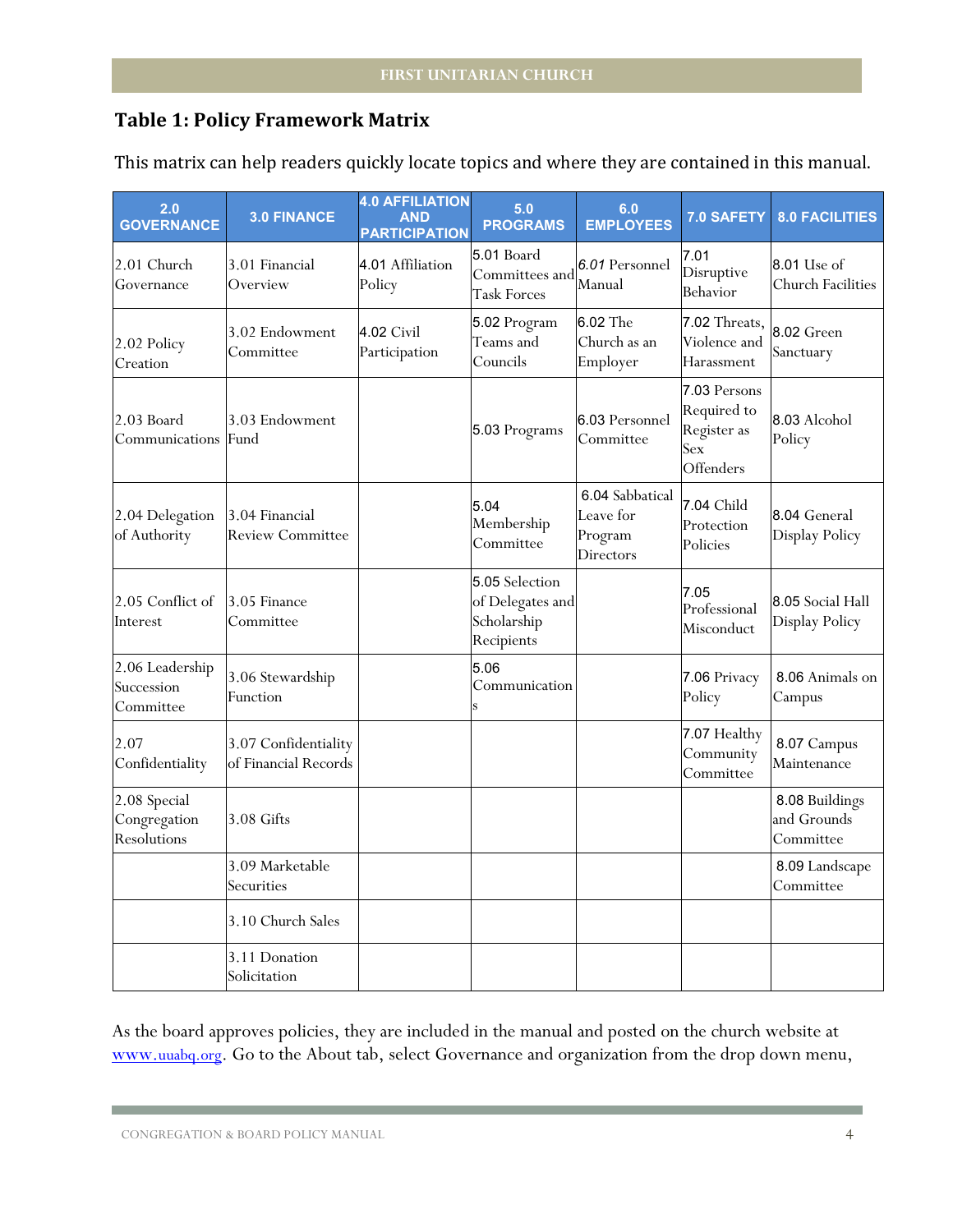## **Table 1: Policy Framework Matrix**

| 2.0<br><b>GOVERNANCE</b>                    | <b>3.0 FINANCE</b>                           | <b>4.0 AFFILIATION</b><br><b>AND</b><br><b>PARTICIPATION</b> | 5.0<br><b>PROGRAMS</b>                                          | 6.0<br><b>EMPLOYEES</b>                                     | <b>7.0 SAFETY</b>                                              | <b>8.0 FACILITIES</b>                          |
|---------------------------------------------|----------------------------------------------|--------------------------------------------------------------|-----------------------------------------------------------------|-------------------------------------------------------------|----------------------------------------------------------------|------------------------------------------------|
| 2.01 Church<br>Governance                   | 3.01 Financial<br>Overview                   | 4.01 Affiliation<br>Policy                                   | <b>5.01 Board</b><br>Committees and<br><b>Task Forces</b>       | 6.01 Personnel<br>Manual                                    | 7.01<br>Disruptive<br>Behavior                                 | <b>8.01 Use of</b><br><b>Church Facilities</b> |
| 2.02 Policy<br>Creation                     | 3.02 Endowment<br>Committee                  | 4.02 Civil<br>Participation                                  | 5.02 Program<br>Teams and<br>Councils                           | 6.02 The<br>Church as an<br>Employer                        | 7.02 Threats,<br>Violence and<br>Harassment                    | 8.02 Green<br>Sanctuary                        |
| 2.03 Board<br>Communications                | 3.03 Endowment<br>Fund                       |                                                              | 5.03 Programs                                                   | 6.03 Personnel<br>Committee                                 | 7.03 Persons<br>Required to<br>Register as<br>Sex<br>Offenders | 8.03 Alcohol<br>Policy                         |
| 2.04 Delegation<br>of Authority             | 3.04 Financial<br><b>Review Committee</b>    |                                                              | 5.04<br>Membership<br>Committee                                 | 6.04 Sabbatical<br>Leave for<br>Program<br><b>Directors</b> | 7.04 Child<br>Protection<br>Policies                           | 8.04 General<br>Display Policy                 |
| 2.05 Conflict of<br>Interest                | 3.05 Finance<br>Committee                    |                                                              | 5.05 Selection<br>of Delegates and<br>Scholarship<br>Recipients |                                                             | 7.05<br>Professional<br>Misconduct                             | 8.05 Social Hall<br>Display Policy             |
| 2.06 Leadership<br>Succession<br>Committee  | 3.06 Stewardship<br>Function                 |                                                              | 5.06<br>Communication                                           |                                                             | 7.06 Privacy<br>Policy                                         | 8.06 Animals on<br>Campus                      |
| 2.07<br>Confidentiality                     | 3.07 Confidentiality<br>of Financial Records |                                                              |                                                                 |                                                             | 7.07 Healthy<br>Community<br>Committee                         | 8.07 Campus<br>Maintenance                     |
| 2.08 Special<br>Congregation<br>Resolutions | $3.08$ Gifts                                 |                                                              |                                                                 |                                                             |                                                                | 8.08 Buildings<br>and Grounds<br>Committee     |
|                                             | 3.09 Marketable<br>Securities                |                                                              |                                                                 |                                                             |                                                                | 8.09 Landscape<br>Committee                    |
|                                             | 3.10 Church Sales                            |                                                              |                                                                 |                                                             |                                                                |                                                |
|                                             | 3.11 Donation<br>Solicitation                |                                                              |                                                                 |                                                             |                                                                |                                                |

This matrix can help readers quickly locate topics and where they are contained in this manual.

As the board approves policies, they are included in the manual and posted on the church website at [www.uuabq.org.](http://www.uuabq.org/) Go to the About tab, select Governance and organization from the drop down menu,

CONGREGATION & BOARD POLICY MANUAL 4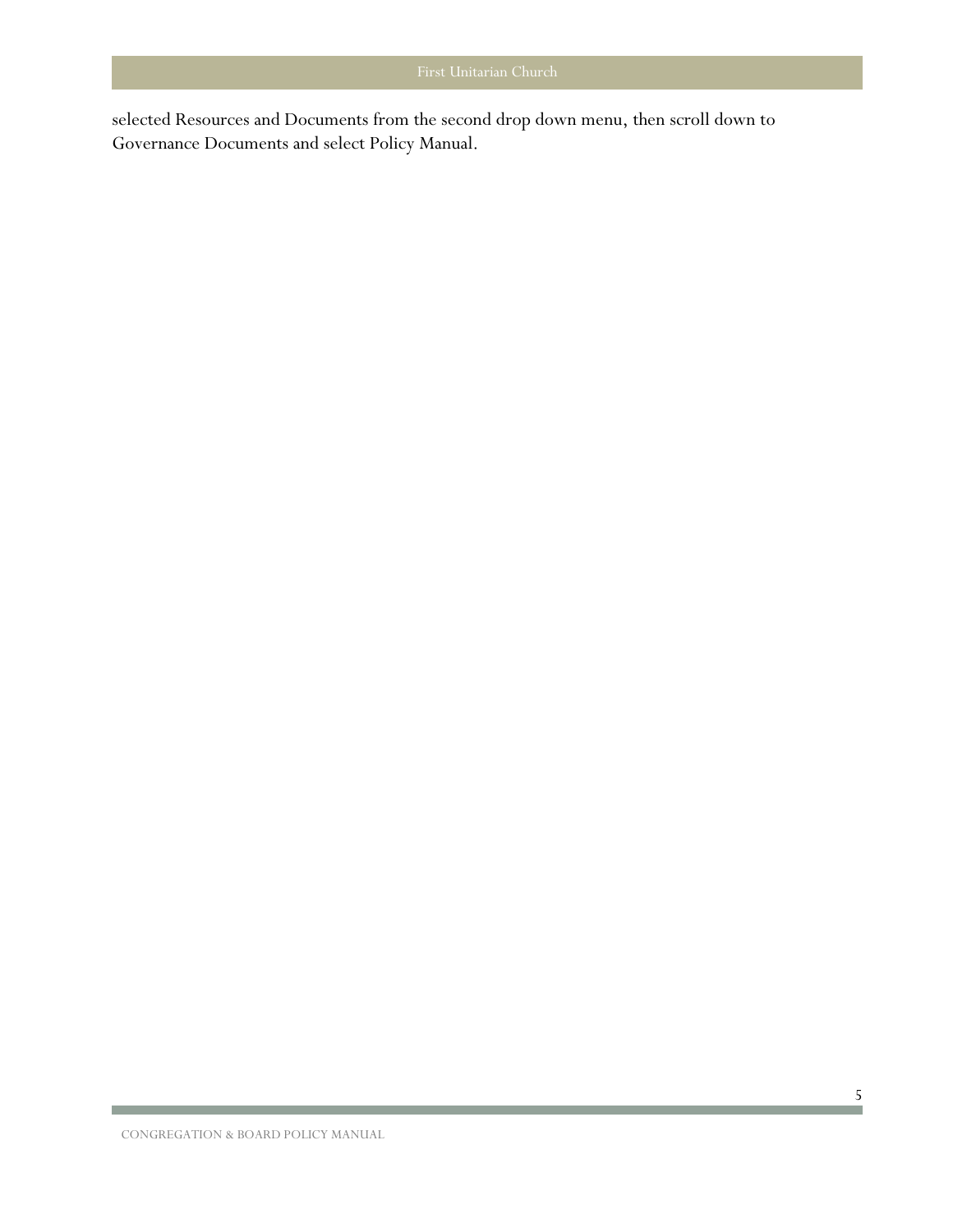selected Resources and Documents from the second drop down menu, then scroll down to Governance Documents and select Policy Manual.

**The Committee of the Committee**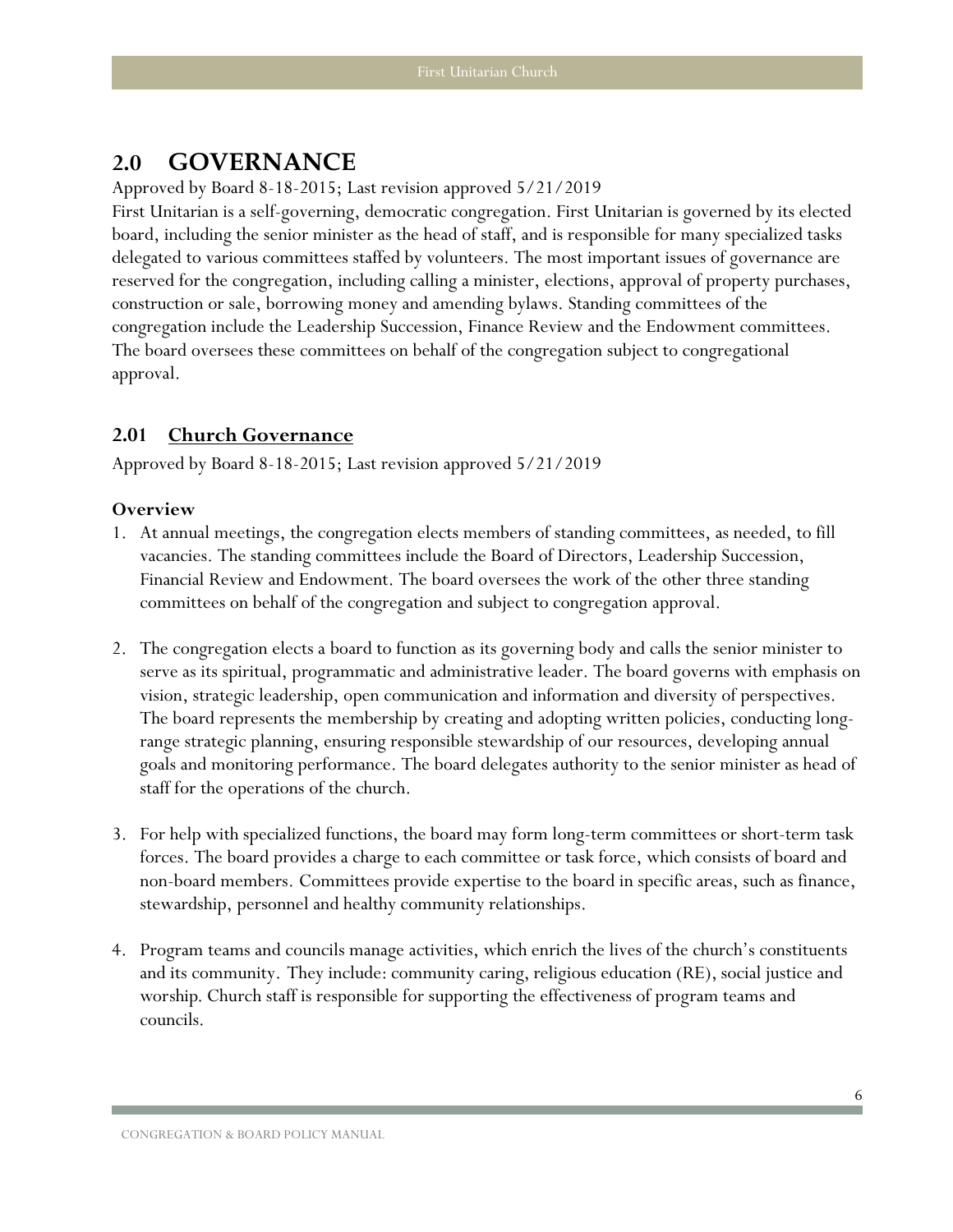## <span id="page-7-2"></span><span id="page-7-0"></span>**2.0 GOVERNANCE**

Approved by Board 8-18-2015; Last revision approved 5/21/2019

First Unitarian is a self-governing, democratic congregation. First Unitarian is governed by its elected board, including the senior minister as the head of staff, and is responsible for many specialized tasks delegated to various committees staffed by volunteers. The most important issues of governance are reserved for the congregation, including calling a minister, elections, approval of property purchases, construction or sale, borrowing money and amending bylaws. Standing committees of the congregation include the Leadership Succession, Finance Review and the Endowment committees. The board oversees these committees on behalf of the congregation subject to congregational approval.

## <span id="page-7-1"></span>**2.01 Church Governance**

Approved by Board 8-18-2015; Last revision approved 5/21/2019

#### **Overview**

- 1. At annual meetings, the congregation elects members of standing committees, as needed, to fill vacancies. The standing committees include the Board of Directors, Leadership Succession, Financial Review and Endowment. The board oversees the work of the other three standing committees on behalf of the congregation and subject to congregation approval.
- 2. The congregation elects a board to function as its governing body and calls the senior minister to serve as its spiritual, programmatic and administrative leader. The board governs with emphasis on vision, strategic leadership, open communication and information and diversity of perspectives. The board represents the membership by creating and adopting written policies, conducting longrange strategic planning, ensuring responsible stewardship of our resources, developing annual goals and monitoring performance. The board delegates authority to the senior minister as head of staff for the operations of the church.
- 3. For help with specialized functions, the board may form long-term committees or short-term task forces. The board provides a charge to each committee or task force, which consists of board and non-board members. Committees provide expertise to the board in specific areas, such as finance, stewardship, personnel and healthy community relationships.
- 4. Program teams and councils manage activities, which enrich the lives of the church's constituents and its community. They include: community caring, religious education (RE), social justice and worship. Church staff is responsible for supporting the effectiveness of program teams and councils.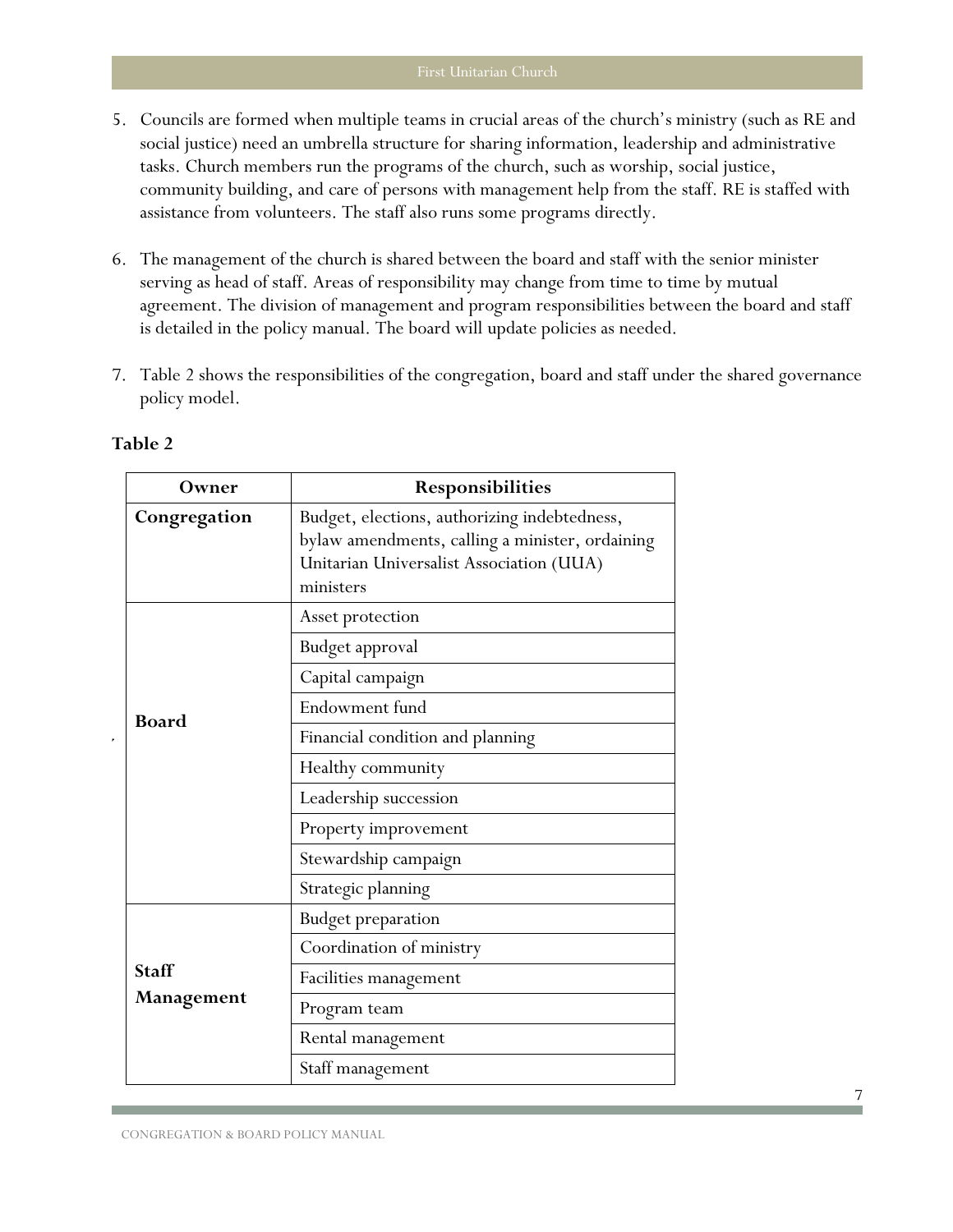- 5. Councils are formed when multiple teams in crucial areas of the church's ministry (such as RE and social justice) need an umbrella structure for sharing information, leadership and administrative tasks. Church members run the programs of the church, such as worship, social justice, community building, and care of persons with management help from the staff. RE is staffed with assistance from volunteers. The staff also runs some programs directly.
- 6. The management of the church is shared between the board and staff with the senior minister serving as head of staff. Areas of responsibility may change from time to time by mutual agreement. The division of management and program responsibilities between the board and staff is detailed in the policy manual. The board will update policies as needed.
- 7. Table 2 shows the responsibilities of the congregation, board and staff under the shared governance policy model.

| Owner        | Responsibilities                                                                                                                                         |  |  |
|--------------|----------------------------------------------------------------------------------------------------------------------------------------------------------|--|--|
| Congregation | Budget, elections, authorizing indebtedness,<br>bylaw amendments, calling a minister, ordaining<br>Unitarian Universalist Association (UUA)<br>ministers |  |  |
|              | Asset protection                                                                                                                                         |  |  |
|              | Budget approval                                                                                                                                          |  |  |
|              | Capital campaign                                                                                                                                         |  |  |
| <b>Board</b> | Endowment fund                                                                                                                                           |  |  |
|              | Financial condition and planning                                                                                                                         |  |  |
|              | Healthy community                                                                                                                                        |  |  |
|              | Leadership succession                                                                                                                                    |  |  |
|              | Property improvement                                                                                                                                     |  |  |
|              | Stewardship campaign                                                                                                                                     |  |  |
|              | Strategic planning                                                                                                                                       |  |  |
|              | <b>Budget preparation</b>                                                                                                                                |  |  |
|              | Coordination of ministry                                                                                                                                 |  |  |
| <b>Staff</b> | Facilities management                                                                                                                                    |  |  |
| Management   | Program team                                                                                                                                             |  |  |
|              | Rental management                                                                                                                                        |  |  |
|              | Staff management                                                                                                                                         |  |  |

#### **Table 2**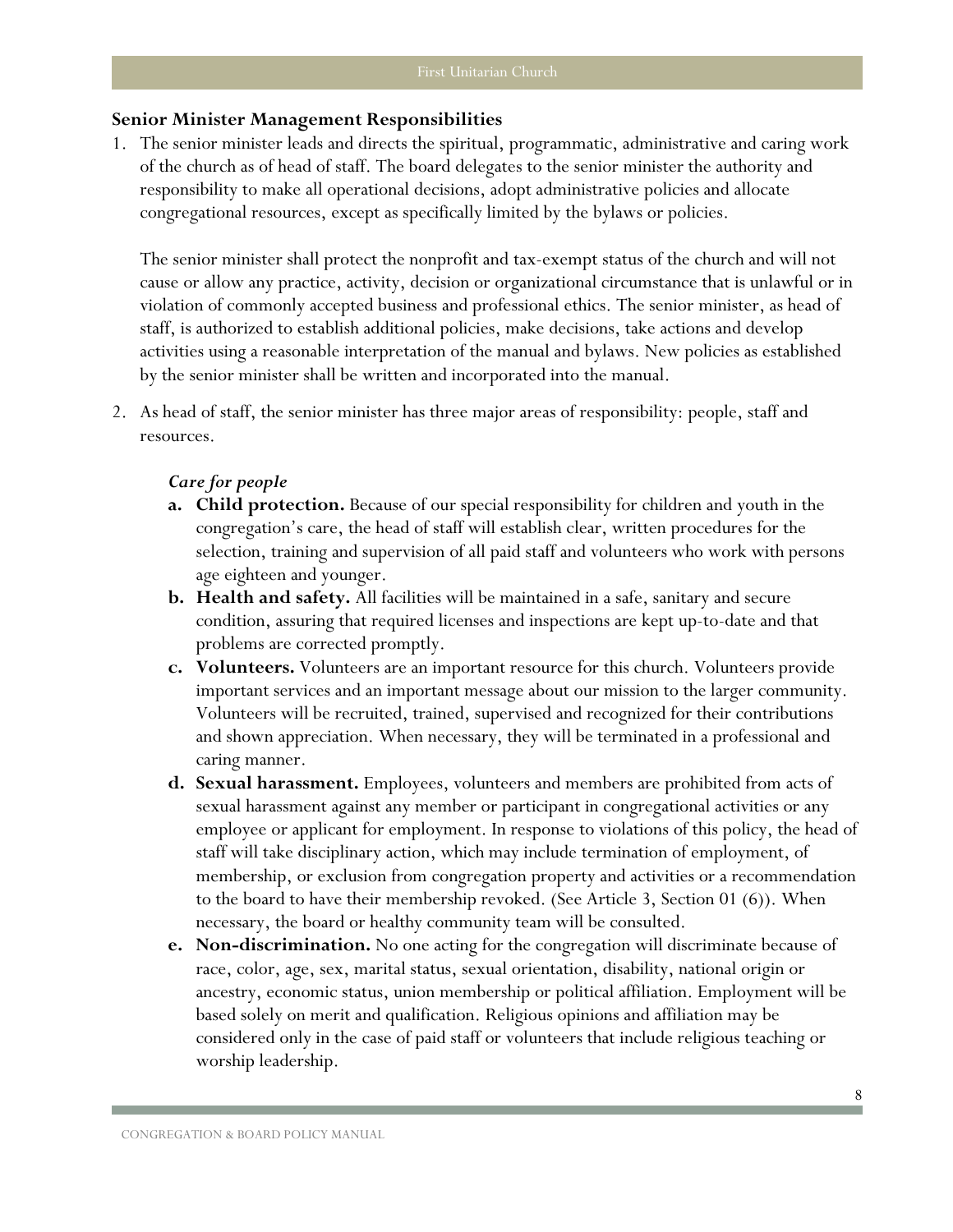#### **Senior Minister Management Responsibilities**

1. The senior minister leads and directs the spiritual, programmatic, administrative and caring work of the church as of head of staff. The board delegates to the senior minister the authority and responsibility to make all operational decisions, adopt administrative policies and allocate congregational resources, except as specifically limited by the bylaws or policies.

The senior minister shall protect the nonprofit and tax-exempt status of the church and will not cause or allow any practice, activity, decision or organizational circumstance that is unlawful or in violation of commonly accepted business and professional ethics. The senior minister, as head of staff, is authorized to establish additional policies, make decisions, take actions and develop activities using a reasonable interpretation of the manual and bylaws. New policies as established by the senior minister shall be written and incorporated into the manual.

2. As head of staff, the senior minister has three major areas of responsibility: people, staff and resources.

#### *Care for people*

- **a. Child protection.** Because of our special responsibility for children and youth in the congregation's care, the head of staff will establish clear, written procedures for the selection, training and supervision of all paid staff and volunteers who work with persons age eighteen and younger.
- **b. Health and safety.** All facilities will be maintained in a safe, sanitary and secure condition, assuring that required licenses and inspections are kept up-to-date and that problems are corrected promptly.
- **c. Volunteers.** Volunteers are an important resource for this church. Volunteers provide important services and an important message about our mission to the larger community. Volunteers will be recruited, trained, supervised and recognized for their contributions and shown appreciation. When necessary, they will be terminated in a professional and caring manner.
- **d. Sexual harassment.** Employees, volunteers and members are prohibited from acts of sexual harassment against any member or participant in congregational activities or any employee or applicant for employment. In response to violations of this policy, the head of staff will take disciplinary action, which may include termination of employment, of membership, or exclusion from congregation property and activities or a recommendation to the board to have their membership revoked. (See Article 3, Section 01 (6)). When necessary, the board or healthy community team will be consulted.
- **e. Non-discrimination.** No one acting for the congregation will discriminate because of race, color, age, sex, marital status, sexual orientation, disability, national origin or ancestry, economic status, union membership or political affiliation. Employment will be based solely on merit and qualification. Religious opinions and affiliation may be considered only in the case of paid staff or volunteers that include religious teaching or worship leadership.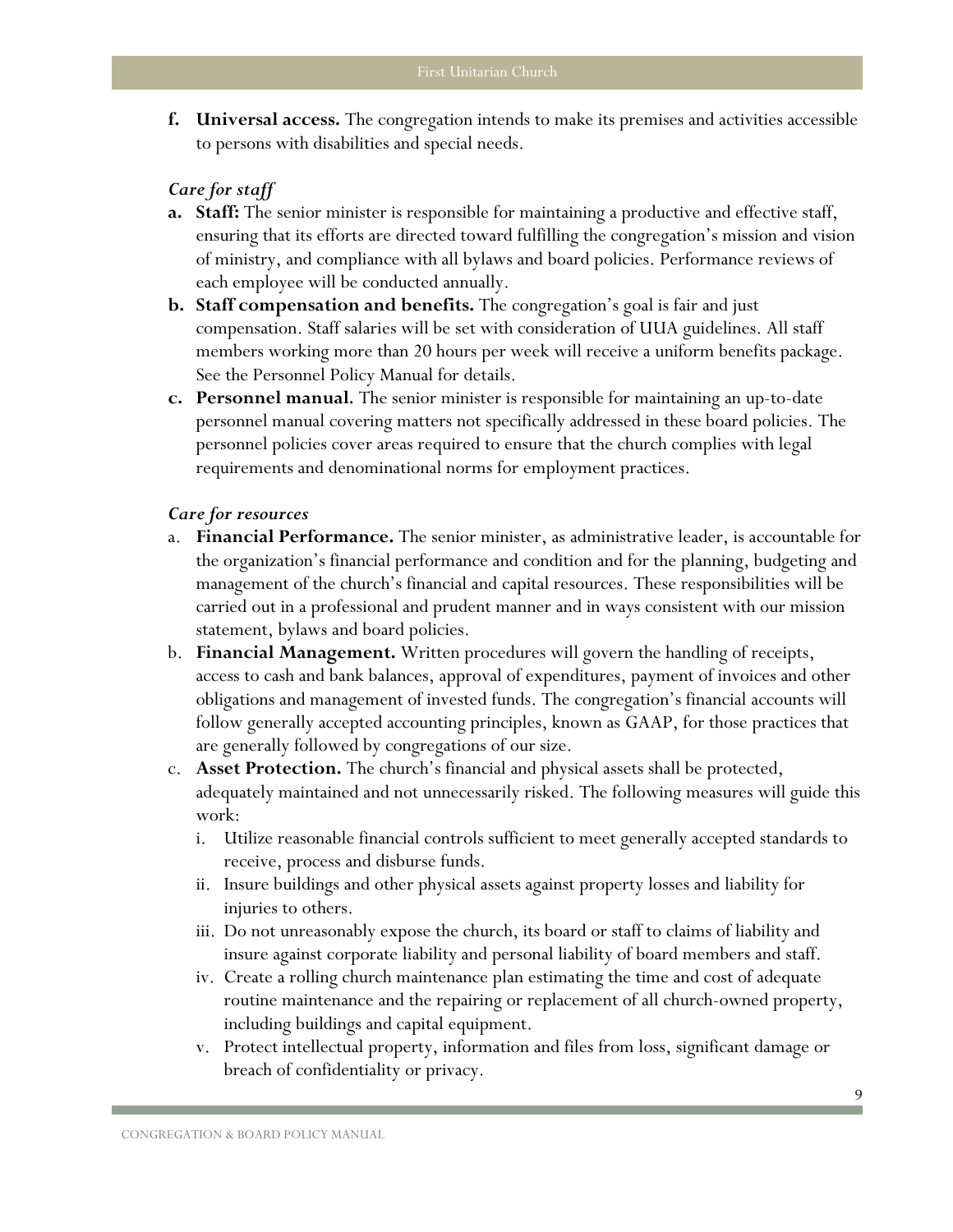**f. Universal access.** The congregation intends to make its premises and activities accessible to persons with disabilities and special needs.

#### *Care for staff*

- **a. Staff:** The senior minister is responsible for maintaining a productive and effective staff, ensuring that its efforts are directed toward fulfilling the congregation's mission and vision of ministry, and compliance with all bylaws and board policies. Performance reviews of each employee will be conducted annually.
- **b. Staff compensation and benefits.** The congregation's goal is fair and just compensation. Staff salaries will be set with consideration of UUA guidelines. All staff members working more than 20 hours per week will receive a uniform benefits package. See the Personnel Policy Manual for details.
- **c. Personnel manual***.* The senior minister is responsible for maintaining an up-to-date personnel manual covering matters not specifically addressed in these board policies. The personnel policies cover areas required to ensure that the church complies with legal requirements and denominational norms for employment practices.

#### *Care for resources*

- a. **Financial Performance.** The senior minister, as administrative leader, is accountable for the organization's financial performance and condition and for the planning, budgeting and management of the church's financial and capital resources. These responsibilities will be carried out in a professional and prudent manner and in ways consistent with our mission statement, bylaws and board policies.
- b. **Financial Management.** Written procedures will govern the handling of receipts, access to cash and bank balances, approval of expenditures, payment of invoices and other obligations and management of invested funds. The congregation's financial accounts will follow generally accepted accounting principles, known as GAAP, for those practices that are generally followed by congregations of our size.
- c. **Asset Protection.** The church's financial and physical assets shall be protected, adequately maintained and not unnecessarily risked. The following measures will guide this work:
	- i. Utilize reasonable financial controls sufficient to meet generally accepted standards to receive, process and disburse funds.
	- ii. Insure buildings and other physical assets against property losses and liability for injuries to others.
	- iii. Do not unreasonably expose the church, its board or staff to claims of liability and insure against corporate liability and personal liability of board members and staff.
	- iv. Create a rolling church maintenance plan estimating the time and cost of adequate routine maintenance and the repairing or replacement of all church-owned property, including buildings and capital equipment.
	- v. Protect intellectual property, information and files from loss, significant damage or breach of confidentiality or privacy.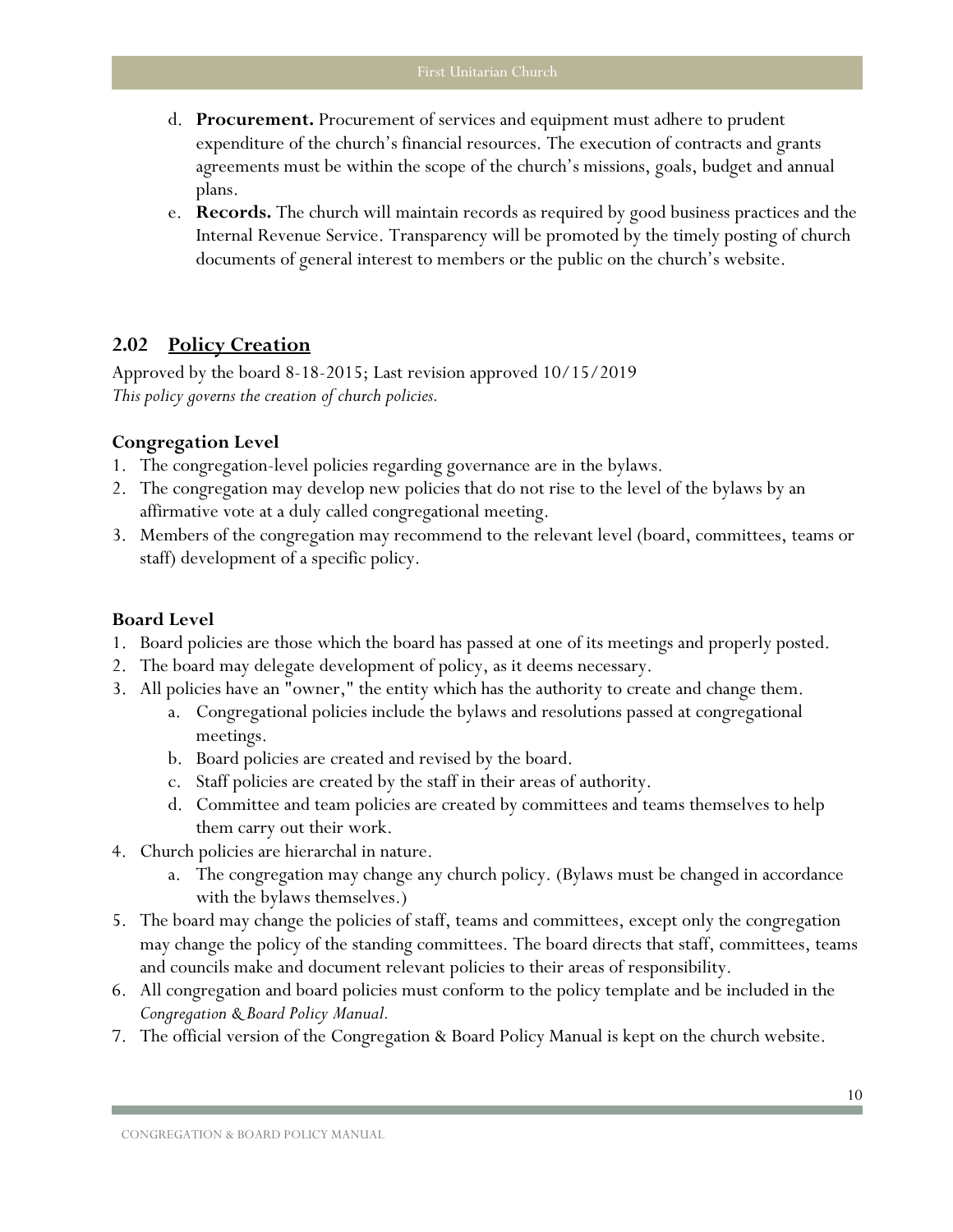- d. **Procurement.** Procurement of services and equipment must adhere to prudent expenditure of the church's financial resources. The execution of contracts and grants agreements must be within the scope of the church's missions, goals, budget and annual plans.
- e. **Records.** The church will maintain records as required by good business practices and the Internal Revenue Service. Transparency will be promoted by the timely posting of church documents of general interest to members or the public on the church's website.

## <span id="page-11-0"></span>**2.02 Policy Creation**

Approved by the board 8-18-2015; Last revision approved 10/15/2019 *This policy governs the creation of church policies.*

## **Congregation Level**

- 1. The congregation-level policies regarding governance are in the bylaws.
- 2. The congregation may develop new policies that do not rise to the level of the bylaws by an affirmative vote at a duly called congregational meeting.
- 3. Members of the congregation may recommend to the relevant level (board, committees, teams or staff) development of a specific policy.

- 1. Board policies are those which the board has passed at one of its meetings and properly posted.
- 2. The board may delegate development of policy, as it deems necessary.
- 3. All policies have an "owner," the entity which has the authority to create and change them.
	- a. Congregational policies include the bylaws and resolutions passed at congregational meetings.
	- b. Board policies are created and revised by the board.
	- c. Staff policies are created by the staff in their areas of authority.
	- d. Committee and team policies are created by committees and teams themselves to help them carry out their work.
- 4. Church policies are hierarchal in nature.
	- a. The congregation may change any church policy. (Bylaws must be changed in accordance with the bylaws themselves.)
- 5. The board may change the policies of staff, teams and committees, except only the congregation may change the policy of the standing committees. The board directs that staff, committees, teams and councils make and document relevant policies to their areas of responsibility.
- 6. All congregation and board policies must conform to the policy template and be included in the *Congregation & Board Policy Manual.*
- 7. The official version of the Congregation & Board Policy Manual is kept on the church website.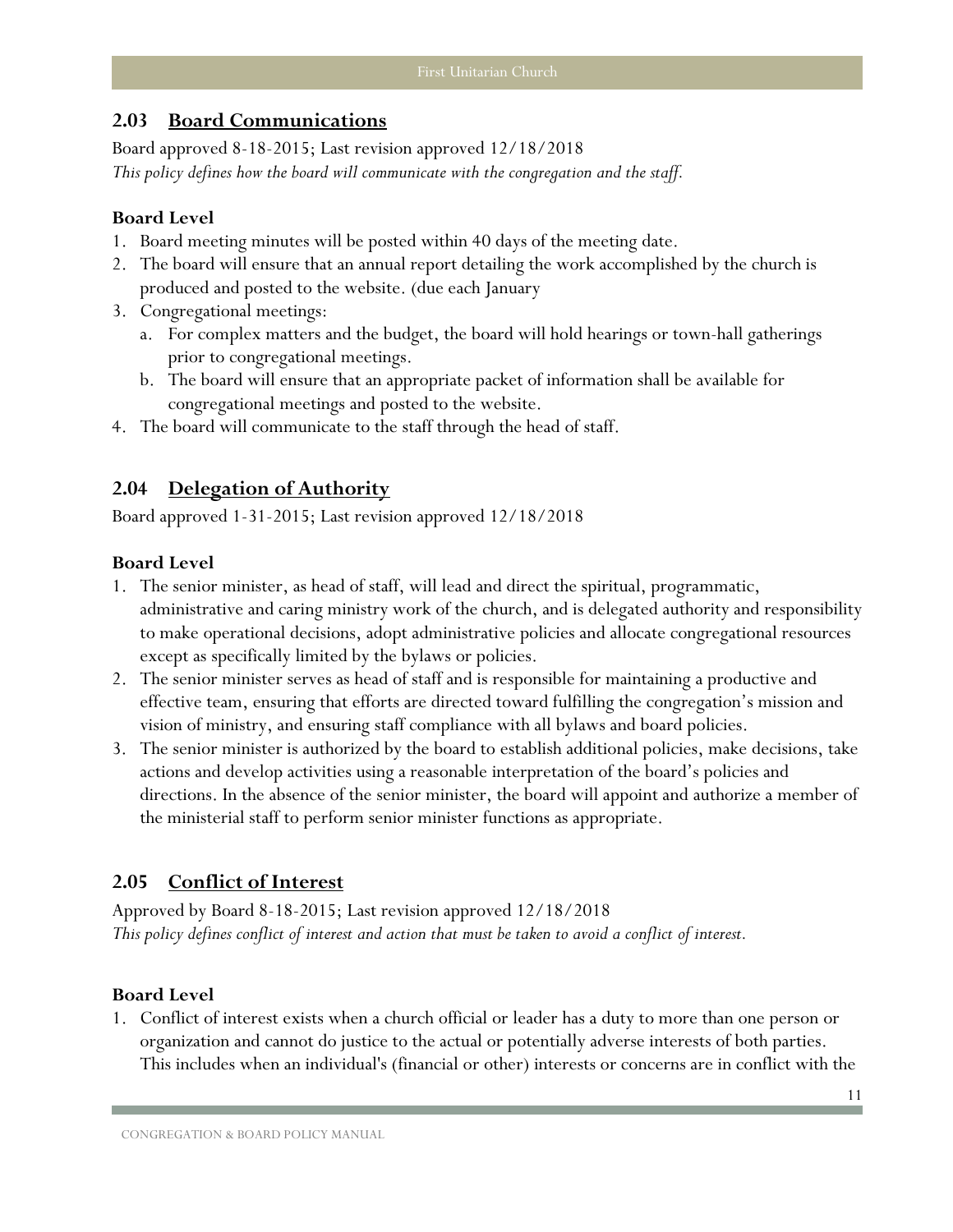## <span id="page-12-0"></span>**2.03 Board [Communications](#page-12-0)**

Board approved 8-18-2015; Last revision approved 12/18/2018 *This policy defines how the board will communicate with the congregation and the staff.*

#### **Board Level**

- 1. Board meeting minutes will be posted within 40 days of the meeting date.
- 2. The board will ensure that an annual report detailing the work accomplished by the church is produced and posted to the website. (due each January
- 3. Congregational meetings:
	- a. For complex matters and the budget, the board will hold hearings or town-hall gatherings prior to congregational meetings.
	- b. The board will ensure that an appropriate packet of information shall be available for congregational meetings and posted to the website.
- 4. The board will communicate to the staff through the head of staff.

## <span id="page-12-1"></span>**2.04 [Delegation of Authority](#page-46-2)**

Board approved 1-31-2015; Last revision approved 12/18/2018

#### **Board Level**

- 1. The senior minister, as head of staff, will lead and direct the spiritual, programmatic, administrative and caring ministry work of the church, and is delegated authority and responsibility to make operational decisions, adopt administrative policies and allocate congregational resources except as specifically limited by the bylaws or policies.
- 2. The senior minister serves as head of staff and is responsible for maintaining a productive and effective team, ensuring that efforts are directed toward fulfilling the congregation's mission and vision of ministry, and ensuring staff compliance with all bylaws and board policies.
- 3. The senior minister is authorized by the board to establish additional policies, make decisions, take actions and develop activities using a reasonable interpretation of the board's policies and directions. In the absence of the senior minister, the board will appoint and authorize a member of the ministerial staff to perform senior minister functions as appropriate.

## <span id="page-12-2"></span>**2.05 Conflict of Interest**

Approved by Board 8-18-2015; Last revision approved 12/18/2018 *This policy defines conflict of interest and action that must be taken to avoid a conflict of interest.*

#### **Board Level**

1. Conflict of interest exists when a church official or leader has a duty to more than one person or organization and cannot do justice to the actual or potentially adverse interests of both parties. This includes when an individual's (financial or other) interests or concerns are in conflict with the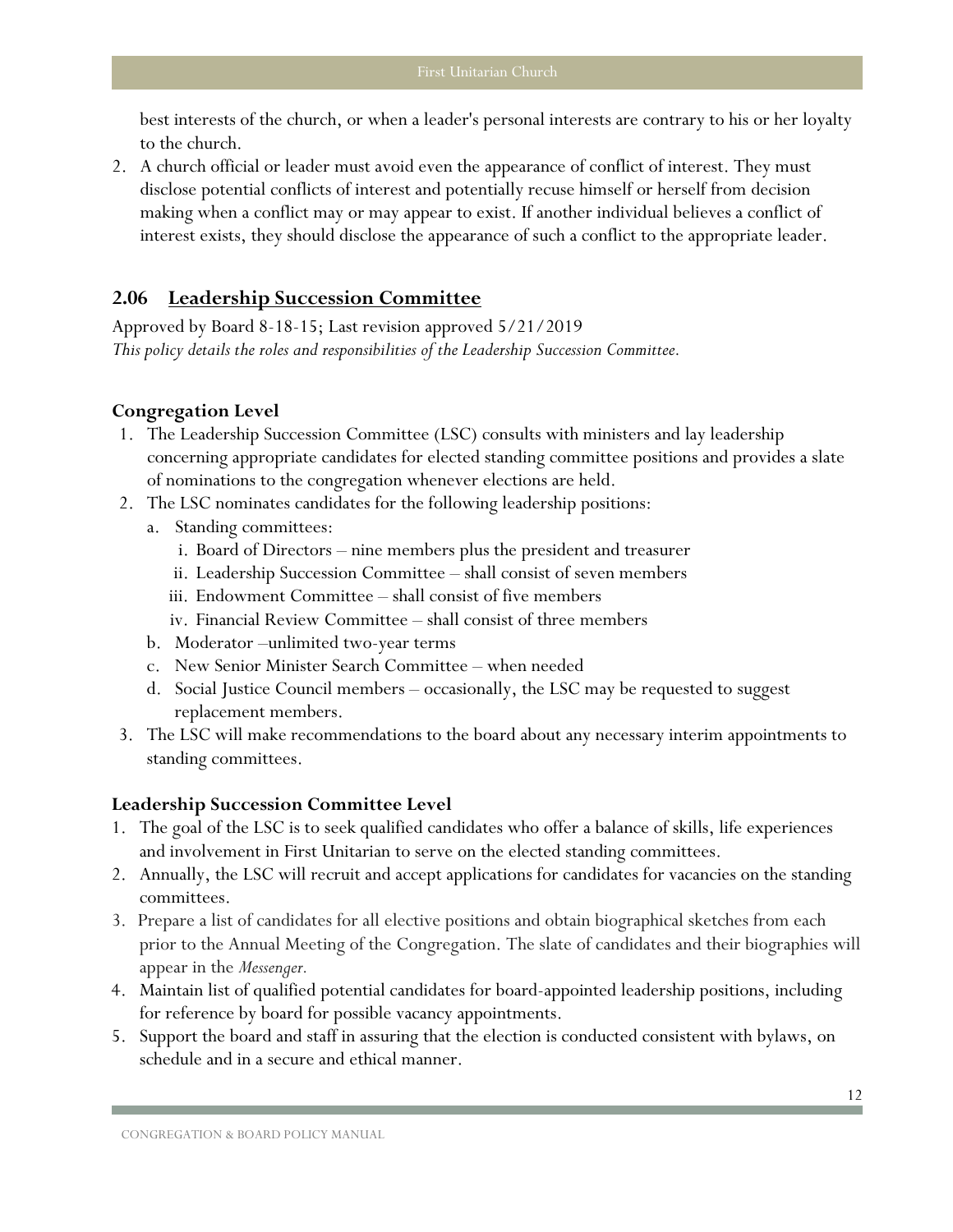best interests of the church, or when a leader's personal interests are contrary to his or her loyalty to the church.

2. A church official or leader must avoid even the appearance of conflict of interest. They must disclose potential conflicts of interest and potentially recuse himself or herself from decision making when a conflict may or may appear to exist. If another individual believes a conflict of interest exists, they should disclose the appearance of such a conflict to the appropriate leader.

### <span id="page-13-0"></span>**2.06 Leadership Succession Committee**

Approved by Board 8-18-15; Last revision approved 5/21/2019 *This policy details the roles and responsibilities of the Leadership Succession Committee.*

#### **Congregation Level**

- 1. The Leadership Succession Committee (LSC) consults with ministers and lay leadership concerning appropriate candidates for elected standing committee positions and provides a slate of nominations to the congregation whenever elections are held.
- 2. The LSC nominates candidates for the following leadership positions:
	- a. Standing committees:
		- i. Board of Directors nine members plus the president and treasurer
		- ii. Leadership Succession Committee shall consist of seven members
		- iii. Endowment Committee shall consist of five members
		- iv. Financial Review Committee shall consist of three members
	- b. Moderator –unlimited two-year terms
	- c. New Senior Minister Search Committee when needed
	- d. Social Justice Council members occasionally, the LSC may be requested to suggest replacement members.
- 3. The LSC will make recommendations to the board about any necessary interim appointments to standing committees.

#### **Leadership Succession Committee Level**

- 1. The goal of the LSC is to seek qualified candidates who offer a balance of skills, life experiences and involvement in First Unitarian to serve on the elected standing committees.
- 2. Annually, the LSC will recruit and accept applications for candidates for vacancies on the standing committees.
- 3. Prepare a list of candidates for all elective positions and obtain biographical sketches from each prior to the Annual Meeting of the Congregation. The slate of candidates and their biographies will appear in the *Messenger.*
- 4. Maintain list of qualified potential candidates for board-appointed leadership positions, including for reference by board for possible vacancy appointments.
- 5. Support the board and staff in assuring that the election is conducted consistent with bylaws, on schedule and in a secure and ethical manner.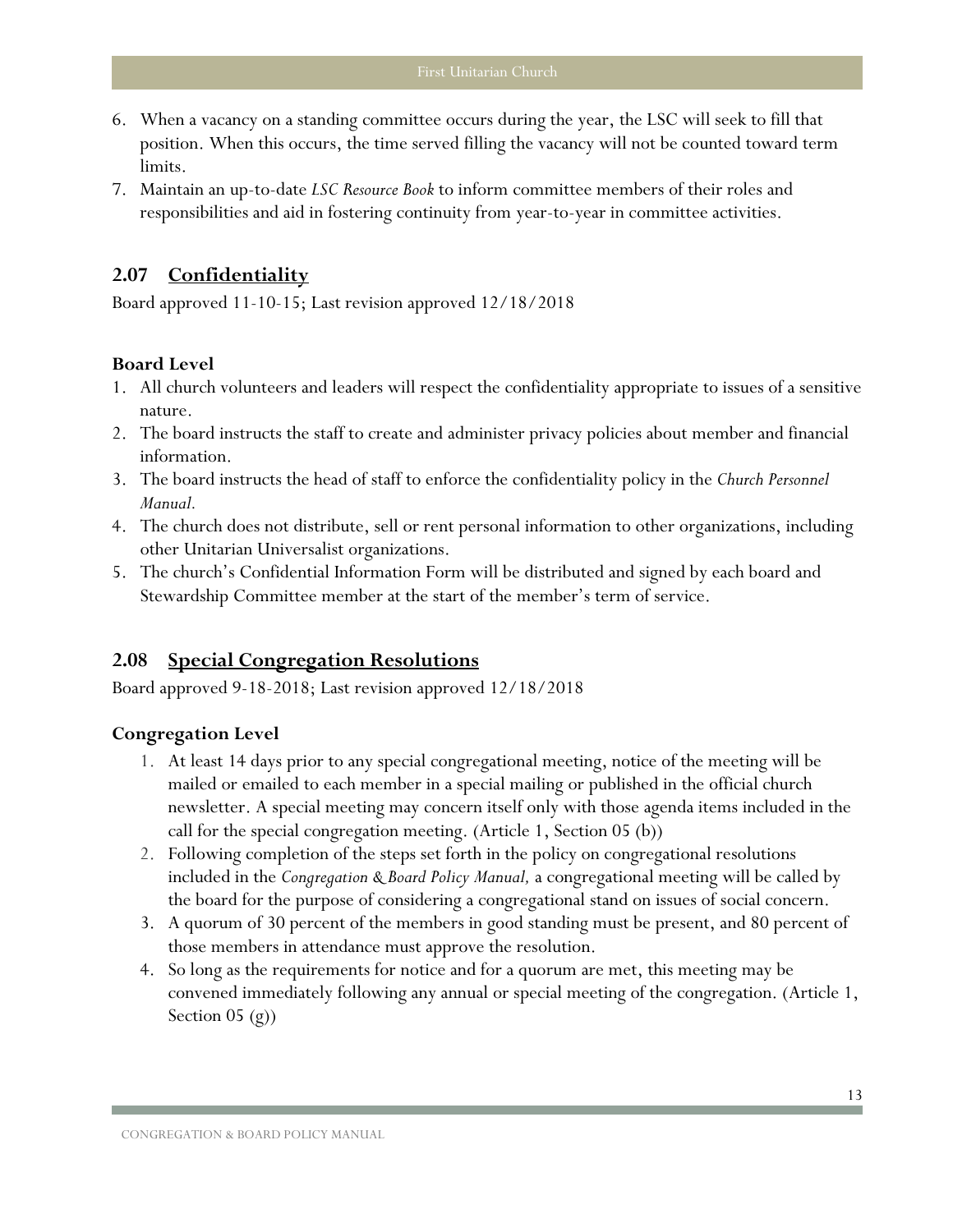- 6. When a vacancy on a standing committee occurs during the year, the LSC will seek to fill that position. When this occurs, the time served filling the vacancy will not be counted toward term limits.
- 7. Maintain an up-to-date *LSC Resource Book* to inform committee members of their roles and responsibilities and aid in fostering continuity from year-to-year in committee activities.

## <span id="page-14-0"></span>**2.07 Confidentiality**

Board approved 11-10-15; Last revision approved 12/18/2018

#### **Board Level**

- 1. All church volunteers and leaders will respect the confidentiality appropriate to issues of a sensitive nature.
- 2. The board instructs the staff to create and administer privacy policies about member and financial information.
- 3. The board instructs the head of staff to enforce the confidentiality policy in the *Church Personnel Manual.*
- 4. The church does not distribute, sell or rent personal information to other organizations, including other Unitarian Universalist organizations.
- 5. The church's Confidential Information Form will be distributed and signed by each board and Stewardship Committee member at the start of the member's term of service.

#### <span id="page-14-1"></span>**2.08 Special Congregation Resolutions**

Board approved 9-18-2018; Last revision approved 12/18/2018

#### **Congregation Level**

- 1. At least 14 days prior to any special congregational meeting, notice of the meeting will be mailed or emailed to each member in a special mailing or published in the official church newsletter. A special meeting may concern itself only with those agenda items included in the call for the special congregation meeting. (Article 1, Section 05 (b))
- 2. Following completion of the steps set forth in the policy on congregational resolutions included in the *Congregation & Board Policy Manual,* a congregational meeting will be called by the board for the purpose of considering a congregational stand on issues of social concern.
- 3. A quorum of 30 percent of the members in good standing must be present, and 80 percent of those members in attendance must approve the resolution.
- 4. So long as the requirements for notice and for a quorum are met, this meeting may be convened immediately following any annual or special meeting of the congregation. (Article 1, Section 05 (g))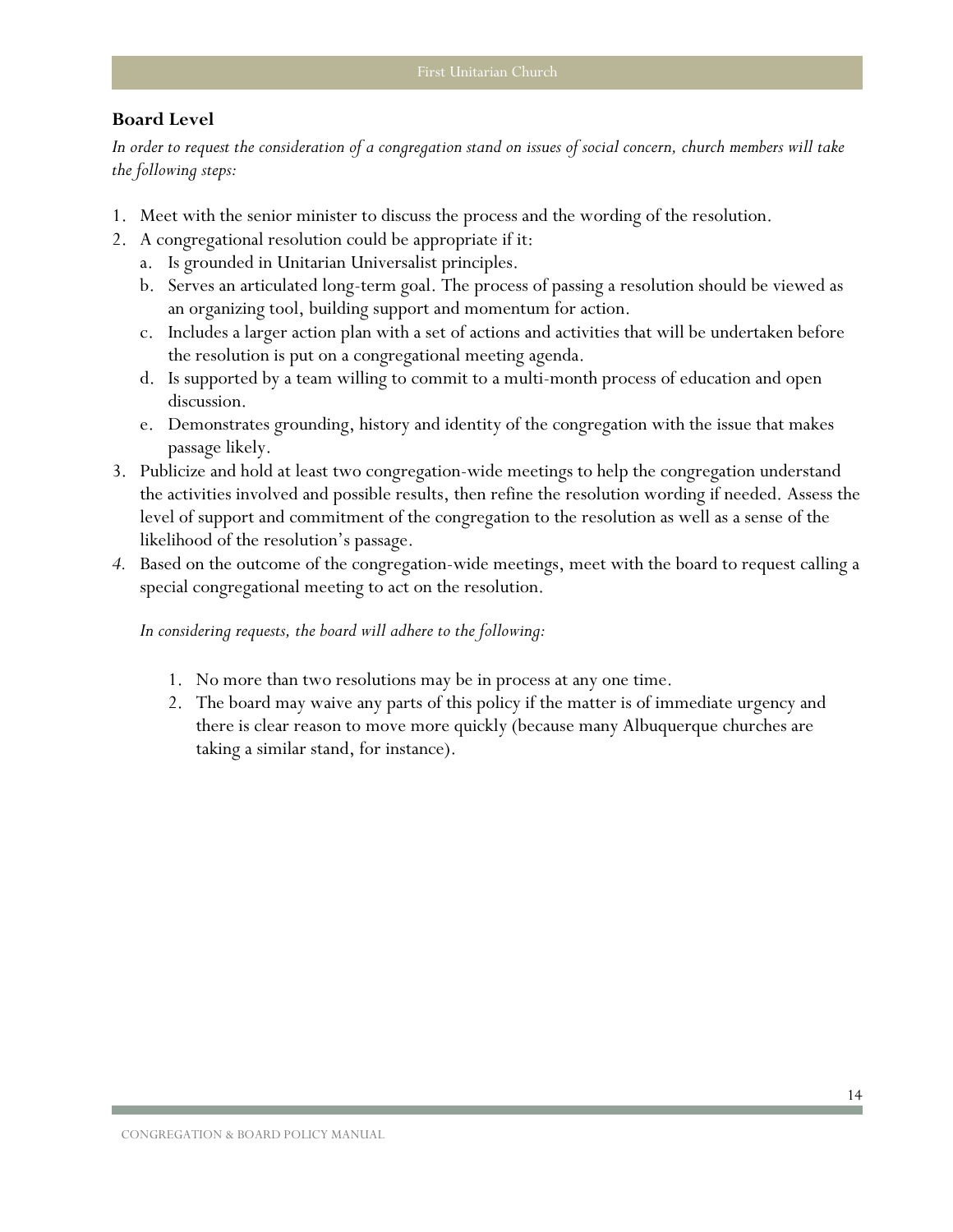#### **Board Level**

*In order to request the consideration of a congregation stand on issues of social concern, church members will take the following steps:*

- 1. Meet with the senior minister to discuss the process and the wording of the resolution.
- 2. A congregational resolution could be appropriate if it:
	- a. Is grounded in Unitarian Universalist principles.
	- b. Serves an articulated long-term goal. The process of passing a resolution should be viewed as an organizing tool, building support and momentum for action.
	- c. Includes a larger action plan with a set of actions and activities that will be undertaken before the resolution is put on a congregational meeting agenda.
	- d. Is supported by a team willing to commit to a multi-month process of education and open discussion.
	- e. Demonstrates grounding, history and identity of the congregation with the issue that makes passage likely.
- 3. Publicize and hold at least two congregation-wide meetings to help the congregation understand the activities involved and possible results, then refine the resolution wording if needed. Assess the level of support and commitment of the congregation to the resolution as well as a sense of the likelihood of the resolution's passage.
- *4.* Based on the outcome of the congregation-wide meetings, meet with the board to request calling a special congregational meeting to act on the resolution.

*In considering requests, the board will adhere to the following:*

- 1. No more than two resolutions may be in process at any one time.
- 2. The board may waive any parts of this policy if the matter is of immediate urgency and there is clear reason to move more quickly (because many Albuquerque churches are taking a similar stand, for instance).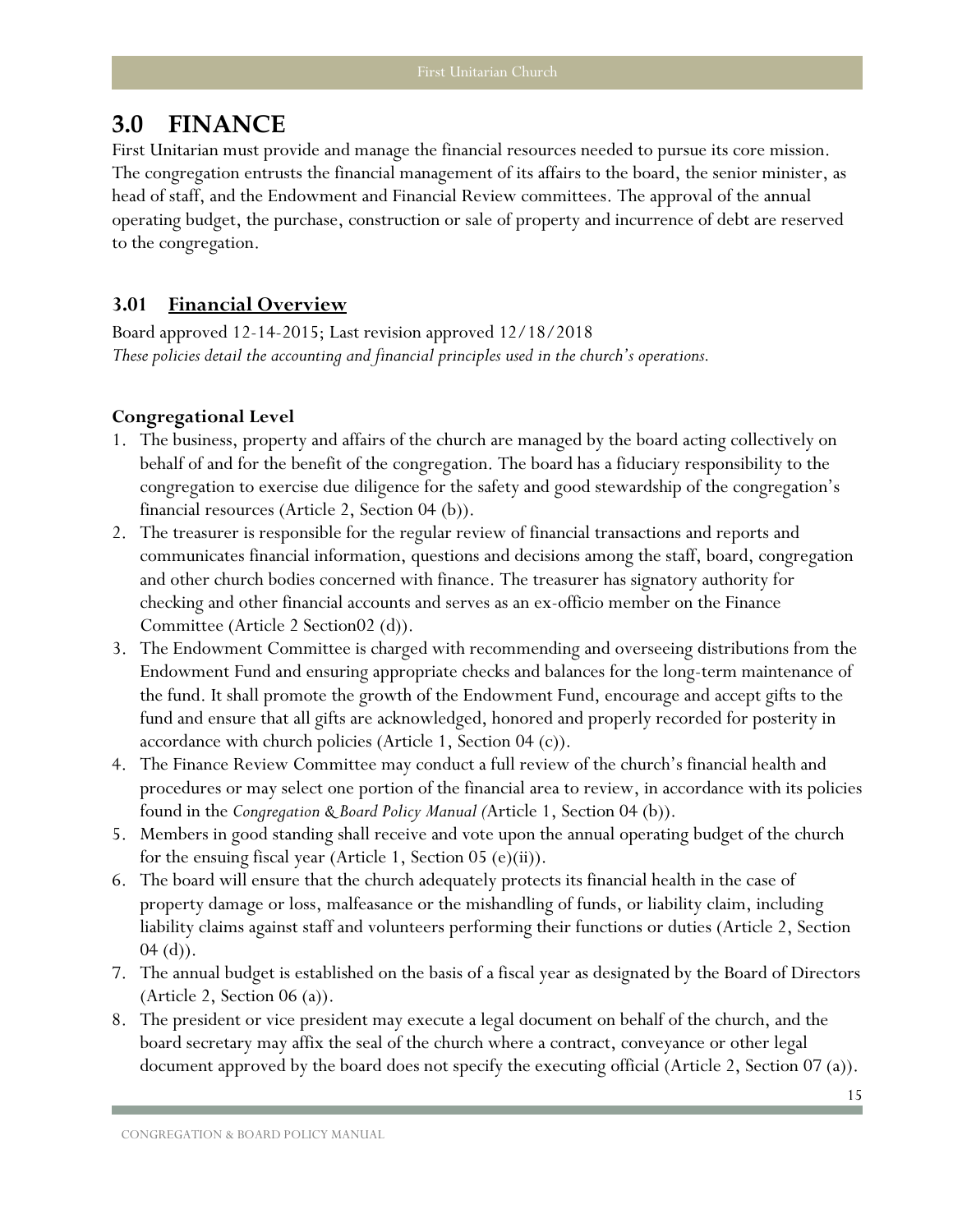## <span id="page-16-0"></span>**3.0 FINANCE**

First Unitarian must provide and manage the financial resources needed to pursue its core mission. The congregation entrusts the financial management of its affairs to the board, the senior minister, as head of staff, and the Endowment and Financial Review committees. The approval of the annual operating budget, the purchase, construction or sale of property and incurrence of debt are reserved to the congregation.

## <span id="page-16-1"></span>**3.01 Financial Overview**

Board approved 12-14-2015; Last revision approved 12/18/2018 *These policies detail the accounting and financial principles used in the church's operations.*

## **Congregational Level**

- 1. The business, property and affairs of the church are managed by the board acting collectively on behalf of and for the benefit of the congregation. The board has a fiduciary responsibility to the congregation to exercise due diligence for the safety and good stewardship of the congregation's financial resources (Article 2, Section 04 (b)).
- 2. The treasurer is responsible for the regular review of financial transactions and reports and communicates financial information, questions and decisions among the staff, board, congregation and other church bodies concerned with finance. The treasurer has signatory authority for checking and other financial accounts and serves as an ex-officio member on the Finance Committee (Article 2 Section02 (d)).
- 3. The Endowment Committee is charged with recommending and overseeing distributions from the Endowment Fund and ensuring appropriate checks and balances for the long-term maintenance of the fund. It shall promote the growth of the Endowment Fund, encourage and accept gifts to the fund and ensure that all gifts are acknowledged, honored and properly recorded for posterity in accordance with church policies (Article 1, Section 04 (c)).
- 4. The Finance Review Committee may conduct a full review of the church's financial health and procedures or may select one portion of the financial area to review, in accordance with its policies found in the *Congregation & Board Policy Manual (*Article 1, Section 04 (b)).
- 5. Members in good standing shall receive and vote upon the annual operating budget of the church for the ensuing fiscal year (Article 1, Section 05 (e)(ii)).
- 6. The board will ensure that the church adequately protects its financial health in the case of property damage or loss, malfeasance or the mishandling of funds, or liability claim, including liability claims against staff and volunteers performing their functions or duties (Article 2, Section  $04$  (d)).
- 7. The annual budget is established on the basis of a fiscal year as designated by the Board of Directors (Article 2, Section  $06$  (a)).
- 8. The president or vice president may execute a legal document on behalf of the church, and the board secretary may affix the seal of the church where a contract, conveyance or other legal document approved by the board does not specify the executing official (Article 2, Section 07 (a)).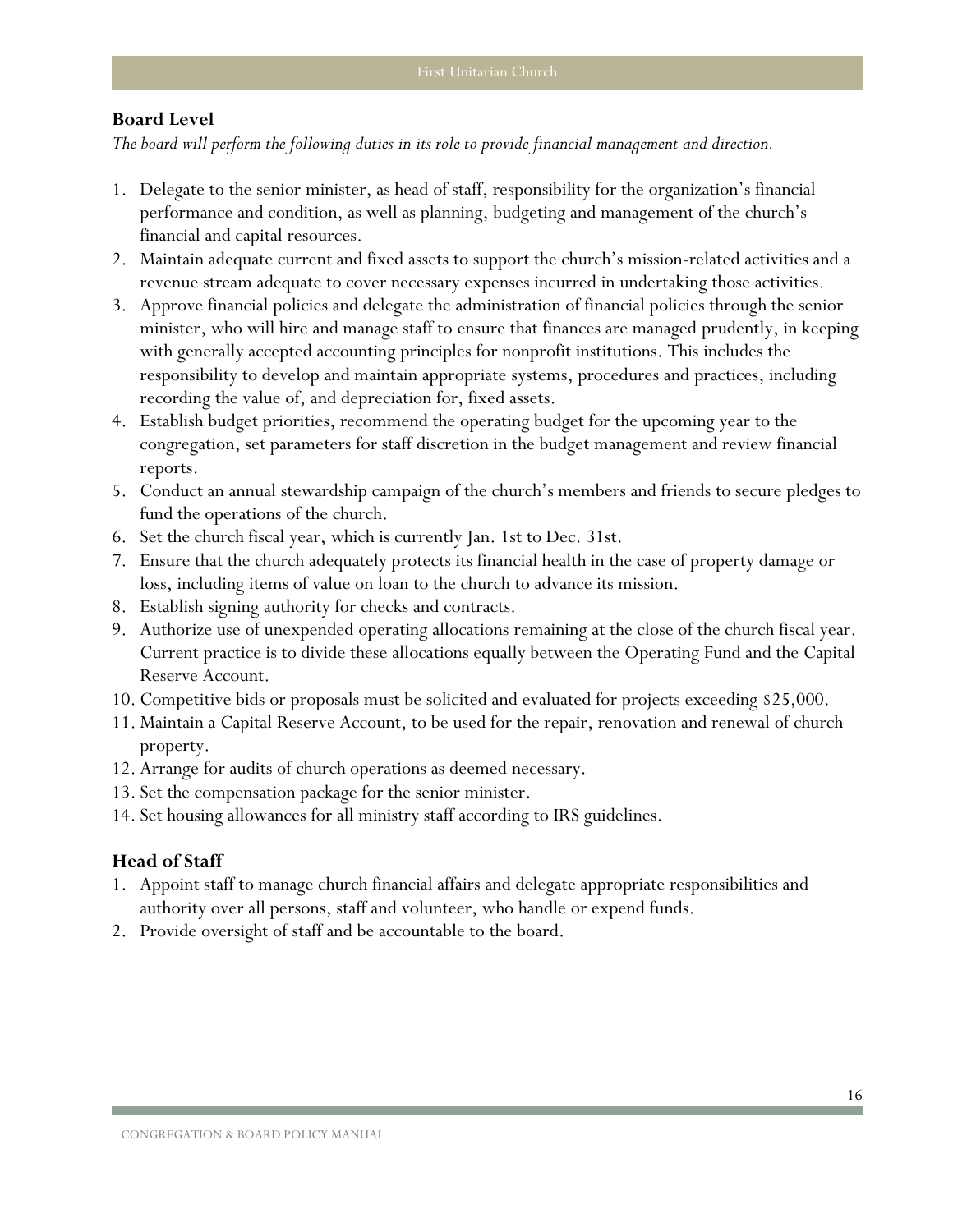#### **Board Level**

*The board will perform the following duties in its role to provide financial management and direction.*

- 1. Delegate to the senior minister, as head of staff, responsibility for the organization's financial performance and condition, as well as planning, budgeting and management of the church's financial and capital resources.
- 2. Maintain adequate current and fixed assets to support the church's mission-related activities and a revenue stream adequate to cover necessary expenses incurred in undertaking those activities.
- 3. Approve financial policies and delegate the administration of financial policies through the senior minister, who will hire and manage staff to ensure that finances are managed prudently, in keeping with generally accepted accounting principles for nonprofit institutions. This includes the responsibility to develop and maintain appropriate systems, procedures and practices, including recording the value of, and depreciation for, fixed assets.
- 4. Establish budget priorities, recommend the operating budget for the upcoming year to the congregation, set parameters for staff discretion in the budget management and review financial reports.
- 5. Conduct an annual stewardship campaign of the church's members and friends to secure pledges to fund the operations of the church.
- 6. Set the church fiscal year, which is currently Jan. 1st to Dec. 31st.
- 7. Ensure that the church adequately protects its financial health in the case of property damage or loss, including items of value on loan to the church to advance its mission.
- 8. Establish signing authority for checks and contracts.
- 9. Authorize use of unexpended operating allocations remaining at the close of the church fiscal year. Current practice is to divide these allocations equally between the Operating Fund and the Capital Reserve Account.
- 10. Competitive bids or proposals must be solicited and evaluated for projects exceeding \$25,000.
- 11. Maintain a Capital Reserve Account, to be used for the repair, renovation and renewal of church property.
- 12. Arrange for audits of church operations as deemed necessary.
- 13. Set the compensation package for the senior minister.
- 14. Set housing allowances for all ministry staff according to IRS guidelines.

#### **Head of Staff**

- 1. Appoint staff to manage church financial affairs and delegate appropriate responsibilities and authority over all persons, staff and volunteer, who handle or expend funds.
- 2. Provide oversight of staff and be accountable to the board.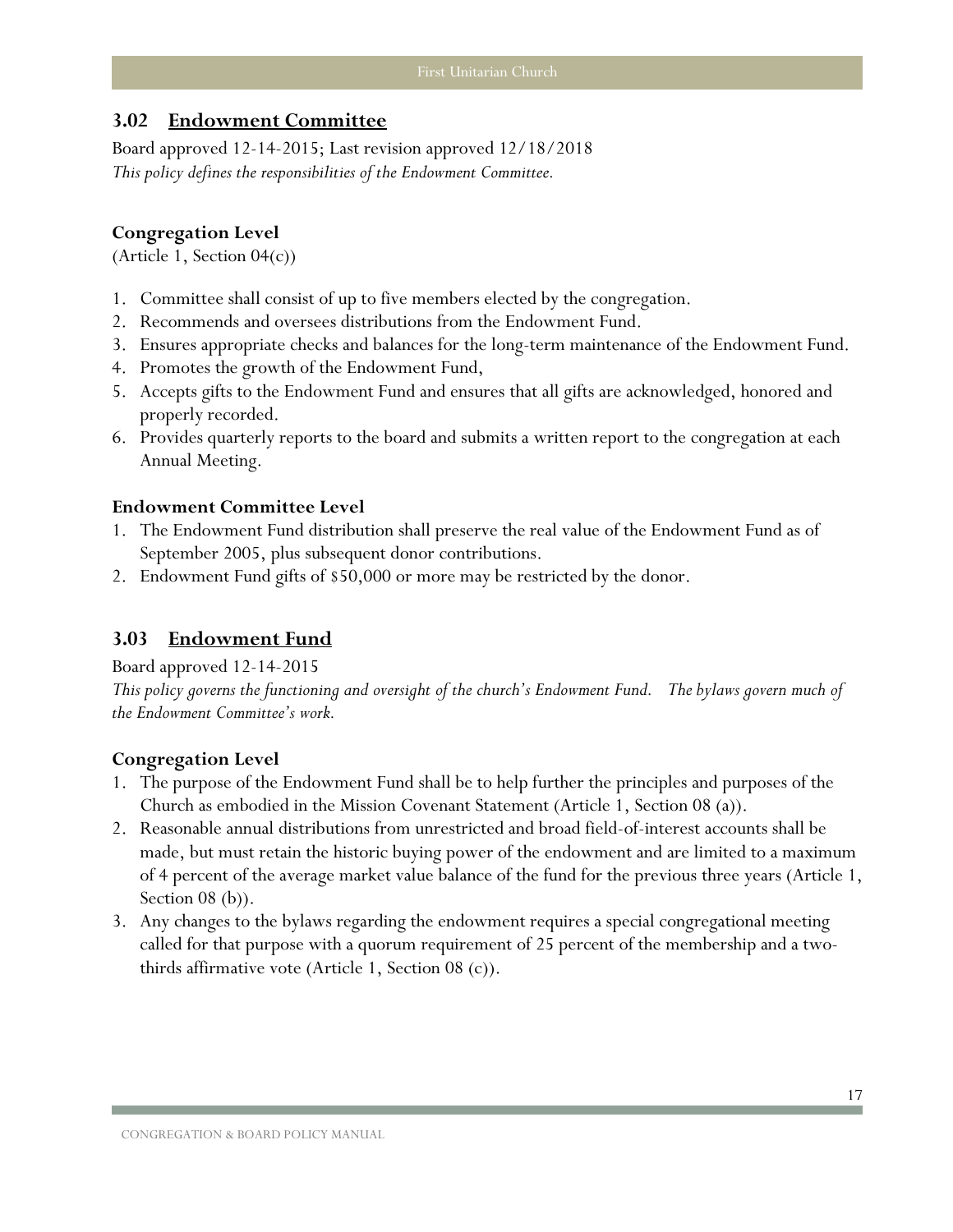## <span id="page-18-0"></span>**3.02 Endowment Committee**

Board approved 12-14-2015; Last revision approved 12/18/2018 *This policy defines the responsibilities of the Endowment Committee.*

#### **Congregation Level**

(Article 1, Section 04(c))

- 1. Committee shall consist of up to five members elected by the congregation.
- 2. Recommends and oversees distributions from the Endowment Fund.
- 3. Ensures appropriate checks and balances for the long-term maintenance of the Endowment Fund.
- 4. Promotes the growth of the Endowment Fund,
- 5. Accepts gifts to the Endowment Fund and ensures that all gifts are acknowledged, honored and properly recorded.
- 6. Provides quarterly reports to the board and submits a written report to the congregation at each Annual Meeting.

#### **Endowment Committee Level**

- 1. The Endowment Fund distribution shall preserve the real value of the Endowment Fund as of September 2005, plus subsequent donor contributions.
- 2. Endowment Fund gifts of \$50,000 or more may be restricted by the donor.

## <span id="page-18-1"></span>**3.03 Endowment Fund**

#### Board approved 12-14-2015

*This policy governs the functioning and oversight of the church's Endowment Fund. The bylaws govern much of the Endowment Committee's work.*

#### **Congregation Level**

- 1. The purpose of the Endowment Fund shall be to help further the principles and purposes of the Church as embodied in the Mission Covenant Statement (Article 1, Section 08 (a)).
- 2. Reasonable annual distributions from unrestricted and broad field-of-interest accounts shall be made, but must retain the historic buying power of the endowment and are limited to a maximum of 4 percent of the average market value balance of the fund for the previous three years (Article 1, Section 08 (b)).
- 3. Any changes to the bylaws regarding the endowment requires a special congregational meeting called for that purpose with a quorum requirement of 25 percent of the membership and a twothirds affirmative vote (Article 1, Section 08 (c)).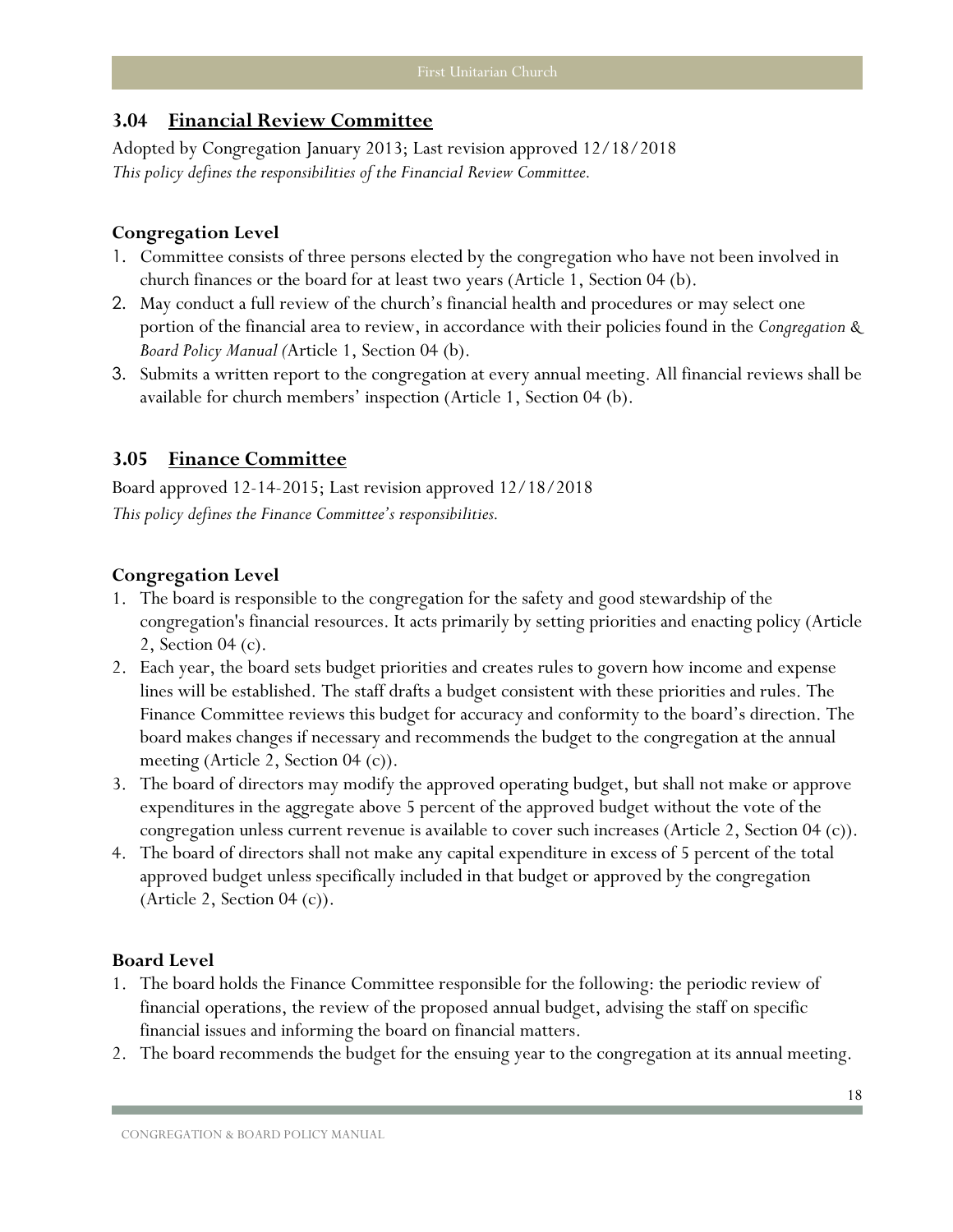#### <span id="page-19-0"></span>**3.04 Financial Review Committee**

Adopted by Congregation January 2013; Last revision approved 12/18/2018 *This policy defines the responsibilities of the Financial Review Committee.*

#### **Congregation Level**

- 1. Committee consists of three persons elected by the congregation who have not been involved in church finances or the board for at least two years (Article 1, Section 04 (b).
- 2. May conduct a full review of the church's financial health and procedures or may select one portion of the financial area to review, in accordance with their policies found in the *Congregation & Board Policy Manual (*Article 1, Section 04 (b).
- 3. Submits a written report to the congregation at every annual meeting. All financial reviews shall be available for church members' inspection (Article 1, Section 04 (b).

#### <span id="page-19-1"></span>**3.05 Finance Committee**

Board approved 12-14-2015; Last revision approved 12/18/2018 *This policy defines the Finance Committee's responsibilities.*

#### **Congregation Level**

- 1. The board is responsible to the congregation for the safety and good stewardship of the congregation's financial resources. It acts primarily by setting priorities and enacting policy (Article 2, Section 04 (c).
- 2. Each year, the board sets budget priorities and creates rules to govern how income and expense lines will be established. The staff drafts a budget consistent with these priorities and rules. The Finance Committee reviews this budget for accuracy and conformity to the board's direction. The board makes changes if necessary and recommends the budget to the congregation at the annual meeting (Article 2, Section 04 (c)).
- 3. The board of directors may modify the approved operating budget, but shall not make or approve expenditures in the aggregate above 5 percent of the approved budget without the vote of the congregation unless current revenue is available to cover such increases (Article 2, Section 04 (c)).
- 4. The board of directors shall not make any capital expenditure in excess of 5 percent of the total approved budget unless specifically included in that budget or approved by the congregation (Article 2, Section  $04$  (c)).

- 1. The board holds the Finance Committee responsible for the following: the periodic review of financial operations, the review of the proposed annual budget, advising the staff on specific financial issues and informing the board on financial matters.
- 2. The board recommends the budget for the ensuing year to the congregation at its annual meeting.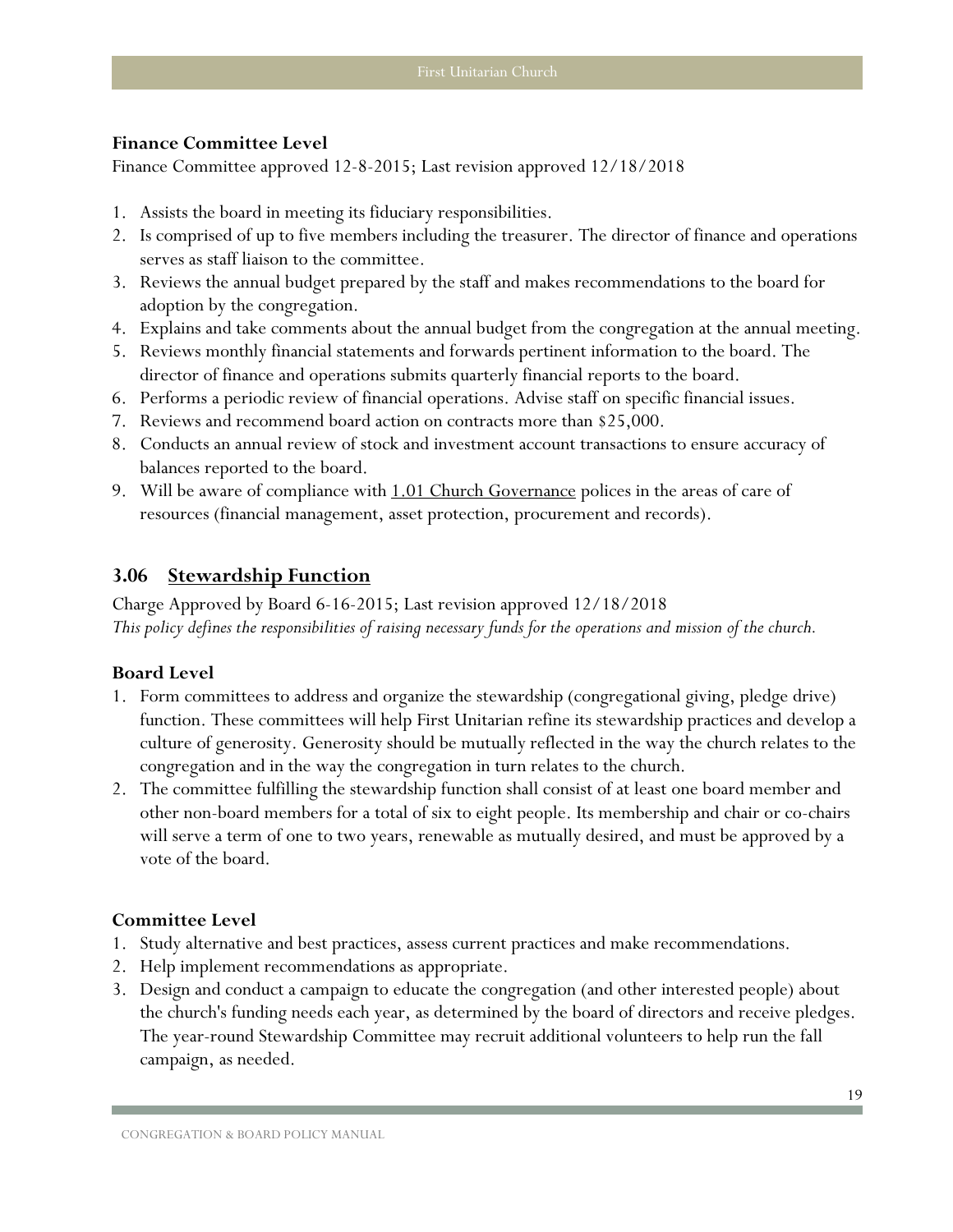#### **Finance Committee Level**

Finance Committee approved 12-8-2015; Last revision approved 12/18/2018

- 1. Assists the board in meeting its fiduciary responsibilities.
- 2. Is comprised of up to five members including the treasurer. The director of finance and operations serves as staff liaison to the committee.
- 3. Reviews the annual budget prepared by the staff and makes recommendations to the board for adoption by the congregation.
- 4. Explains and take comments about the annual budget from the congregation at the annual meeting.
- 5. Reviews monthly financial statements and forwards pertinent information to the board. The director of finance and operations submits quarterly financial reports to the board.
- 6. Performs a periodic review of financial operations. Advise staff on specific financial issues.
- 7. Reviews and recommend board action on contracts more than \$25,000.
- 8. Conducts an annual review of stock and investment account transactions to ensure accuracy of balances reported to the board.
- 9. Will be aware of compliance with [1.01 Church Governance](#page-7-2) polices in the areas of care of resources (financial management, asset protection, procurement and records).

## <span id="page-20-0"></span>**3.06 Stewardship Function**

Charge Approved by Board 6-16-2015; Last revision approved 12/18/2018 *This policy defines the responsibilities of raising necessary funds for the operations and mission of the church.*

#### **Board Level**

- 1. Form committees to address and organize the stewardship (congregational giving, pledge drive) function. These committees will help First Unitarian refine its stewardship practices and develop a culture of generosity. Generosity should be mutually reflected in the way the church relates to the congregation and in the way the congregation in turn relates to the church.
- 2. The committee fulfilling the stewardship function shall consist of at least one board member and other non-board members for a total of six to eight people. Its membership and chair or co-chairs will serve a term of one to two years, renewable as mutually desired, and must be approved by a vote of the board.

## **Committee Level**

- 1. Study alternative and best practices, assess current practices and make recommendations.
- 2. Help implement recommendations as appropriate.
- 3. Design and conduct a campaign to educate the congregation (and other interested people) about the church's funding needs each year, as determined by the board of directors and receive pledges. The year-round Stewardship Committee may recruit additional volunteers to help run the fall campaign, as needed.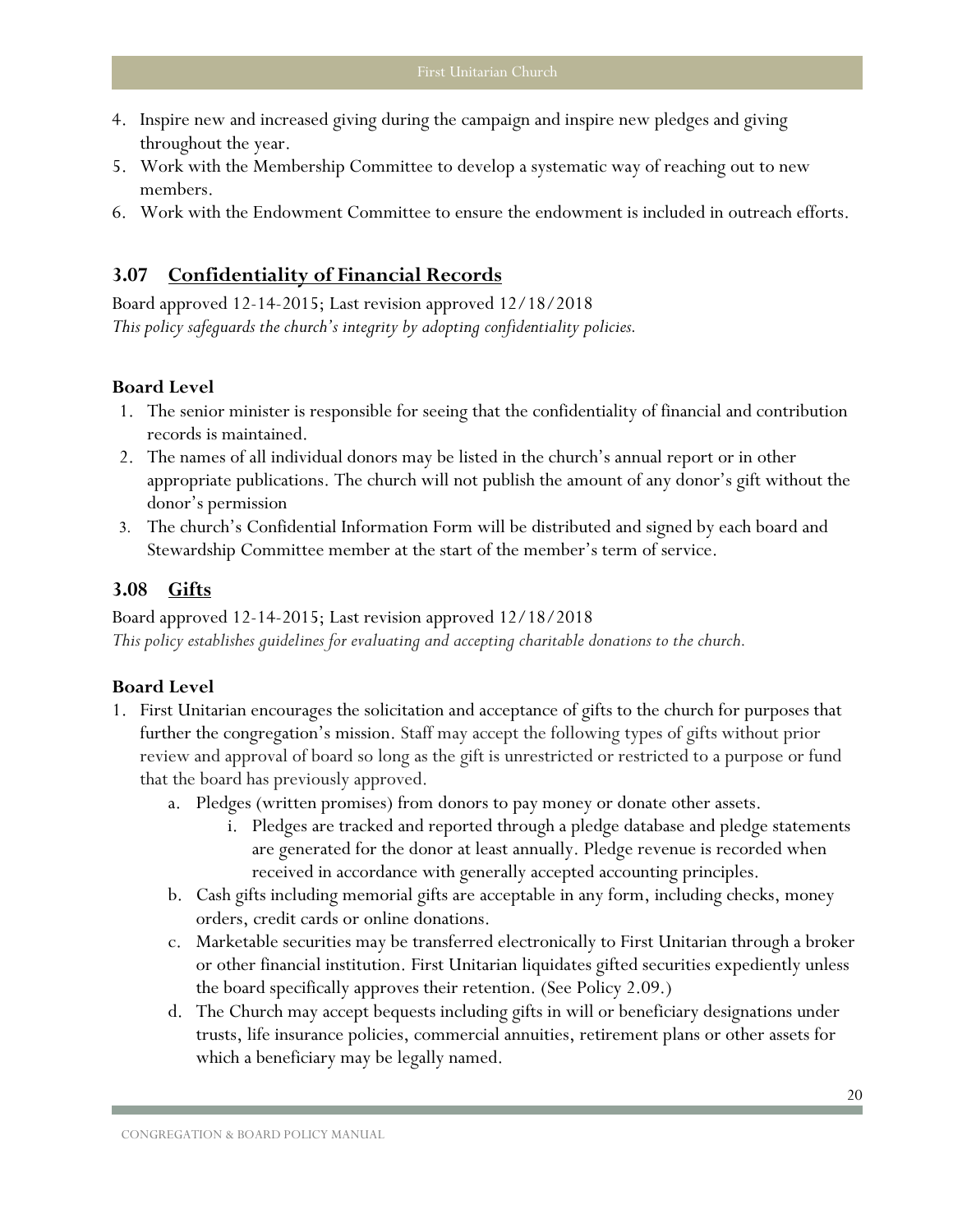- 4. Inspire new and increased giving during the campaign and inspire new pledges and giving throughout the year.
- 5. Work with the Membership Committee to develop a systematic way of reaching out to new members.
- 6. Work with the Endowment Committee to ensure the endowment is included in outreach efforts.

## <span id="page-21-0"></span>**3.07 Confidentiality of Financial Records**

Board approved 12-14-2015; Last revision approved 12/18/2018 *This policy safeguards the church's integrity by adopting confidentiality policies.* 

#### **Board Level**

- 1. The senior minister is responsible for seeing that the confidentiality of financial and contribution records is maintained.
- 2. The names of all individual donors may be listed in the church's annual report or in other appropriate publications. The church will not publish the amount of any donor's gift without the donor's permission
- 3. The church's Confidential Information Form will be distributed and signed by each board and Stewardship Committee member at the start of the member's term of service.

#### <span id="page-21-1"></span>**3.08 Gifts**

Board approved 12-14-2015; Last revision approved 12/18/2018 *This policy establishes guidelines for evaluating and accepting charitable donations to the church.*

- 1. First Unitarian encourages the solicitation and acceptance of gifts to the church for purposes that further the congregation's mission. Staff may accept the following types of gifts without prior review and approval of board so long as the gift is unrestricted or restricted to a purpose or fund that the board has previously approved.
	- a. Pledges (written promises) from donors to pay money or donate other assets.
		- i. Pledges are tracked and reported through a pledge database and pledge statements are generated for the donor at least annually. Pledge revenue is recorded when received in accordance with generally accepted accounting principles.
	- b. Cash gifts including memorial gifts are acceptable in any form, including checks, money orders, credit cards or online donations.
	- c. Marketable securities may be transferred electronically to First Unitarian through a broker or other financial institution. First Unitarian liquidates gifted securities expediently unless the board specifically approves their retention. (See Policy 2.09.)
	- d. The Church may accept bequests including gifts in will or beneficiary designations under trusts, life insurance policies, commercial annuities, retirement plans or other assets for which a beneficiary may be legally named.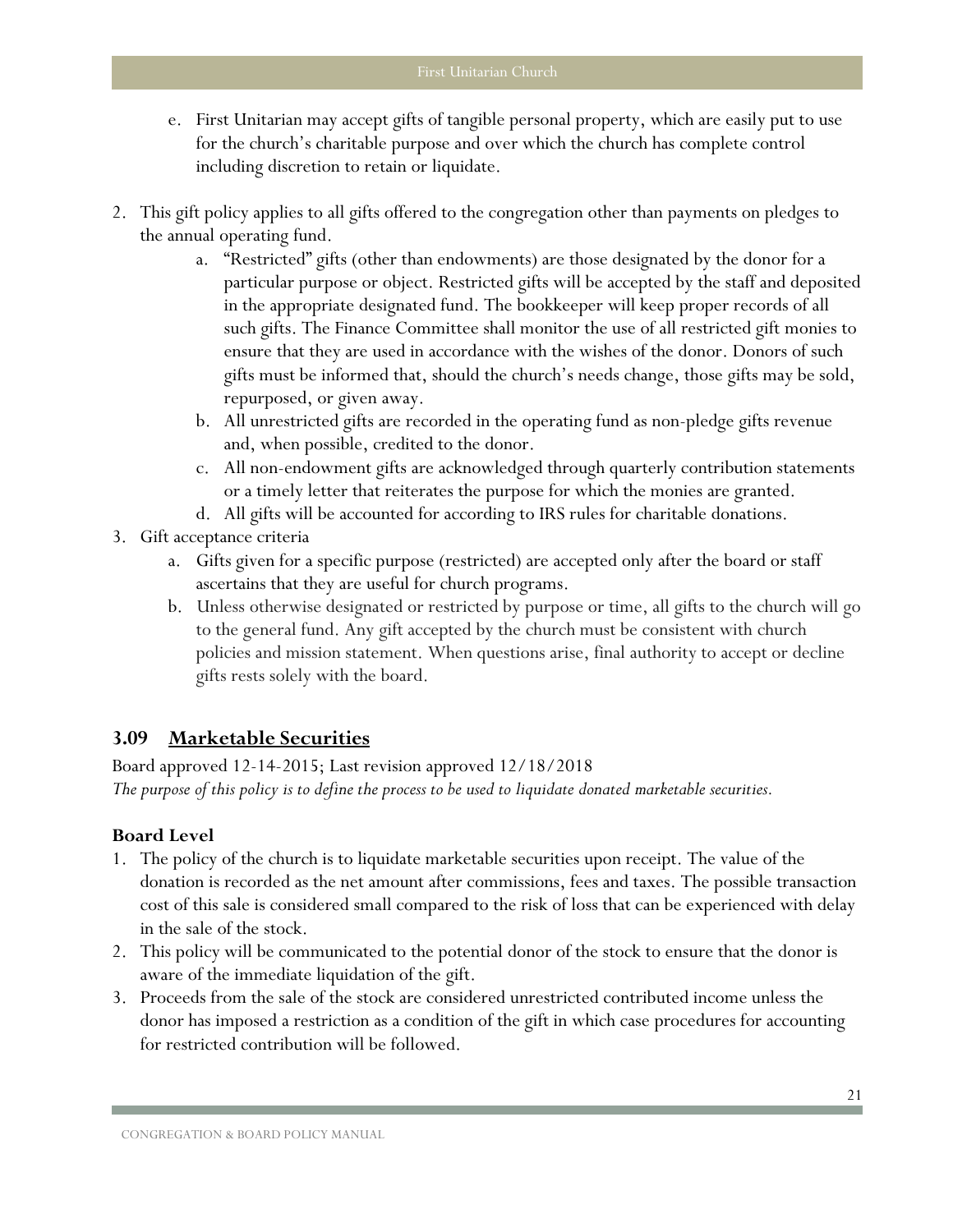- e. First Unitarian may accept gifts of tangible personal property, which are easily put to use for the church's charitable purpose and over which the church has complete control including discretion to retain or liquidate.
- 2. This gift policy applies to all gifts offered to the congregation other than payments on pledges to the annual operating fund.
	- a. "Restricted" gifts (other than endowments) are those designated by the donor for a particular purpose or object. Restricted gifts will be accepted by the staff and deposited in the appropriate designated fund. The bookkeeper will keep proper records of all such gifts. The Finance Committee shall monitor the use of all restricted gift monies to ensure that they are used in accordance with the wishes of the donor. Donors of such gifts must be informed that, should the church's needs change, those gifts may be sold, repurposed, or given away.
	- b. All unrestricted gifts are recorded in the operating fund as non-pledge gifts revenue and, when possible, credited to the donor.
	- c. All non-endowment gifts are acknowledged through quarterly contribution statements or a timely letter that reiterates the purpose for which the monies are granted.
	- d. All gifts will be accounted for according to IRS rules for charitable donations.
- 3. Gift acceptance criteria
	- a. Gifts given for a specific purpose (restricted) are accepted only after the board or staff ascertains that they are useful for church programs.
	- b. Unless otherwise designated or restricted by purpose or time, all gifts to the church will go to the general fund. Any gift accepted by the church must be consistent with church policies and mission statement. When questions arise, final authority to accept or decline gifts rests solely with the board.

## <span id="page-22-0"></span>**3.09 Marketable Securities**

Board approved 12-14-2015; Last revision approved 12/18/2018 *The purpose of this policy is to define the process to be used to liquidate donated marketable securities.*

- 1. The policy of the church is to liquidate marketable securities upon receipt. The value of the donation is recorded as the net amount after commissions, fees and taxes. The possible transaction cost of this sale is considered small compared to the risk of loss that can be experienced with delay in the sale of the stock.
- 2. This policy will be communicated to the potential donor of the stock to ensure that the donor is aware of the immediate liquidation of the gift.
- 3. Proceeds from the sale of the stock are considered unrestricted contributed income unless the donor has imposed a restriction as a condition of the gift in which case procedures for accounting for restricted contribution will be followed.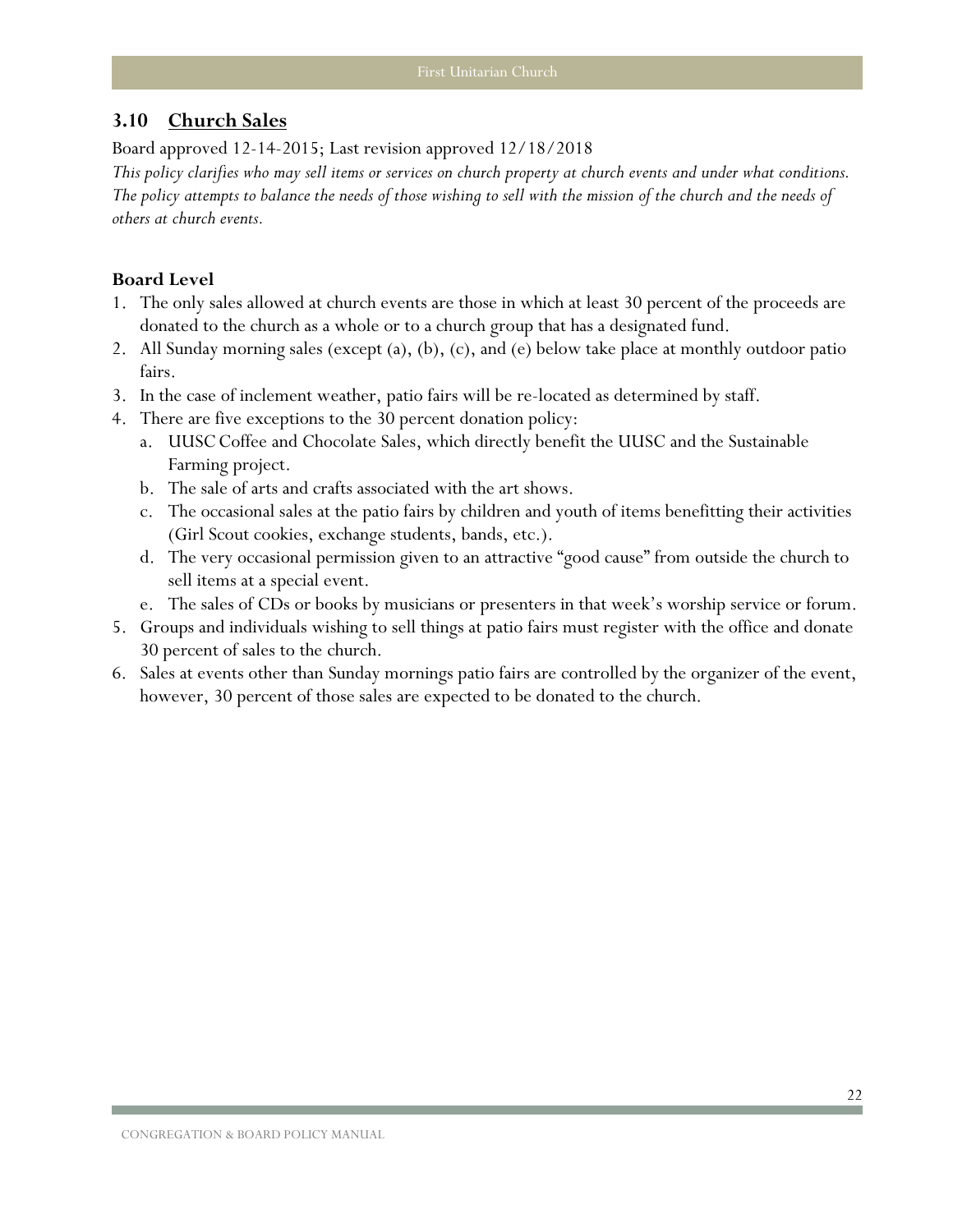#### <span id="page-23-0"></span>**3.10 Church Sales**

Board approved 12-14-2015; Last revision approved 12/18/2018

*This policy clarifies who may sell items or services on church property at church events and under what conditions. The policy attempts to balance the needs of those wishing to sell with the mission of the church and the needs of others at church events.* 

- 1. The only sales allowed at church events are those in which at least 30 percent of the proceeds are donated to the church as a whole or to a church group that has a designated fund.
- 2. All Sunday morning sales (except (a), (b), (c), and (e) below take place at monthly outdoor patio fairs.
- 3. In the case of inclement weather, patio fairs will be re-located as determined by staff.
- 4. There are five exceptions to the 30 percent donation policy:
	- a. UUSCCoffee and Chocolate Sales, which directly benefit the UUSC and the Sustainable Farming project.
	- b. The sale of arts and crafts associated with the art shows.
	- c. The occasional sales at the patio fairs by children and youth of items benefitting their activities (Girl Scout cookies, exchange students, bands, etc.).
	- d. The very occasional permission given to an attractive "good cause" from outside the church to sell items at a special event.
	- e. The sales of CDs or books by musicians or presenters in that week's worship service or forum.
- 5. Groups and individuals wishing to sell things at patio fairs must register with the office and donate 30 percent of sales to the church.
- 6. Sales at events other than Sunday mornings patio fairs are controlled by the organizer of the event, however, 30 percent of those sales are expected to be donated to the church.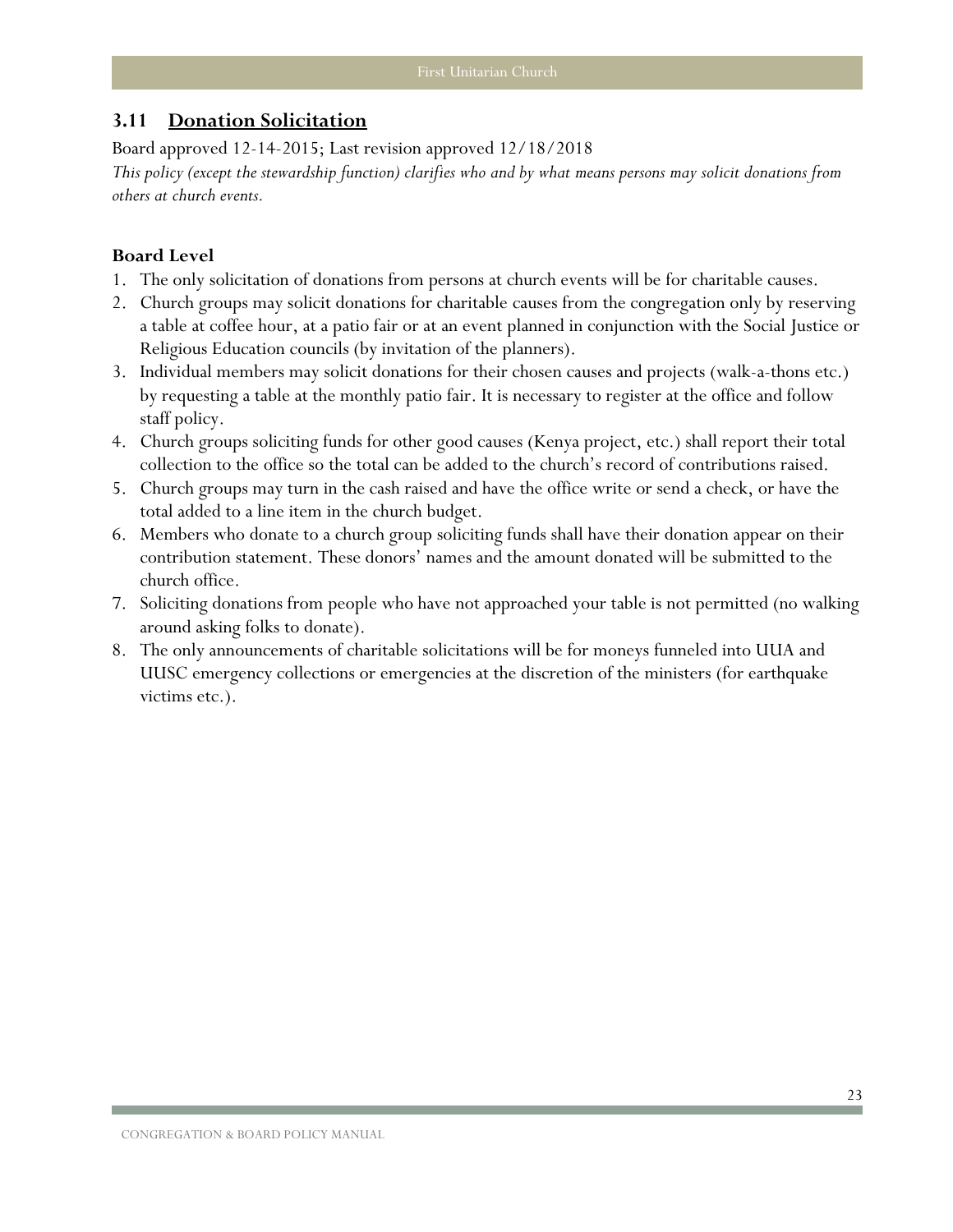#### <span id="page-24-0"></span>**3.11 Donation Solicitation**

Board approved 12-14-2015; Last revision approved 12/18/2018 *This policy (except the stewardship function) clarifies who and by what means persons may solicit donations from others at church events.* 

- 1. The only solicitation of donations from persons at church events will be for charitable causes.
- 2. Church groups may solicit donations for charitable causes from the congregation only by reserving a table at coffee hour, at a patio fair or at an event planned in conjunction with the Social Justice or Religious Education councils (by invitation of the planners).
- 3. Individual members may solicit donations for their chosen causes and projects (walk-a-thons etc.) by requesting a table at the monthly patio fair. It is necessary to register at the office and follow staff policy.
- 4. Church groups soliciting funds for other good causes (Kenya project, etc.) shall report their total collection to the office so the total can be added to the church's record of contributions raised.
- 5. Church groups may turn in the cash raised and have the office write or send a check, or have the total added to a line item in the church budget.
- 6. Members who donate to a church group soliciting funds shall have their donation appear on their contribution statement. These donors' names and the amount donated will be submitted to the church office.
- 7. Soliciting donations from people who have not approached your table is not permitted (no walking around asking folks to donate).
- 8. The only announcements of charitable solicitations will be for moneys funneled into UUA and UUSC emergency collections or emergencies at the discretion of the ministers (for earthquake victims etc.).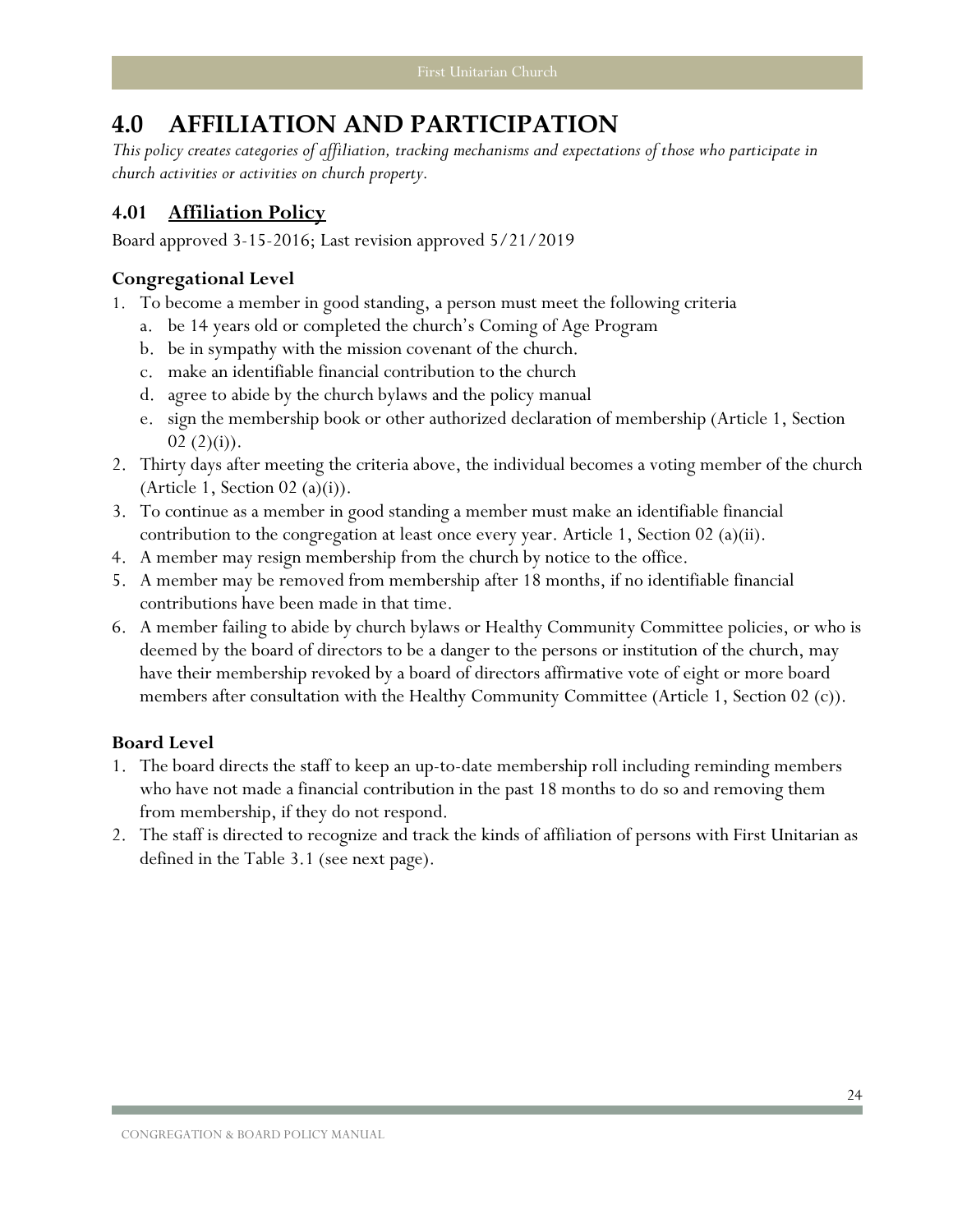## <span id="page-25-0"></span>**4.0 AFFILIATION AND PARTICIPATION**

*This policy creates categories of affiliation, tracking mechanisms and expectations of those who participate in church activities or activities on church property.* 

## <span id="page-25-1"></span>**4.01 Affiliation Policy**

Board approved 3-15-2016; Last revision approved 5/21/2019

## **Congregational Level**

- 1. To become a member in good standing, a person must meet the following criteria
	- a. be 14 years old or completed the church's Coming of Age Program
	- b. be in sympathy with the mission covenant of the church.
	- c. make an identifiable financial contribution to the church
	- d. agree to abide by the church bylaws and the policy manual
	- e. sign the membership book or other authorized declaration of membership (Article 1, Section 02 $(2)(i)$ ).
- 2. Thirty days after meeting the criteria above, the individual becomes a voting member of the church (Article 1, Section  $02$  (a)(i)).
- 3. To continue as a member in good standing a member must make an identifiable financial contribution to the congregation at least once every year. Article 1, Section 02 (a)(ii).
- 4. A member may resign membership from the church by notice to the office.
- 5. A member may be removed from membership after 18 months, if no identifiable financial contributions have been made in that time.
- 6. A member failing to abide by church bylaws or Healthy Community Committee policies, or who is deemed by the board of directors to be a danger to the persons or institution of the church, may have their membership revoked by a board of directors affirmative vote of eight or more board members after consultation with the Healthy Community Committee (Article 1, Section 02 (c)).

- 1. The board directs the staff to keep an up-to-date membership roll including reminding members who have not made a financial contribution in the past 18 months to do so and removing them from membership, if they do not respond.
- 2. The staff is directed to recognize and track the kinds of affiliation of persons with First Unitarian as defined in the Table 3.1 (see next page).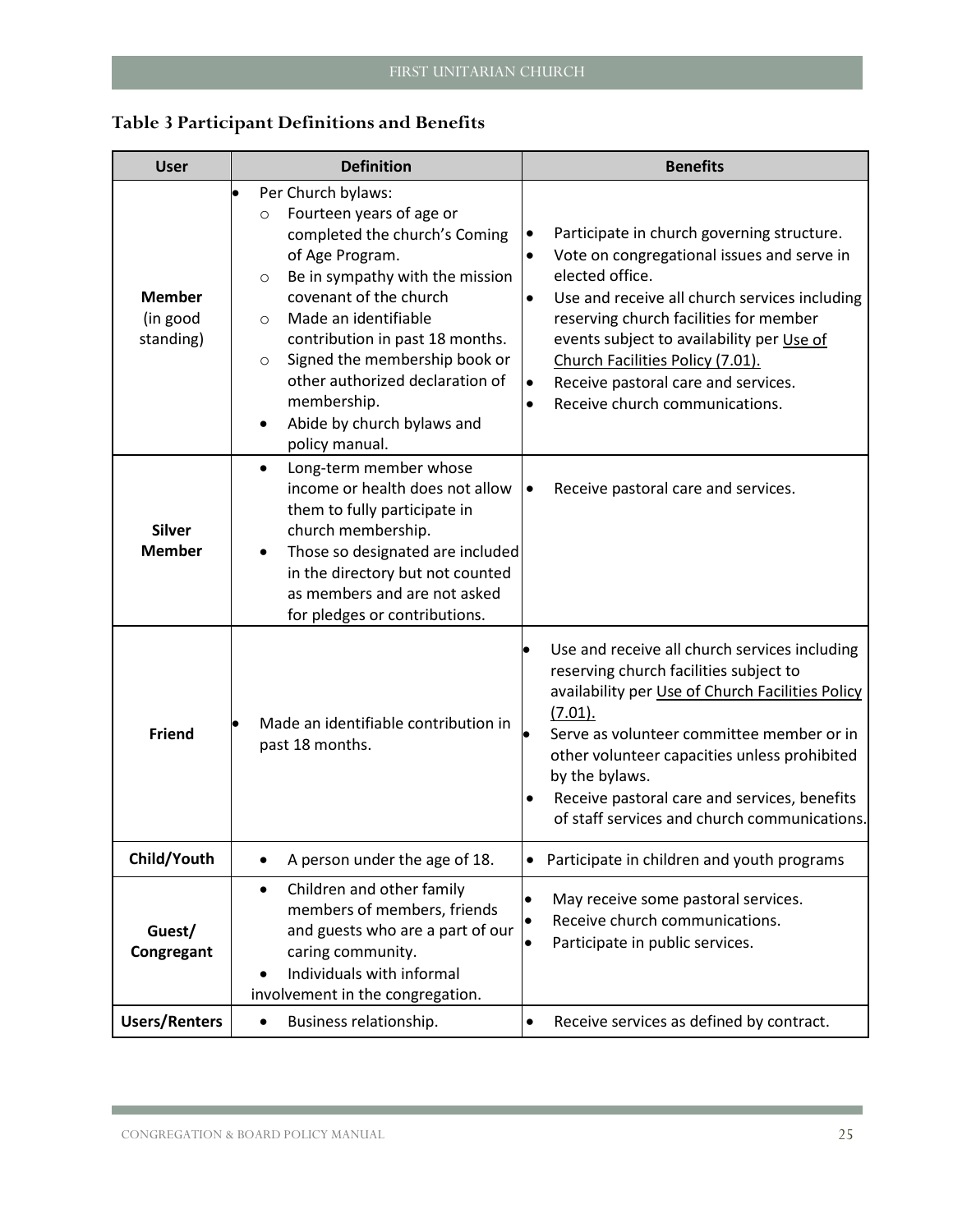| <b>User</b>                            | <b>Definition</b>                                                                                                                                                                                                                                                                                                                                                                                         | <b>Benefits</b>                                                                                                                                                                                                                                                                                                                                                                                                           |  |  |  |
|----------------------------------------|-----------------------------------------------------------------------------------------------------------------------------------------------------------------------------------------------------------------------------------------------------------------------------------------------------------------------------------------------------------------------------------------------------------|---------------------------------------------------------------------------------------------------------------------------------------------------------------------------------------------------------------------------------------------------------------------------------------------------------------------------------------------------------------------------------------------------------------------------|--|--|--|
| <b>Member</b><br>(in good<br>standing) | Per Church bylaws:<br>Fourteen years of age or<br>$\circ$<br>completed the church's Coming<br>of Age Program.<br>Be in sympathy with the mission<br>$\circ$<br>covenant of the church<br>Made an identifiable<br>$\circ$<br>contribution in past 18 months.<br>Signed the membership book or<br>$\circ$<br>other authorized declaration of<br>membership.<br>Abide by church bylaws and<br>policy manual. | Participate in church governing structure.<br>٠<br>Vote on congregational issues and serve in<br>$\bullet$<br>elected office.<br>Use and receive all church services including<br>$\bullet$<br>reserving church facilities for member<br>events subject to availability per Use of<br>Church Facilities Policy (7.01).<br>Receive pastoral care and services.<br>$\bullet$<br>Receive church communications.<br>$\bullet$ |  |  |  |
| <b>Silver</b><br><b>Member</b>         | Long-term member whose<br>$\bullet$<br>income or health does not allow<br>them to fully participate in<br>church membership.<br>Those so designated are included<br>in the directory but not counted<br>as members and are not asked<br>for pledges or contributions.                                                                                                                                     | Receive pastoral care and services.                                                                                                                                                                                                                                                                                                                                                                                       |  |  |  |
| <b>Friend</b>                          | Made an identifiable contribution in<br>past 18 months.                                                                                                                                                                                                                                                                                                                                                   | Use and receive all church services including<br>reserving church facilities subject to<br>availability per Use of Church Facilities Policy<br>$(7.01)$ .<br>Serve as volunteer committee member or in<br>other volunteer capacities unless prohibited<br>by the bylaws.<br>Receive pastoral care and services, benefits<br>$\bullet$<br>of staff services and church communications.                                     |  |  |  |
| Child/Youth                            | A person under the age of 18.<br>$\bullet$                                                                                                                                                                                                                                                                                                                                                                | Participate in children and youth programs<br>$\bullet$                                                                                                                                                                                                                                                                                                                                                                   |  |  |  |
| Guest/<br>Congregant                   | Children and other family<br>$\bullet$<br>members of members, friends<br>and guests who are a part of our<br>caring community.<br>Individuals with informal<br>involvement in the congregation.                                                                                                                                                                                                           | May receive some pastoral services.<br>Receive church communications.<br>Participate in public services.<br>$\bullet$                                                                                                                                                                                                                                                                                                     |  |  |  |
| <b>Users/Renters</b>                   | Business relationship.<br>٠                                                                                                                                                                                                                                                                                                                                                                               | Receive services as defined by contract.<br>$\bullet$                                                                                                                                                                                                                                                                                                                                                                     |  |  |  |

## **Table 3 Participant Definitions and Benefits**

the control of the control of the control of the control of the control of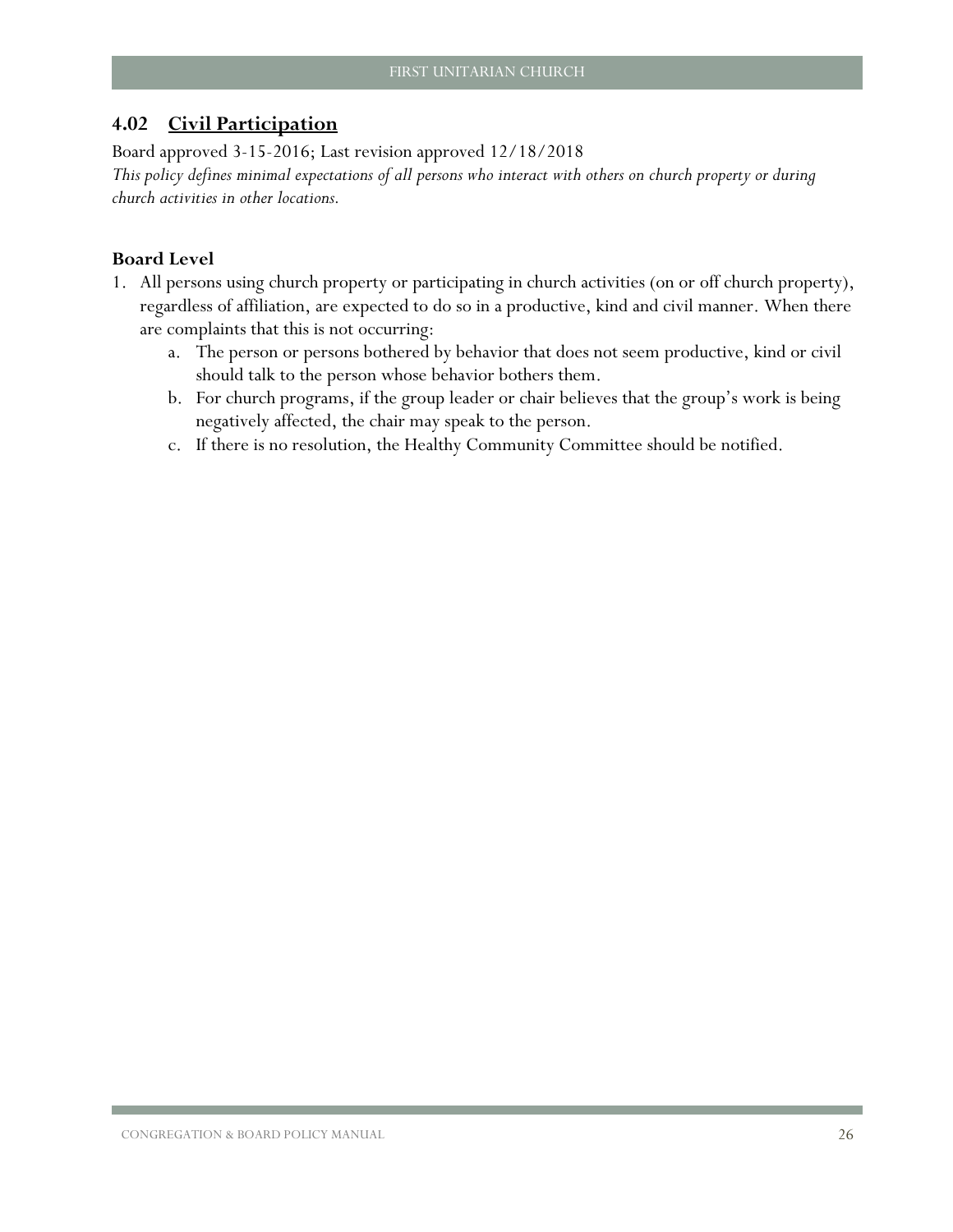## <span id="page-27-0"></span>**4.02 Civil Participation**

Board approved 3-15-2016; Last revision approved 12/18/2018

*This policy defines minimal expectations of all persons who interact with others on church property or during church activities in other locations.* 

- 1. All persons using church property or participating in church activities (on or off church property), regardless of affiliation, are expected to do so in a productive, kind and civil manner. When there are complaints that this is not occurring:
	- a. The person or persons bothered by behavior that does not seem productive, kind or civil should talk to the person whose behavior bothers them.
	- b. For church programs, if the group leader or chair believes that the group's work is being negatively affected, the chair may speak to the person.
	- c. If there is no resolution, the Healthy Community Committee should be notified.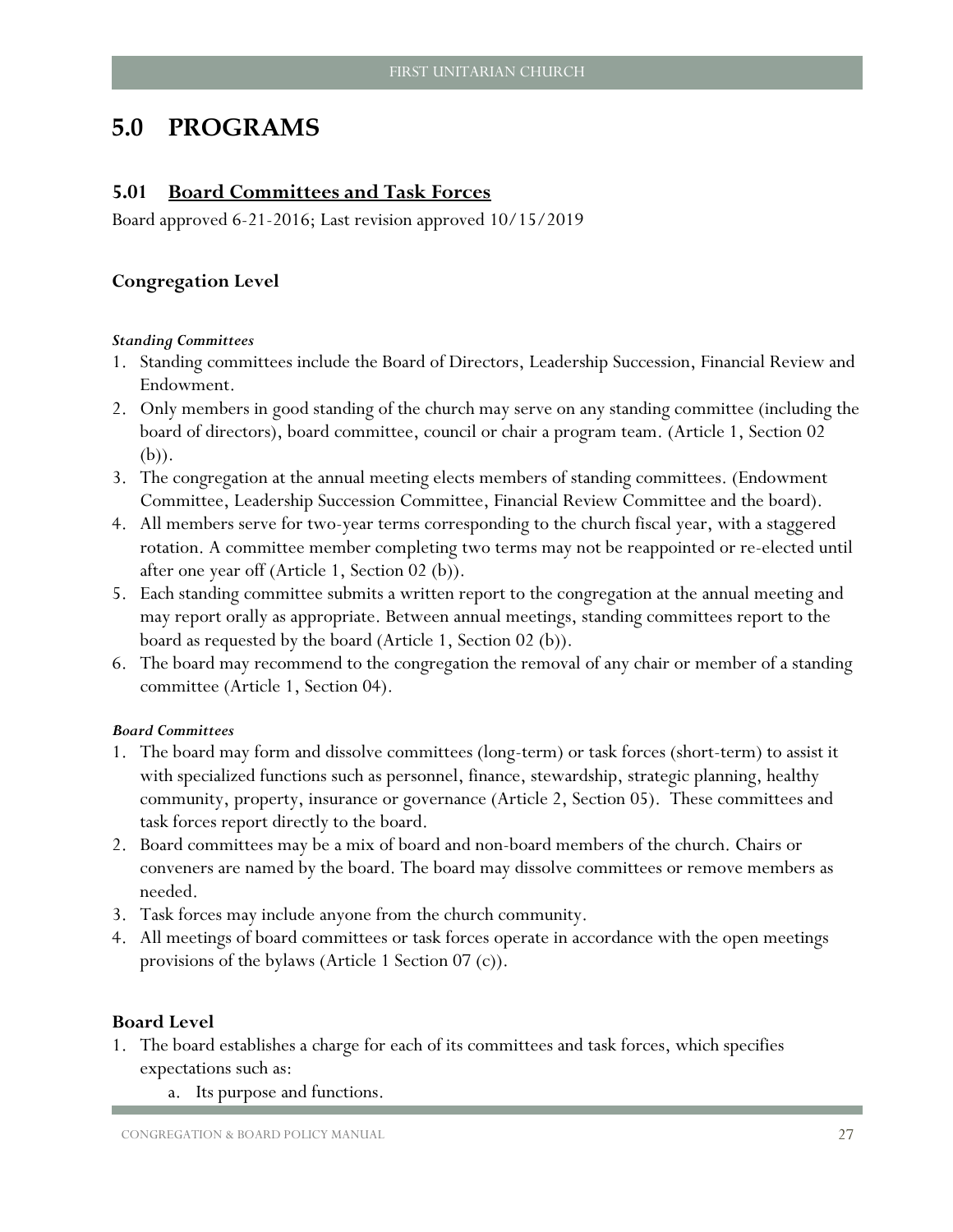## <span id="page-28-0"></span>**5.0 [PROGRAMS](#page-4-0)**

#### <span id="page-28-1"></span>**5.01 Board Committees and Task Forces**

Board approved 6-21-2016; Last revision approved 10/15/2019

#### **Congregation Level**

#### *Standing Committees*

- 1. Standing committees include the Board of Directors, Leadership Succession, Financial Review and Endowment.
- 2. Only members in good standing of the church may serve on any standing committee (including the board of directors), board committee, council or chair a program team. (Article 1, Section 02 (b)).
- 3. The congregation at the annual meeting elects members of standing committees. (Endowment Committee, Leadership Succession Committee, Financial Review Committee and the board).
- 4. All members serve for two-year terms corresponding to the church fiscal year, with a staggered rotation. A committee member completing two terms may not be reappointed or re-elected until after one year off (Article 1, Section 02 (b)).
- 5. Each standing committee submits a written report to the congregation at the annual meeting and may report orally as appropriate. Between annual meetings, standing committees report to the board as requested by the board (Article 1, Section 02 (b)).
- 6. The board may recommend to the congregation the removal of any chair or member of a standing committee (Article 1, Section 04).

#### *Board Committees*

- 1. The board may form and dissolve committees (long-term) or task forces (short-term) to assist it with specialized functions such as personnel, finance, stewardship, strategic planning, healthy community, property, insurance or governance (Article 2, Section 05). These committees and task forces report directly to the board.
- 2. Board committees may be a mix of board and non-board members of the church. Chairs or conveners are named by the board. The board may dissolve committees or remove members as needed.
- 3. Task forces may include anyone from the church community.
- 4. All meetings of board committees or task forces operate in accordance with the open meetings provisions of the bylaws (Article 1 Section 07 (c)).

- 1. The board establishes a charge for each of its committees and task forces, which specifies expectations such as:
	- a. Its purpose and functions.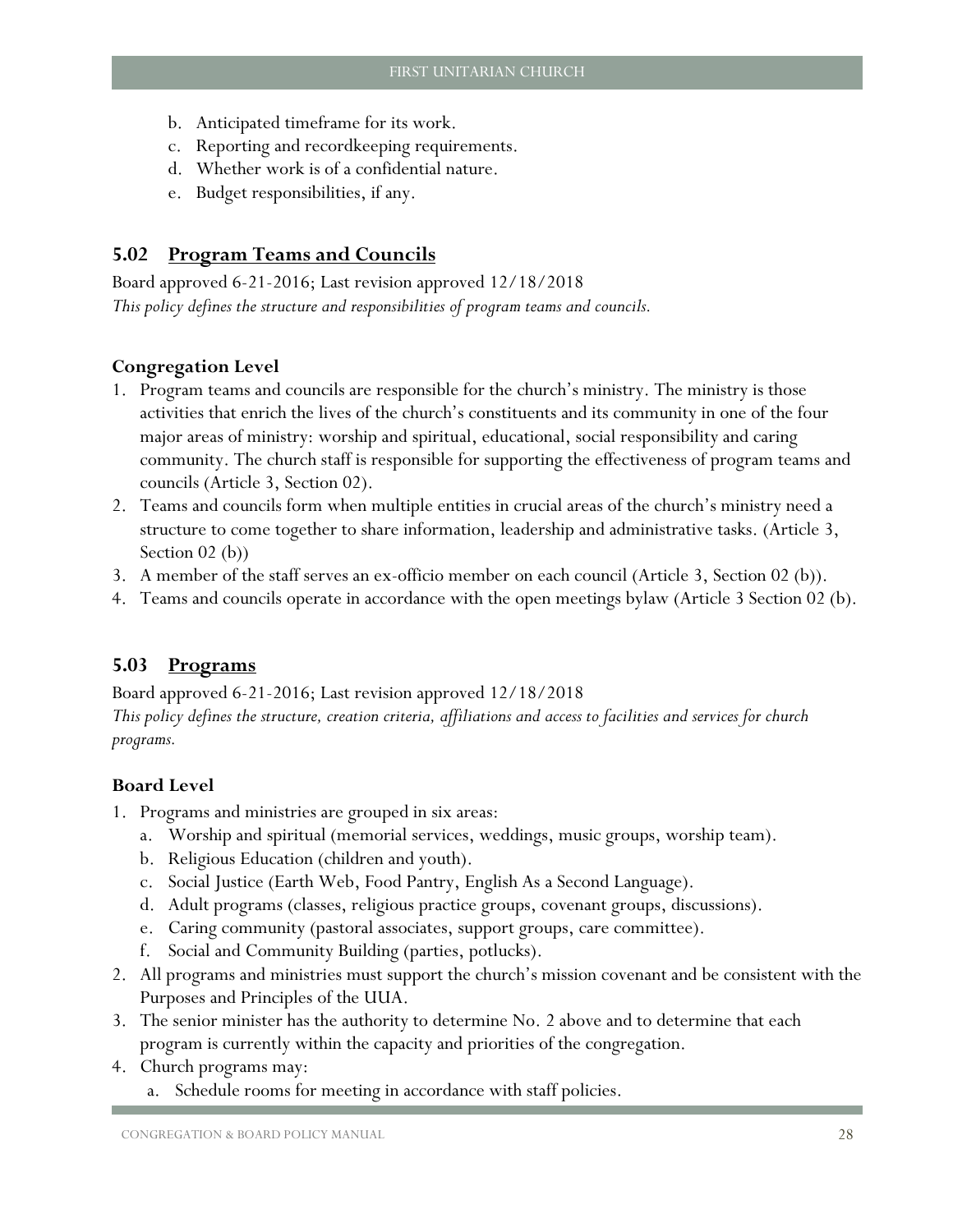- b. Anticipated timeframe for its work.
- c. Reporting and recordkeeping requirements.
- d. Whether work is of a confidential nature.
- e. Budget responsibilities, if any.

## <span id="page-29-0"></span>**5.02 Program Teams and Councils**

Board approved 6-21-2016; Last revision approved 12/18/2018 *This policy defines the structure and responsibilities of program teams and councils.*

## **Congregation Level**

- 1. Program teams and councils are responsible for the church's ministry. The ministry is those activities that enrich the lives of the church's constituents and its community in one of the four major areas of ministry: worship and spiritual, educational, social responsibility and caring community. The church staff is responsible for supporting the effectiveness of program teams and councils (Article 3, Section 02).
- 2. Teams and councils form when multiple entities in crucial areas of the church's ministry need a structure to come together to share information, leadership and administrative tasks. (Article 3, Section 02 (b))
- 3. A member of the staff serves an ex-officio member on each council (Article 3, Section 02 (b)).
- 4. Teams and councils operate in accordance with the open meetings bylaw (Article 3 Section 02 (b).

## <span id="page-29-1"></span>**5.03 Programs**

Board approved 6-21-2016; Last revision approved 12/18/2018 *This policy defines the structure, creation criteria, affiliations and access to facilities and services for church* 

#### **Board Level**

*programs.* 

- 1. Programs and ministries are grouped in six areas:
	- a. Worship and spiritual (memorial services, weddings, music groups, worship team).
	- b. Religious Education (children and youth).
	- c. Social Justice (Earth Web, Food Pantry, English As a Second Language).
	- d. Adult programs (classes, religious practice groups, covenant groups, discussions).
	- e. Caring community (pastoral associates, support groups, care committee).
	- f. Social and Community Building (parties, potlucks).
- 2. All programs and ministries must support the church's mission covenant and be consistent with the Purposes and Principles of the UUA.
- 3. The senior minister has the authority to determine No. 2 above and to determine that each program is currently within the capacity and priorities of the congregation.
- 4. Church programs may:
	- a. Schedule rooms for meeting in accordance with staff policies.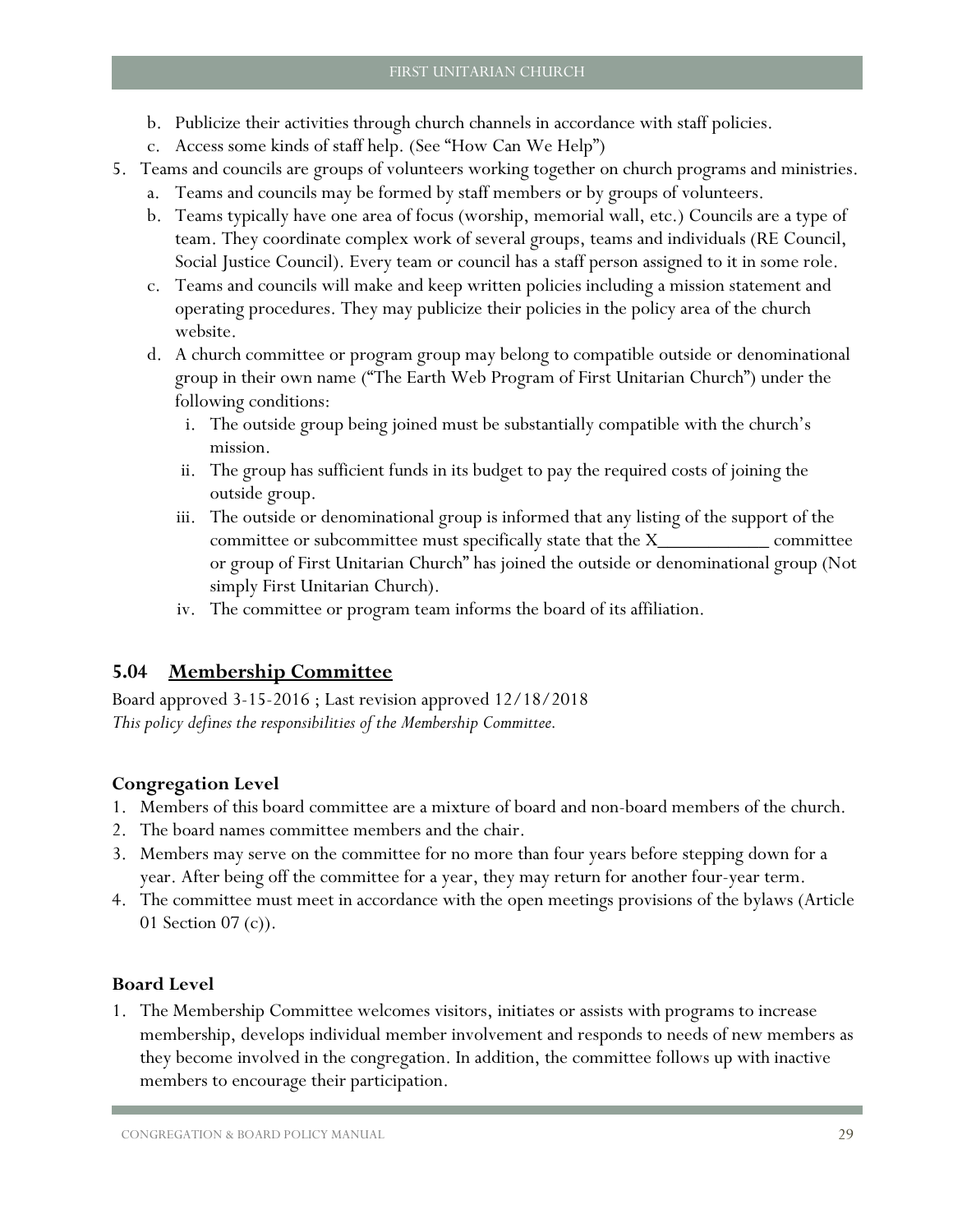- b. Publicize their activities through church channels in accordance with staff policies.
- c. Access some kinds of staff help. (See "How Can We Help")
- 5. Teams and councils are groups of volunteers working together on church programs and ministries.
	- a. Teams and councils may be formed by staff members or by groups of volunteers.
	- b. Teams typically have one area of focus (worship, memorial wall, etc.) Councils are a type of team. They coordinate complex work of several groups, teams and individuals (RE Council, Social Justice Council). Every team or council has a staff person assigned to it in some role.
	- c. Teams and councils will make and keep written policies including a mission statement and operating procedures. They may publicize their policies in the policy area of the church website.
	- d. A church committee or program group may belong to compatible outside or denominational group in their own name ("The Earth Web Program of First Unitarian Church") under the following conditions:
		- i. The outside group being joined must be substantially compatible with the church's mission.
		- ii. The group has sufficient funds in its budget to pay the required costs of joining the outside group.
		- iii. The outside or denominational group is informed that any listing of the support of the committee or subcommittee must specifically state that the X\_\_\_\_\_\_\_\_\_\_\_ committee or group of First Unitarian Church" has joined the outside or denominational group (Not simply First Unitarian Church).
		- iv. The committee or program team informs the board of its affiliation.

## <span id="page-30-0"></span>**5.04 Membership Committee**

Board approved 3-15-2016 ; Last revision approved 12/18/2018 *This policy defines the responsibilities of the Membership Committee.* 

## **Congregation Level**

- 1. Members of this board committee are a mixture of board and non-board members of the church.
- 2. The board names committee members and the chair.
- 3. Members may serve on the committee for no more than four years before stepping down for a year. After being off the committee for a year, they may return for another four-year term.
- 4. The committee must meet in accordance with the open meetings provisions of the bylaws (Article 01 Section 07 (c)).

## **Board Level**

1. The Membership Committee welcomes visitors, initiates or assists with programs to increase membership, develops individual member involvement and responds to needs of new members as they become involved in the congregation. In addition, the committee follows up with inactive members to encourage their participation.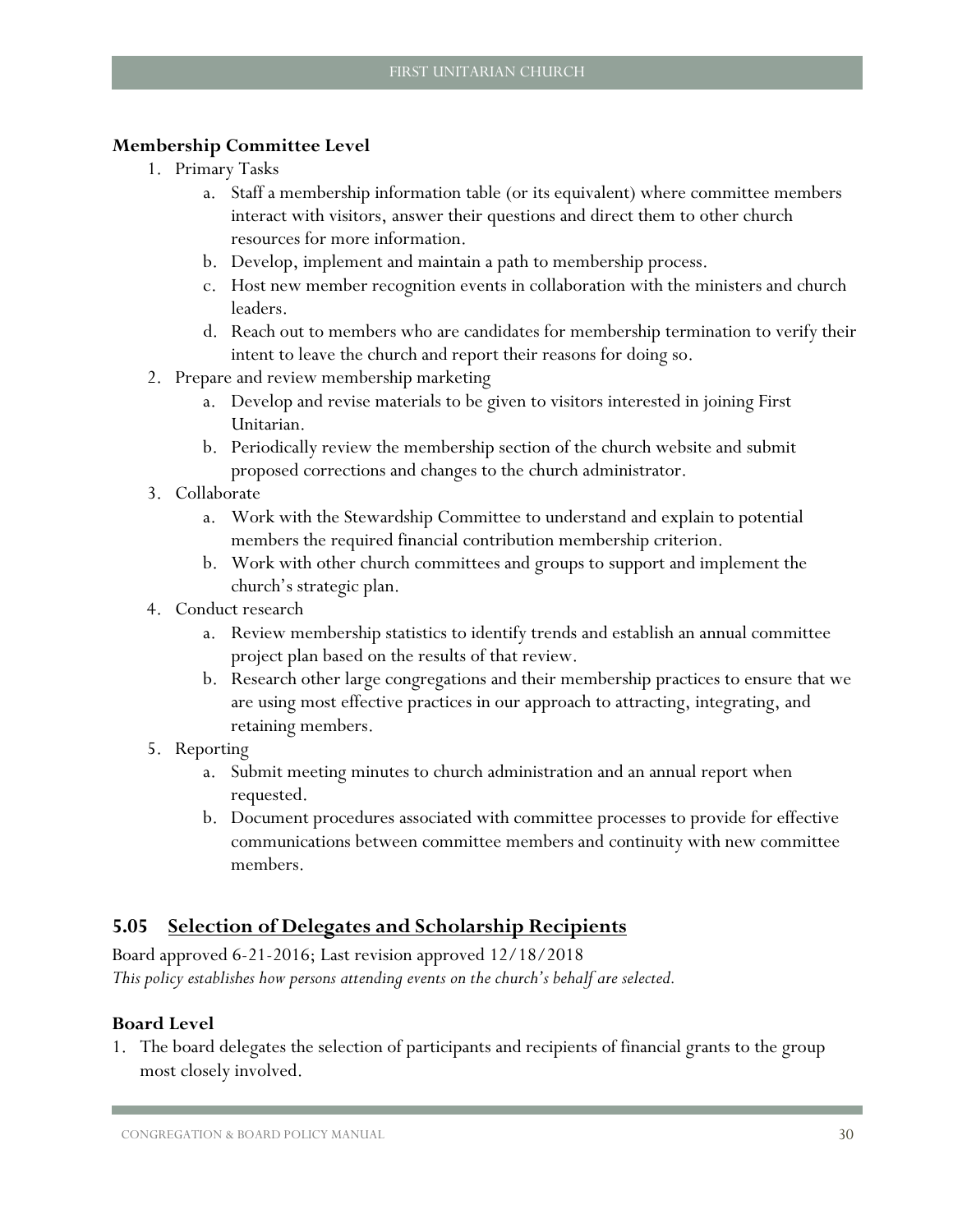#### **Membership Committee Level**

- 1. Primary Tasks
	- a. Staff a membership information table (or its equivalent) where committee members interact with visitors, answer their questions and direct them to other church resources for more information.
	- b. Develop, implement and maintain a path to membership process.
	- c. Host new member recognition events in collaboration with the ministers and church leaders.
	- d. Reach out to members who are candidates for membership termination to verify their intent to leave the church and report their reasons for doing so.
- 2. Prepare and review membership marketing
	- a. Develop and revise materials to be given to visitors interested in joining First Unitarian.
	- b. Periodically review the membership section of the church website and submit proposed corrections and changes to the church administrator.
- 3. Collaborate
	- a. Work with the Stewardship Committee to understand and explain to potential members the required financial contribution membership criterion.
	- b. Work with other church committees and groups to support and implement the church's strategic plan.
- 4. Conduct research
	- a. Review membership statistics to identify trends and establish an annual committee project plan based on the results of that review.
	- b. Research other large congregations and their membership practices to ensure that we are using most effective practices in our approach to attracting, integrating, and retaining members.
- 5. Reporting
	- a. Submit meeting minutes to church administration and an annual report when requested.
	- b. Document procedures associated with committee processes to provide for effective communications between committee members and continuity with new committee members.

## <span id="page-31-0"></span>**5.05 Selection of Delegates and Scholarship Recipients**

Board approved 6-21-2016; Last revision approved 12/18/2018 *This policy establishes how persons attending events on the church's behalf are selected.*

#### **Board Level**

1. The board delegates the selection of participants and recipients of financial grants to the group most closely involved.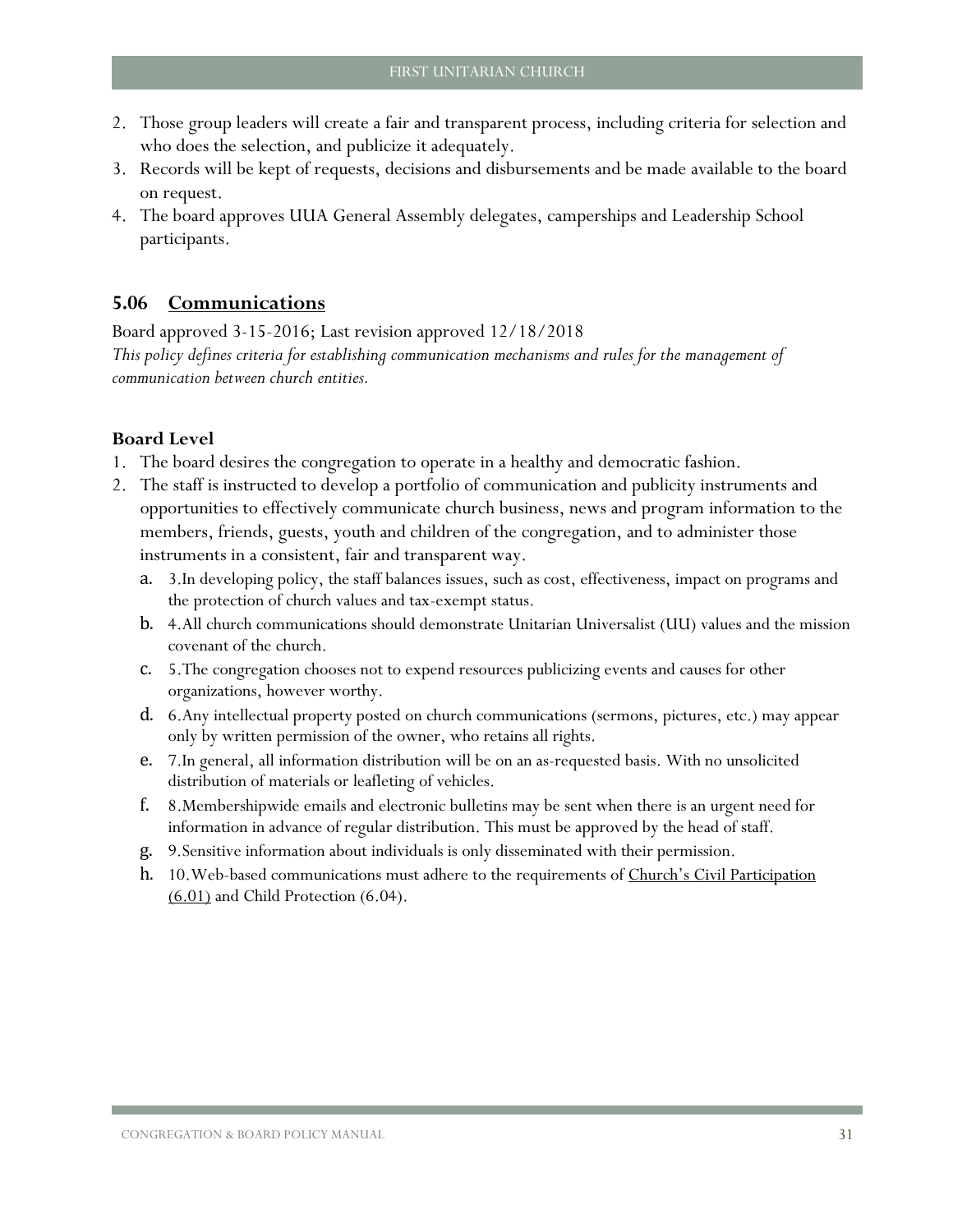- 2. Those group leaders will create a fair and transparent process, including criteria for selection and who does the selection, and publicize it adequately.
- 3. Records will be kept of requests, decisions and disbursements and be made available to the board on request.
- 4. The board approves UUA General Assembly delegates, camperships and Leadership School participants.

### <span id="page-32-0"></span>**5.06 Communications**

Board approved 3-15-2016; Last revision approved 12/18/2018 *This policy defines criteria for establishing communication mechanisms and rules for the management of communication between church entities.*

- 1. The board desires the congregation to operate in a healthy and democratic fashion.
- 2. The staff is instructed to develop a portfolio of communication and publicity instruments and opportunities to effectively communicate church business, news and program information to the members, friends, guests, youth and children of the congregation, and to administer those instruments in a consistent, fair and transparent way.
	- a. 3.In developing policy, the staff balances issues, such as cost, effectiveness, impact on programs and the protection of church values and tax-exempt status.
	- b. 4.All church communications should demonstrate Unitarian Universalist (UU) values and the mission covenant of the church.
	- c. 5.The congregation chooses not to expend resources publicizing events and causes for other organizations, however worthy.
	- d. 6.Any intellectual property posted on church communications (sermons, pictures, etc.) may appear only by written permission of the owner, who retains all rights.
	- e. 7.In general, all information distribution will be on an as-requested basis. With no unsolicited distribution of materials or leafleting of vehicles.
	- f. 8.Membershipwide emails and electronic bulletins may be sent when there is an urgent need for information in advance of regular distribution. This must be approved by the head of staff.
	- g. 9.Sensitive information about individuals is only disseminated with their permission.
	- h. 10. Web-based communications must adhere to the requirements of [Church's Civil Participation](#page-36-0)  $(6.01)$  and Child Protection  $(6.04)$ .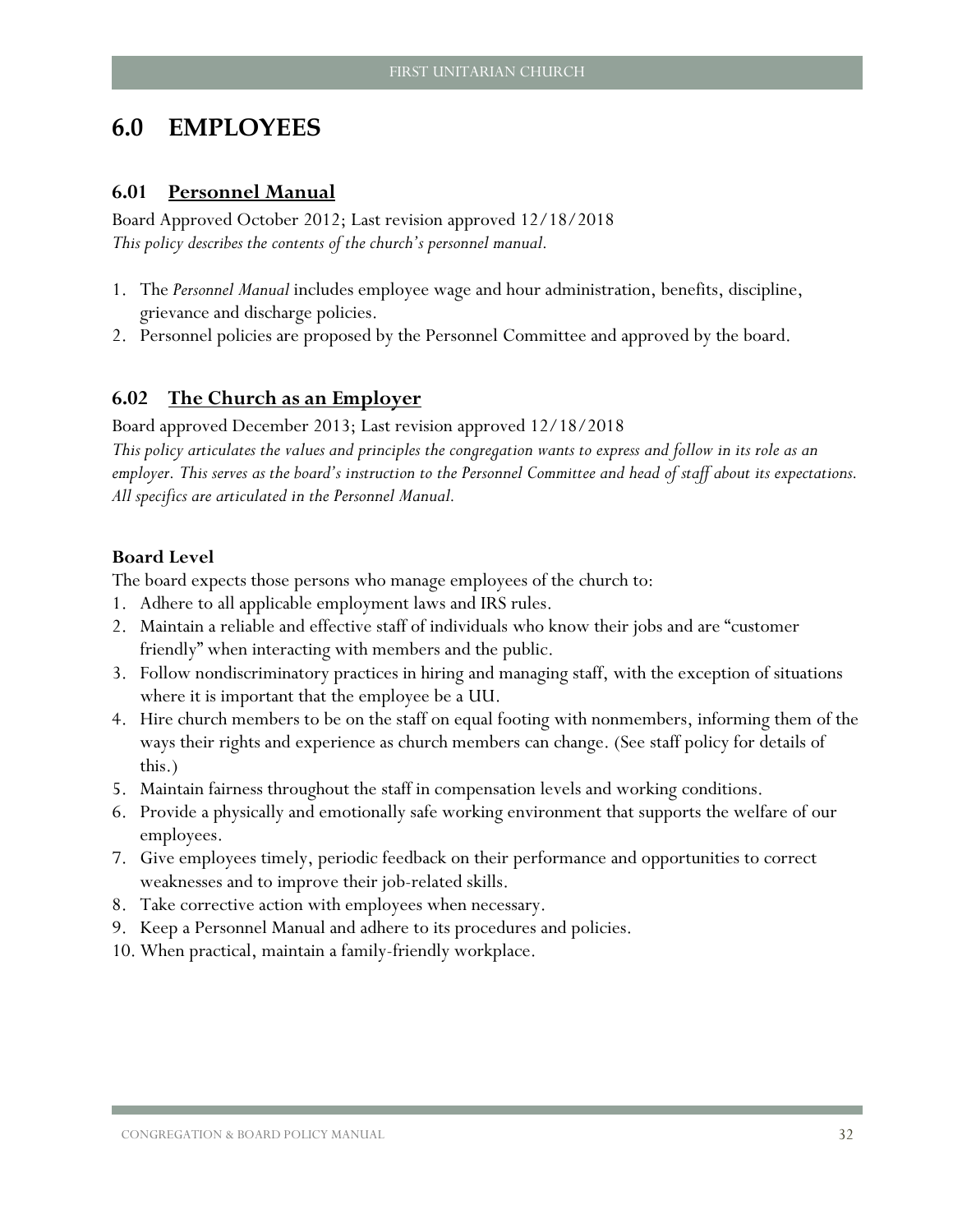## <span id="page-33-0"></span>**6.0 EMPLOYEES**

#### <span id="page-33-1"></span>**6.01 Personnel Manual**

Board Approved October 2012; Last revision approved 12/18/2018 *This policy describes the contents of the church's personnel manual.*

- 1. The *Personnel Manual* includes employee wage and hour administration, benefits, discipline, grievance and discharge policies.
- 2. Personnel policies are proposed by the Personnel Committee and approved by the board.

#### <span id="page-33-2"></span>**6.02 The Church as an Employer**

Board approved December 2013; Last revision approved 12/18/2018 *This policy articulates the values and principles the congregation wants to express and follow in its role as an employer. This serves as the board's instruction to the Personnel Committee and head of staff about its expectations. All specifics are articulated in the Personnel Manual.* 

#### **Board Level**

The board expects those persons who manage employees of the church to:

- 1. Adhere to all applicable employment laws and IRS rules.
- 2. Maintain a reliable and effective staff of individuals who know their jobs and are "customer friendly" when interacting with members and the public.
- 3. Follow nondiscriminatory practices in hiring and managing staff, with the exception of situations where it is important that the employee be a UU.
- 4. Hire church members to be on the staff on equal footing with nonmembers, informing them of the ways their rights and experience as church members can change. (See staff policy for details of this.)
- 5. Maintain fairness throughout the staff in compensation levels and working conditions.
- 6. Provide a physically and emotionally safe working environment that supports the welfare of our employees.
- 7. Give employees timely, periodic feedback on their performance and opportunities to correct weaknesses and to improve their job-related skills.
- 8. Take corrective action with employees when necessary.
- 9. Keep a Personnel Manual and adhere to its procedures and policies.
- 10. When practical, maintain a family-friendly workplace.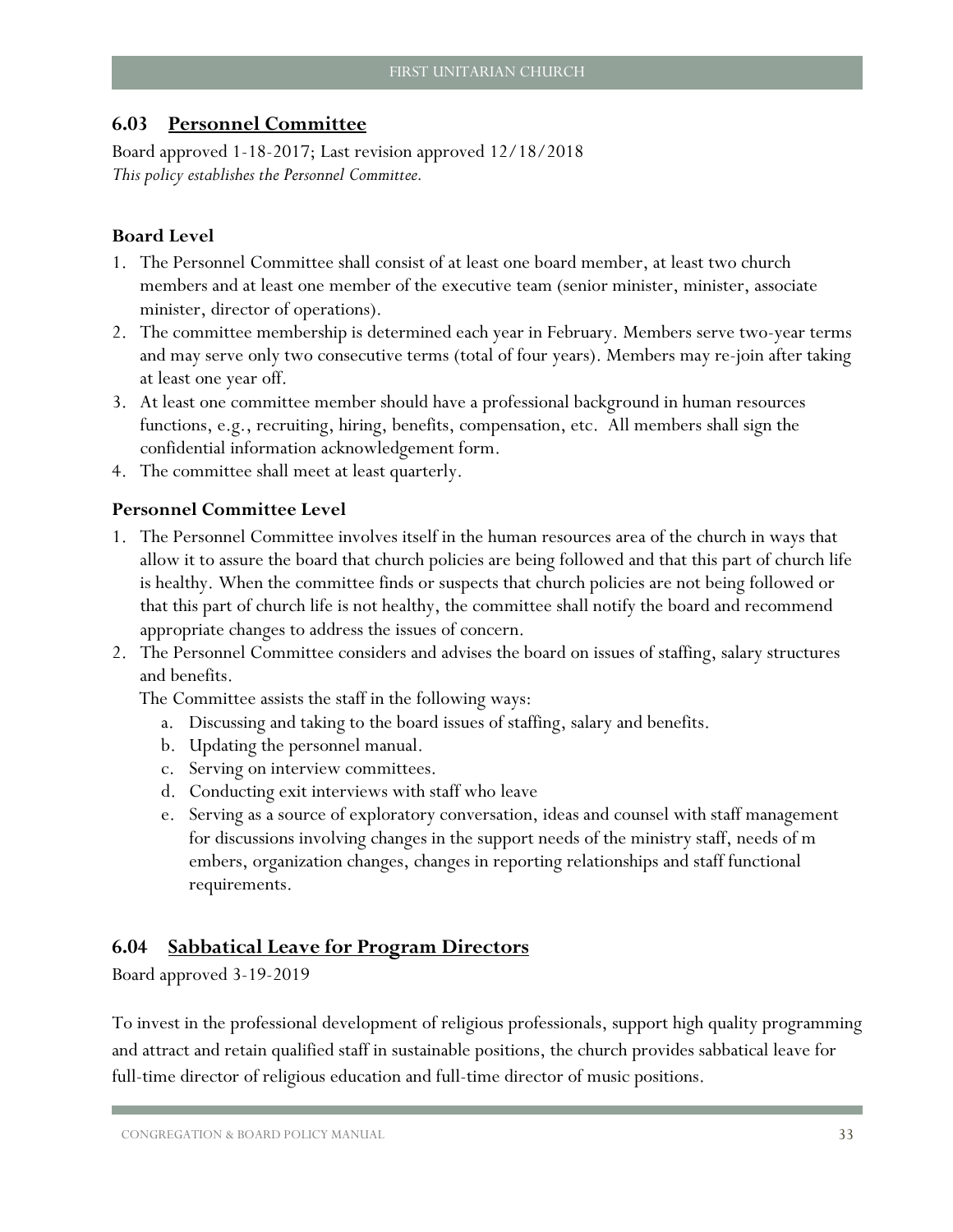## <span id="page-34-0"></span>**6.03 Personnel Committee**

Board approved 1-18-2017; Last revision approved 12/18/2018 *This policy establishes the Personnel Committee.* 

## **Board Level**

- 1. The Personnel Committee shall consist of at least one board member, at least two church members and at least one member of the executive team (senior minister, minister, associate minister, director of operations).
- 2. The committee membership is determined each year in February. Members serve two-year terms and may serve only two consecutive terms (total of four years). Members may re-join after taking at least one year off.
- 3. At least one committee member should have a professional background in human resources functions, e.g., recruiting, hiring, benefits, compensation, etc. All members shall sign the confidential information acknowledgement form.
- 4. The committee shall meet at least quarterly.

## **Personnel Committee Level**

- 1. The Personnel Committee involves itself in the human resources area of the church in ways that allow it to assure the board that church policies are being followed and that this part of church life is healthy. When the committee finds or suspects that church policies are not being followed or that this part of church life is not healthy, the committee shall notify the board and recommend appropriate changes to address the issues of concern.
- 2. The Personnel Committee considers and advises the board on issues of staffing, salary structures and benefits.

The Committee assists the staff in the following ways:

- a. Discussing and taking to the board issues of staffing, salary and benefits.
- b. Updating the personnel manual.
- c. Serving on interview committees.
- d. Conducting exit interviews with staff who leave
- e. Serving as a source of exploratory conversation, ideas and counsel with staff management for discussions involving changes in the support needs of the ministry staff, needs of m embers, organization changes, changes in reporting relationships and staff functional requirements.

## <span id="page-34-1"></span>**6.04 Sabbatical Leave for Program Directors**

Board approved 3-19-2019

To invest in the professional development of religious professionals, support high quality programming and attract and retain qualified staff in sustainable positions, the church provides sabbatical leave for full-time director of religious education and full-time director of music positions.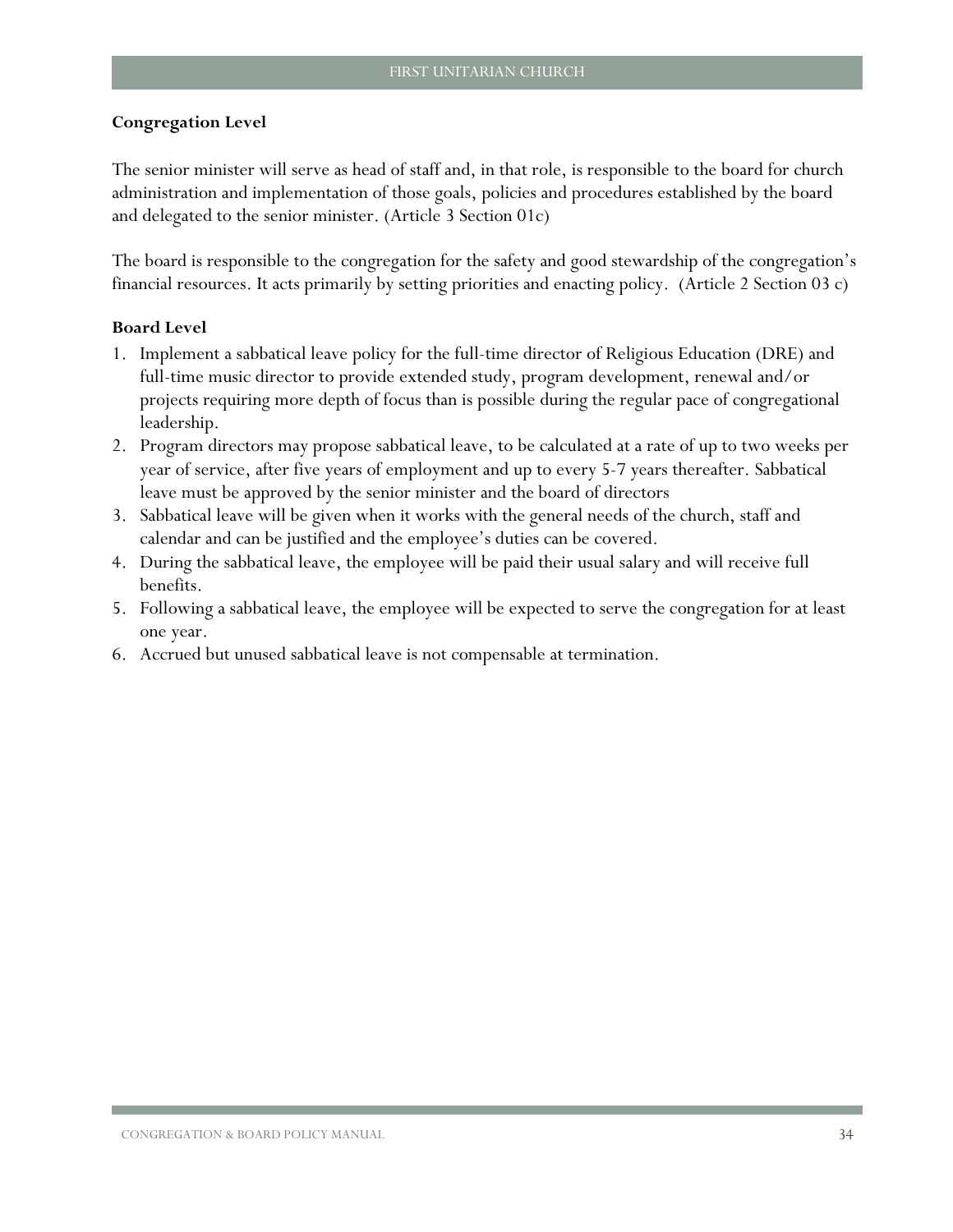#### **Congregation Level**

The senior minister will serve as head of staff and, in that role, is responsible to the board for church administration and implementation of those goals, policies and procedures established by the board and delegated to the senior minister. (Article 3 Section 01c)

The board is responsible to the congregation for the safety and good stewardship of the congregation's financial resources. It acts primarily by setting priorities and enacting policy. (Article 2 Section 03 c)

- 1. Implement a sabbatical leave policy for the full-time director of Religious Education (DRE) and full-time music director to provide extended study, program development, renewal and/or projects requiring more depth of focus than is possible during the regular pace of congregational leadership.
- 2. Program directors may propose sabbatical leave, to be calculated at a rate of up to two weeks per year of service, after five years of employment and up to every 5-7 years thereafter. Sabbatical leave must be approved by the senior minister and the board of directors
- 3. Sabbatical leave will be given when it works with the general needs of the church, staff and calendar and can be justified and the employee's duties can be covered.
- 4. During the sabbatical leave, the employee will be paid their usual salary and will receive full benefits.
- 5. Following a sabbatical leave, the employee will be expected to serve the congregation for at least one year.
- 6. Accrued but unused sabbatical leave is not compensable at termination.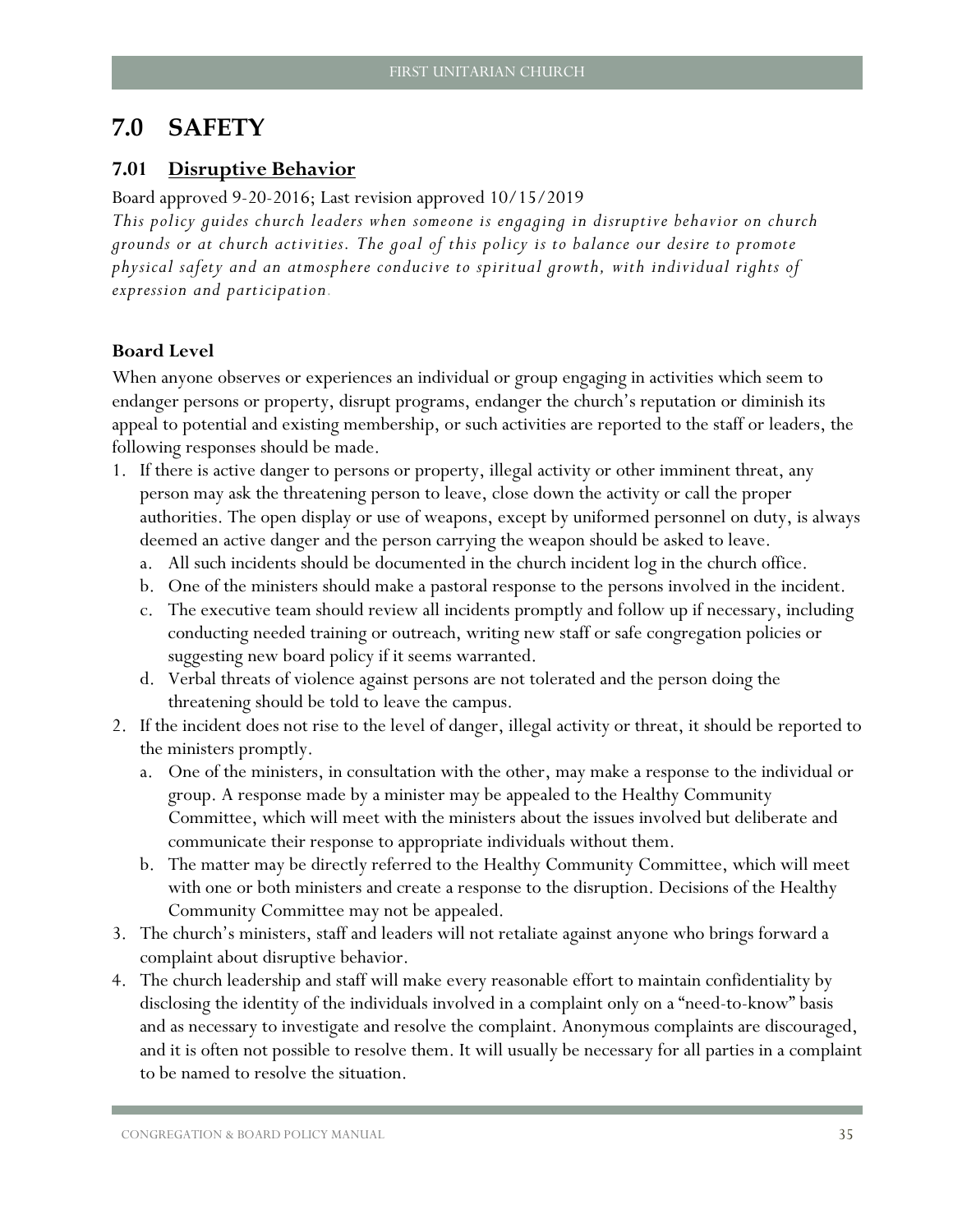## <span id="page-36-0"></span>**7.0 SAFETY**

## <span id="page-36-1"></span>**7.01 Disruptive Behavior**

#### Board approved 9-20-2016; Last revision approved 10/15/2019

*This policy guides church leaders when someone is engaging in disruptive behavior on church grounds or at church activities. The goal of this policy is to balance our desire to promote physical safety and an atmosphere conducive to spiritual growth, with individual rights of expression and participation.* 

## **Board Level**

When anyone observes or experiences an individual or group engaging in activities which seem to endanger persons or property, disrupt programs, endanger the church's reputation or diminish its appeal to potential and existing membership, or such activities are reported to the staff or leaders, the following responses should be made.

- 1. If there is active danger to persons or property, illegal activity or other imminent threat, any person may ask the threatening person to leave, close down the activity or call the proper authorities. The open display or use of weapons, except by uniformed personnel on duty, is always deemed an active danger and the person carrying the weapon should be asked to leave.
	- a. All such incidents should be documented in the church incident log in the church office.
	- b. One of the ministers should make a pastoral response to the persons involved in the incident.
	- c. The executive team should review all incidents promptly and follow up if necessary, including conducting needed training or outreach, writing new staff or safe congregation policies or suggesting new board policy if it seems warranted.
	- d. Verbal threats of violence against persons are not tolerated and the person doing the threatening should be told to leave the campus.
- 2. If the incident does not rise to the level of danger, illegal activity or threat, it should be reported to the ministers promptly.
	- a. One of the ministers, in consultation with the other, may make a response to the individual or group. A response made by a minister may be appealed to the Healthy Community Committee, which will meet with the ministers about the issues involved but deliberate and communicate their response to appropriate individuals without them.
	- b. The matter may be directly referred to the Healthy Community Committee, which will meet with one or both ministers and create a response to the disruption. Decisions of the Healthy Community Committee may not be appealed.
- 3. The church's ministers, staff and leaders will not retaliate against anyone who brings forward a complaint about disruptive behavior.
- 4. The church leadership and staff will make every reasonable effort to maintain confidentiality by disclosing the identity of the individuals involved in a complaint only on a "need-to-know" basis and as necessary to investigate and resolve the complaint. Anonymous complaints are discouraged, and it is often not possible to resolve them. It will usually be necessary for all parties in a complaint to be named to resolve the situation.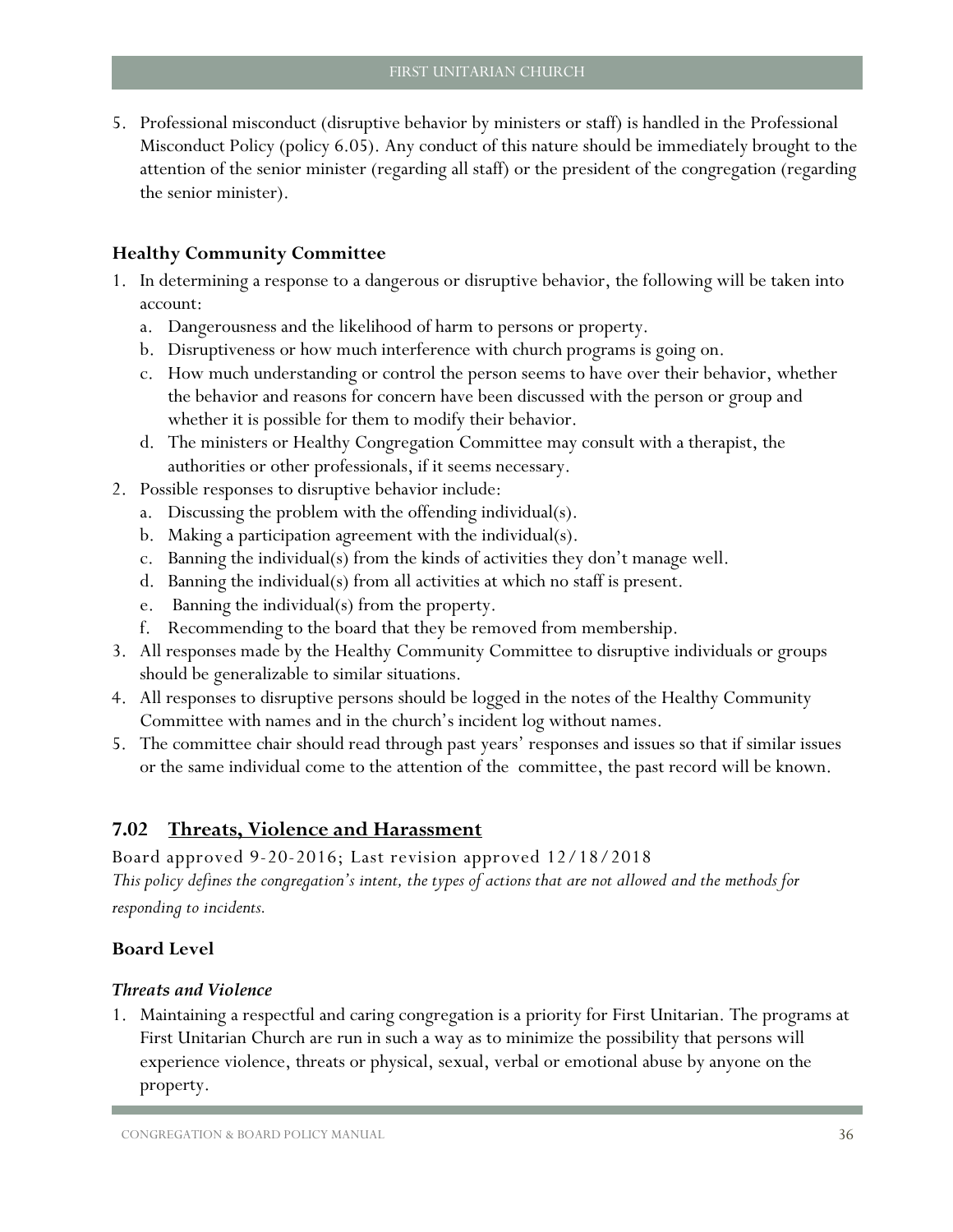5. Professional misconduct (disruptive behavior by ministers or staff) is handled in the Professional Misconduct Policy (policy 6.05). Any conduct of this nature should be immediately brought to the attention of the senior minister (regarding all staff) or the president of the congregation (regarding the senior minister).

#### **Healthy Community Committee**

- 1. In determining a response to a dangerous or disruptive behavior, the following will be taken into account:
	- a. Dangerousness and the likelihood of harm to persons or property.
	- b. Disruptiveness or how much interference with church programs is going on.
	- c. How much understanding or control the person seems to have over their behavior, whether the behavior and reasons for concern have been discussed with the person or group and whether it is possible for them to modify their behavior.
	- d. The ministers or Healthy Congregation Committee may consult with a therapist, the authorities or other professionals, if it seems necessary.
- 2. Possible responses to disruptive behavior include:
	- a. Discussing the problem with the offending individual(s).
	- b. Making a participation agreement with the individual(s).
	- c. Banning the individual(s) from the kinds of activities they don't manage well.
	- d. Banning the individual(s) from all activities at which no staff is present.
	- e. Banning the individual(s) from the property.
	- f. Recommending to the board that they be removed from membership.
- 3. All responses made by the Healthy Community Committee to disruptive individuals or groups should be generalizable to similar situations.
- 4. All responses to disruptive persons should be logged in the notes of the Healthy Community Committee with names and in the church's incident log without names.
- 5. The committee chair should read through past years' responses and issues so that if similar issues or the same individual come to the attention of the committee, the past record will be known.

## <span id="page-37-0"></span>**7.02 Threats, Violence and Harassment**

Board approved 9-20-2016; Last revision approved 12/18/2018 *This policy defines the congregation's intent, the types of actions that are not allowed and the methods for responding to incidents.*

## **Board Level**

#### *Threats and Violence*

1. Maintaining a respectful and caring congregation is a priority for First Unitarian. The programs at First Unitarian Church are run in such a way as to minimize the possibility that persons will experience violence, threats or physical, sexual, verbal or emotional abuse by anyone on the property.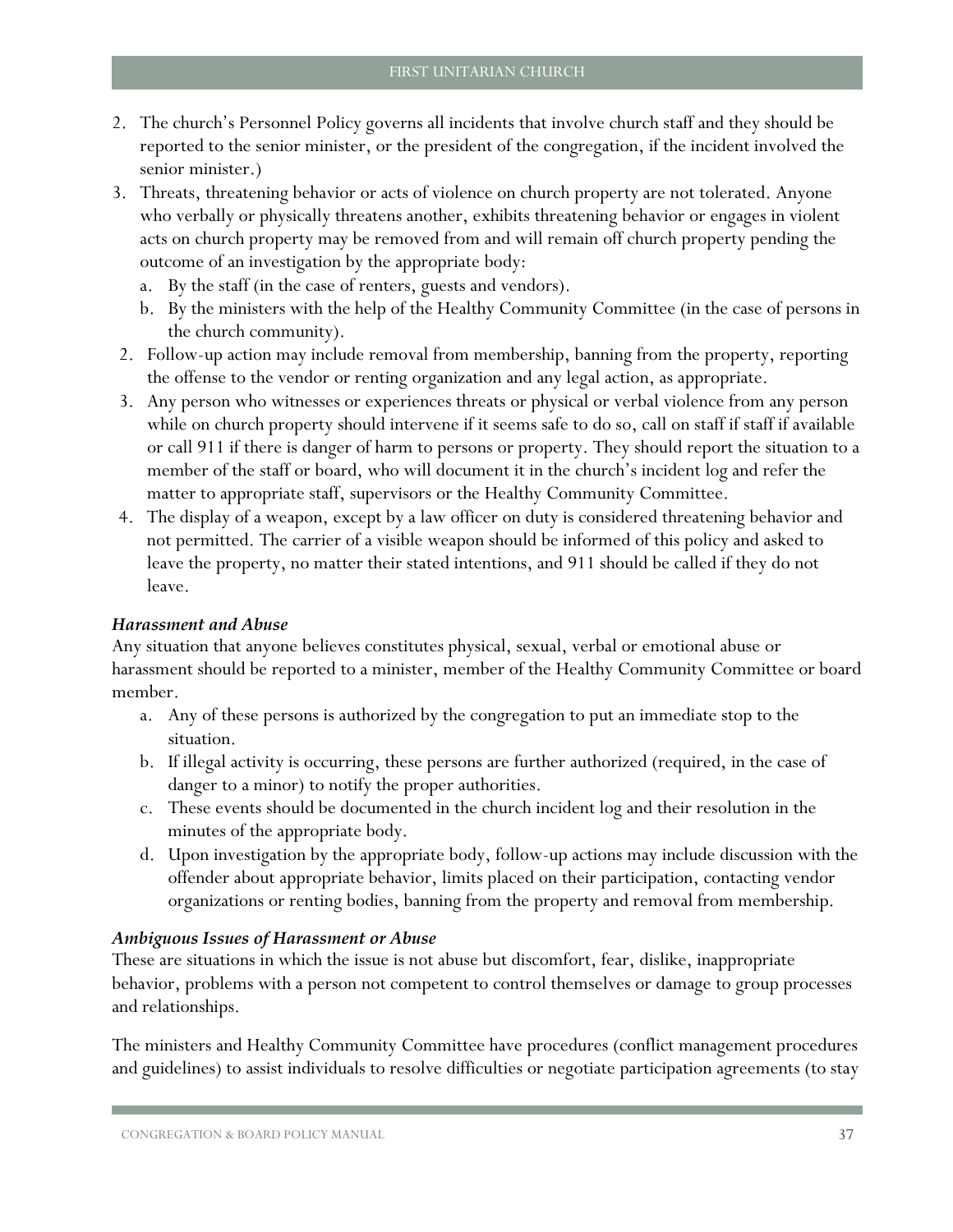- 2. The church's Personnel Policy governs all incidents that involve church staff and they should be reported to the senior minister, or the president of the congregation, if the incident involved the senior minister.)
- 3. Threats, threatening behavior or acts of violence on church property are not tolerated. Anyone who verbally or physically threatens another, exhibits threatening behavior or engages in violent acts on church property may be removed from and will remain off church property pending the outcome of an investigation by the appropriate body:
	- a. By the staff (in the case of renters, guests and vendors).
	- b. By the ministers with the help of the Healthy Community Committee (in the case of persons in the church community).
- 2. Follow-up action may include removal from membership, banning from the property, reporting the offense to the vendor or renting organization and any legal action, as appropriate.
- 3. Any person who witnesses or experiences threats or physical or verbal violence from any person while on church property should intervene if it seems safe to do so, call on staff if staff if available or call 911 if there is danger of harm to persons or property. They should report the situation to a member of the staff or board, who will document it in the church's incident log and refer the matter to appropriate staff, supervisors or the Healthy Community Committee.
- 4. The display of a weapon, except by a law officer on duty is considered threatening behavior and not permitted. The carrier of a visible weapon should be informed of this policy and asked to leave the property, no matter their stated intentions, and 911 should be called if they do not leave.

#### *Harassment and Abuse*

Any situation that anyone believes constitutes physical, sexual, verbal or emotional abuse or harassment should be reported to a minister, member of the Healthy Community Committee or board member.

- a. Any of these persons is authorized by the congregation to put an immediate stop to the situation.
- b. If illegal activity is occurring, these persons are further authorized (required, in the case of danger to a minor) to notify the proper authorities.
- c. These events should be documented in the church incident log and their resolution in the minutes of the appropriate body.
- d. Upon investigation by the appropriate body, follow-up actions may include discussion with the offender about appropriate behavior, limits placed on their participation, contacting vendor organizations or renting bodies, banning from the property and removal from membership.

#### *Ambiguous Issues of Harassment or Abuse*

These are situations in which the issue is not abuse but discomfort, fear, dislike, inappropriate behavior, problems with a person not competent to control themselves or damage to group processes and relationships.

The ministers and Healthy Community Committee have procedures (conflict management procedures and guidelines) to assist individuals to resolve difficulties or negotiate participation agreements (to stay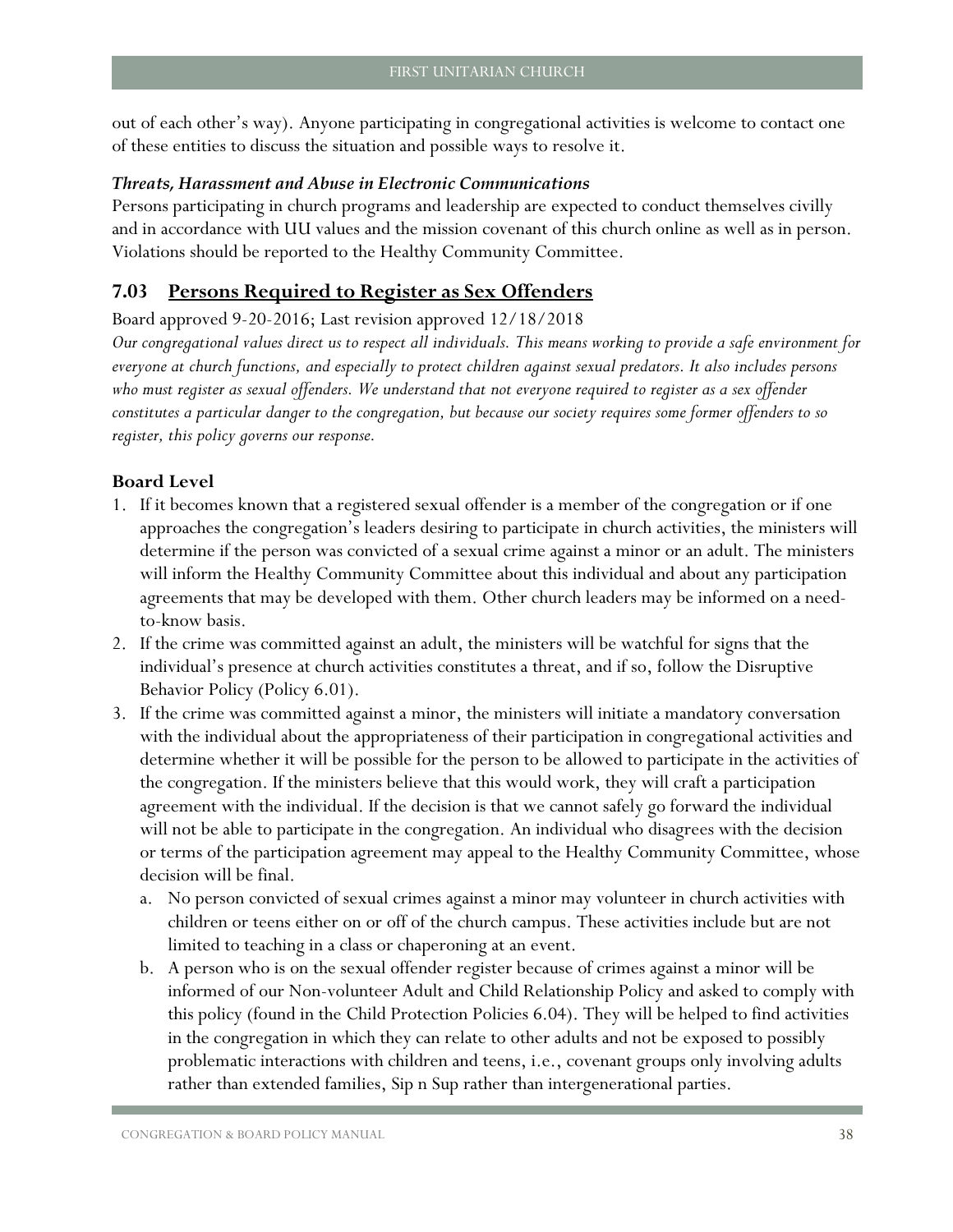out of each other's way). Anyone participating in congregational activities is welcome to contact one of these entities to discuss the situation and possible ways to resolve it.

#### *Threats, Harassment and Abuse in Electronic Communications*

Persons participating in church programs and leadership are expected to conduct themselves civilly and in accordance with UU values and the mission covenant of this church online as well as in person. Violations should be reported to the Healthy Community Committee.

## <span id="page-39-0"></span>**7.03 Persons Required to Register as Sex Offenders**

Board approved 9-20-2016; Last revision approved 12/18/2018

*Our congregational values direct us to respect all individuals. This means working to provide a safe environment for everyone at church functions, and especially to protect children against sexual predators. It also includes persons*  who must register as sexual offenders. We understand that not everyone required to register as a sex offender *constitutes a particular danger to the congregation, but because our society requires some former offenders to so register, this policy governs our response.*

- 1. If it becomes known that a registered sexual offender is a member of the congregation or if one approaches the congregation's leaders desiring to participate in church activities, the ministers will determine if the person was convicted of a sexual crime against a minor or an adult. The ministers will inform the Healthy Community Committee about this individual and about any participation agreements that may be developed with them. Other church leaders may be informed on a needto-know basis.
- 2. If the crime was committed against an adult, the ministers will be watchful for signs that the individual's presence at church activities constitutes a threat, and if so, follow the Disruptive Behavior Policy (Policy 6.01).
- 3. If the crime was committed against a minor, the ministers will initiate a mandatory conversation with the individual about the appropriateness of their participation in congregational activities and determine whether it will be possible for the person to be allowed to participate in the activities of the congregation. If the ministers believe that this would work, they will craft a participation agreement with the individual. If the decision is that we cannot safely go forward the individual will not be able to participate in the congregation. An individual who disagrees with the decision or terms of the participation agreement may appeal to the Healthy Community Committee, whose decision will be final.
	- a. No person convicted of sexual crimes against a minor may volunteer in church activities with children or teens either on or off of the church campus. These activities include but are not limited to teaching in a class or chaperoning at an event.
	- b. A person who is on the sexual offender register because of crimes against a minor will be informed of our Non-volunteer Adult and Child Relationship Policy and asked to comply with this policy (found in the Child Protection Policies 6.04). They will be helped to find activities in the congregation in which they can relate to other adults and not be exposed to possibly problematic interactions with children and teens, i.e., covenant groups only involving adults rather than extended families, Sip n Sup rather than intergenerational parties.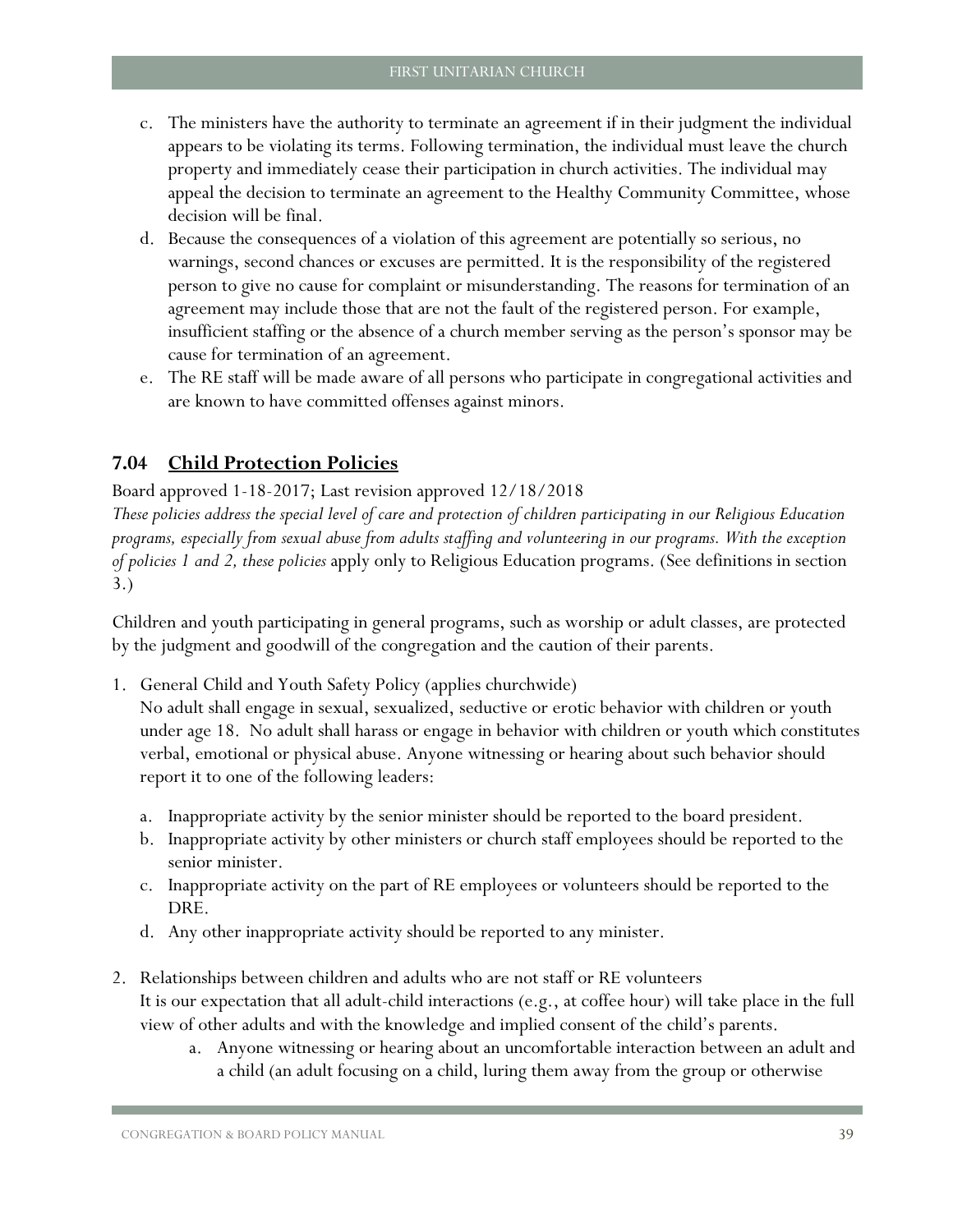- c. The ministers have the authority to terminate an agreement if in their judgment the individual appears to be violating its terms. Following termination, the individual must leave the church property and immediately cease their participation in church activities. The individual may appeal the decision to terminate an agreement to the Healthy Community Committee, whose decision will be final.
- d. Because the consequences of a violation of this agreement are potentially so serious, no warnings, second chances or excuses are permitted. It is the responsibility of the registered person to give no cause for complaint or misunderstanding. The reasons for termination of an agreement may include those that are not the fault of the registered person. For example, insufficient staffing or the absence of a church member serving as the person's sponsor may be cause for termination of an agreement.
- e. The RE staff will be made aware of all persons who participate in congregational activities and are known to have committed offenses against minors.

## <span id="page-40-0"></span>**7.04 Child Protection Policies**

Board approved 1-18-2017; Last revision approved 12/18/2018

*These policies address the special level of care and protection of children participating in our Religious Education programs, especially from sexual abuse from adults staffing and volunteering in our programs. With the exception of policies 1 and 2, these policies* apply only to Religious Education programs. (See definitions in section 3.)

Children and youth participating in general programs, such as worship or adult classes, are protected by the judgment and goodwill of the congregation and the caution of their parents.

1. General Child and Youth Safety Policy (applies churchwide)

No adult shall engage in sexual, sexualized, seductive or erotic behavior with children or youth under age 18. No adult shall harass or engage in behavior with children or youth which constitutes verbal, emotional or physical abuse. Anyone witnessing or hearing about such behavior should report it to one of the following leaders:

- a. Inappropriate activity by the senior minister should be reported to the board president.
- b. Inappropriate activity by other ministers or church staff employees should be reported to the senior minister.
- c. Inappropriate activity on the part of RE employees or volunteers should be reported to the DRE.
- d. Any other inappropriate activity should be reported to any minister.
- 2. Relationships between children and adults who are not staff or RE volunteers It is our expectation that all adult-child interactions (e.g., at coffee hour) will take place in the full view of other adults and with the knowledge and implied consent of the child's parents.
	- a. Anyone witnessing or hearing about an uncomfortable interaction between an adult and a child (an adult focusing on a child, luring them away from the group or otherwise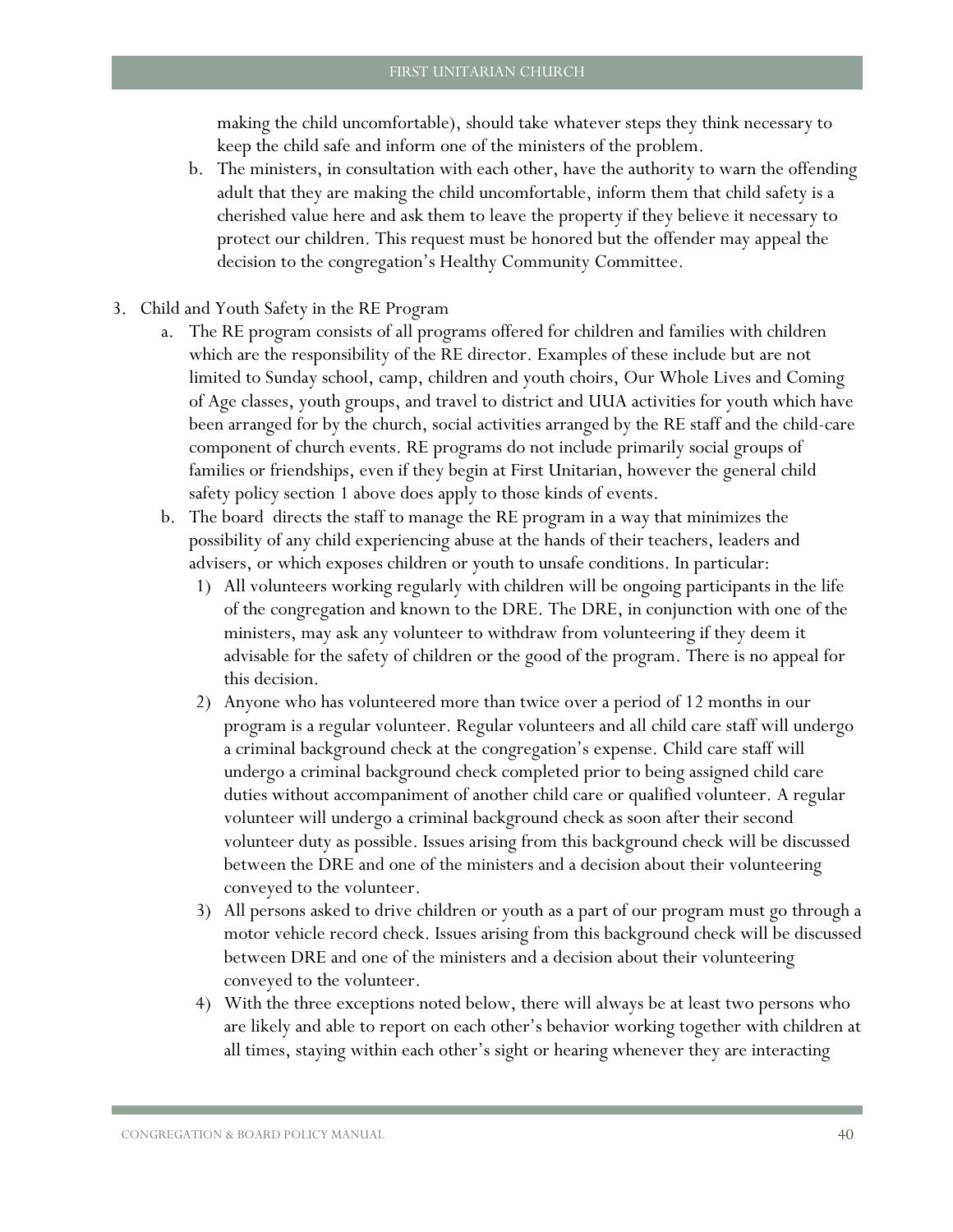making the child uncomfortable), should take whatever steps they think necessary to keep the child safe and inform one of the ministers of the problem.

- b. The ministers, in consultation with each other, have the authority to warn the offending adult that they are making the child uncomfortable, inform them that child safety is a cherished value here and ask them to leave the property if they believe it necessary to protect our children. This request must be honored but the offender may appeal the decision to the congregation's Healthy Community Committee.
- 3. Child and Youth Safety in the RE Program
	- a. The RE program consists of all programs offered for children and families with children which are the responsibility of the RE director. Examples of these include but are not limited to Sunday school, camp, children and youth choirs, Our Whole Lives and Coming of Age classes, youth groups, and travel to district and UUA activities for youth which have been arranged for by the church, social activities arranged by the RE staff and the child-care component of church events. RE programs do not include primarily social groups of families or friendships, even if they begin at First Unitarian, however the general child safety policy section 1 above does apply to those kinds of events.
	- b. The board directs the staff to manage the RE program in a way that minimizes the possibility of any child experiencing abuse at the hands of their teachers, leaders and advisers, or which exposes children or youth to unsafe conditions. In particular:
		- 1) All volunteers working regularly with children will be ongoing participants in the life of the congregation and known to the DRE. The DRE, in conjunction with one of the ministers, may ask any volunteer to withdraw from volunteering if they deem it advisable for the safety of children or the good of the program. There is no appeal for this decision.
		- 2) Anyone who has volunteered more than twice over a period of 12 months in our program is a regular volunteer. Regular volunteers and all child care staff will undergo a criminal background check at the congregation's expense. Child care staff will undergo a criminal background check completed prior to being assigned child care duties without accompaniment of another child care or qualified volunteer. A regular volunteer will undergo a criminal background check as soon after their second volunteer duty as possible. Issues arising from this background check will be discussed between the DRE and one of the ministers and a decision about their volunteering conveyed to the volunteer.
		- 3) All persons asked to drive children or youth as a part of our program must go through a motor vehicle record check. Issues arising from this background check will be discussed between DRE and one of the ministers and a decision about their volunteering conveyed to the volunteer.
		- 4) With the three exceptions noted below, there will always be at least two persons who are likely and able to report on each other's behavior working together with children at all times, staying within each other's sight or hearing whenever they are interacting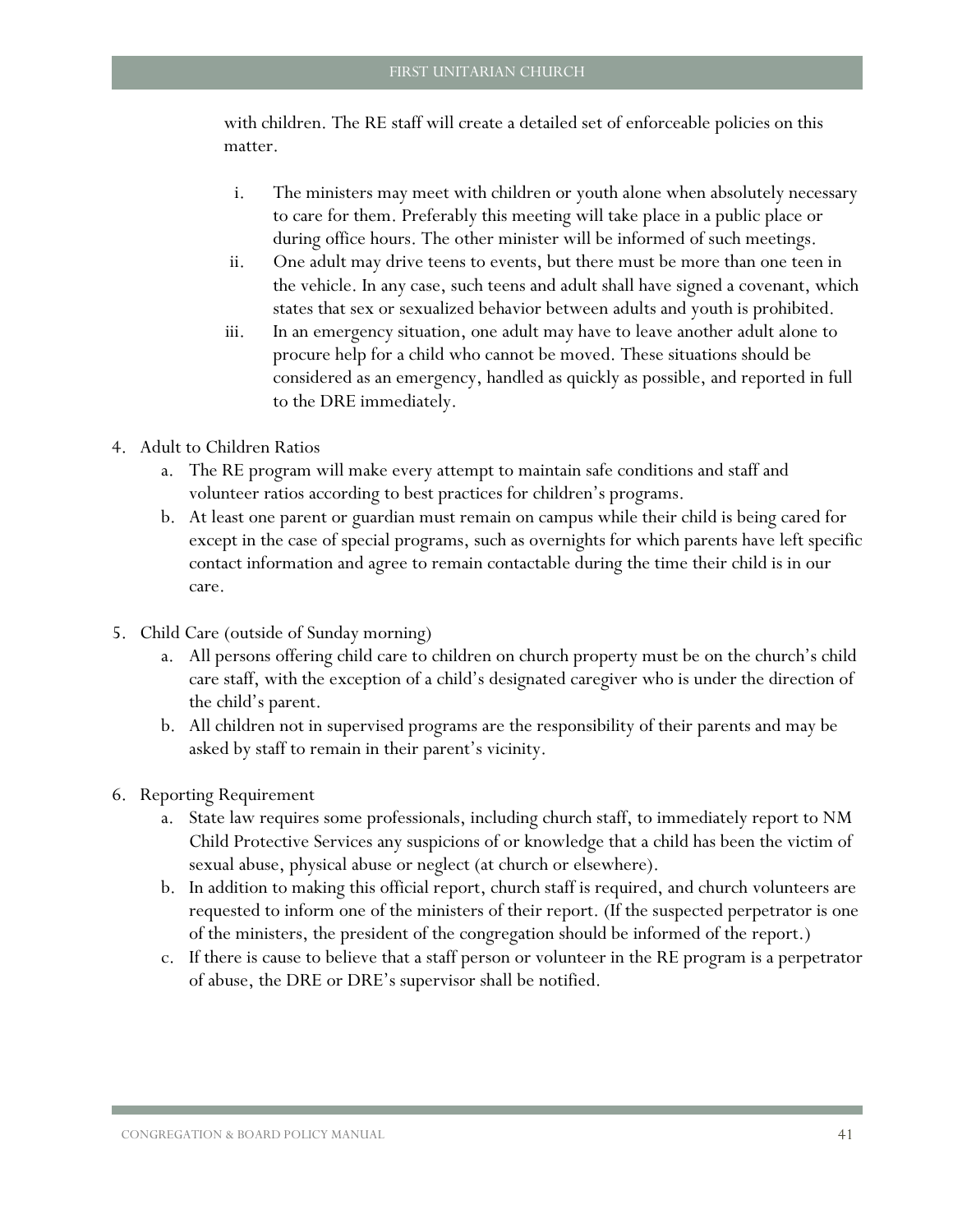with children. The RE staff will create a detailed set of enforceable policies on this matter.

- i. The ministers may meet with children or youth alone when absolutely necessary to care for them. Preferably this meeting will take place in a public place or during office hours. The other minister will be informed of such meetings.
- ii. One adult may drive teens to events, but there must be more than one teen in the vehicle. In any case, such teens and adult shall have signed a covenant, which states that sex or sexualized behavior between adults and youth is prohibited.
- iii. In an emergency situation, one adult may have to leave another adult alone to procure help for a child who cannot be moved. These situations should be considered as an emergency, handled as quickly as possible, and reported in full to the DRE immediately.
- 4. Adult to Children Ratios
	- a. The RE program will make every attempt to maintain safe conditions and staff and volunteer ratios according to best practices for children's programs.
	- b. At least one parent or guardian must remain on campus while their child is being cared for except in the case of special programs, such as overnights for which parents have left specific contact information and agree to remain contactable during the time their child is in our care.
- 5. Child Care (outside of Sunday morning)
	- a. All persons offering child care to children on church property must be on the church's child care staff, with the exception of a child's designated caregiver who is under the direction of the child's parent.
	- b. All children not in supervised programs are the responsibility of their parents and may be asked by staff to remain in their parent's vicinity.
- 6. Reporting Requirement
	- a. State law requires some professionals, including church staff, to immediately report to NM Child Protective Services any suspicions of or knowledge that a child has been the victim of sexual abuse, physical abuse or neglect (at church or elsewhere).
	- b. In addition to making this official report, church staff is required, and church volunteers are requested to inform one of the ministers of their report. (If the suspected perpetrator is one of the ministers, the president of the congregation should be informed of the report.)
	- c. If there is cause to believe that a staff person or volunteer in the RE program is a perpetrator of abuse, the DRE or DRE's supervisor shall be notified.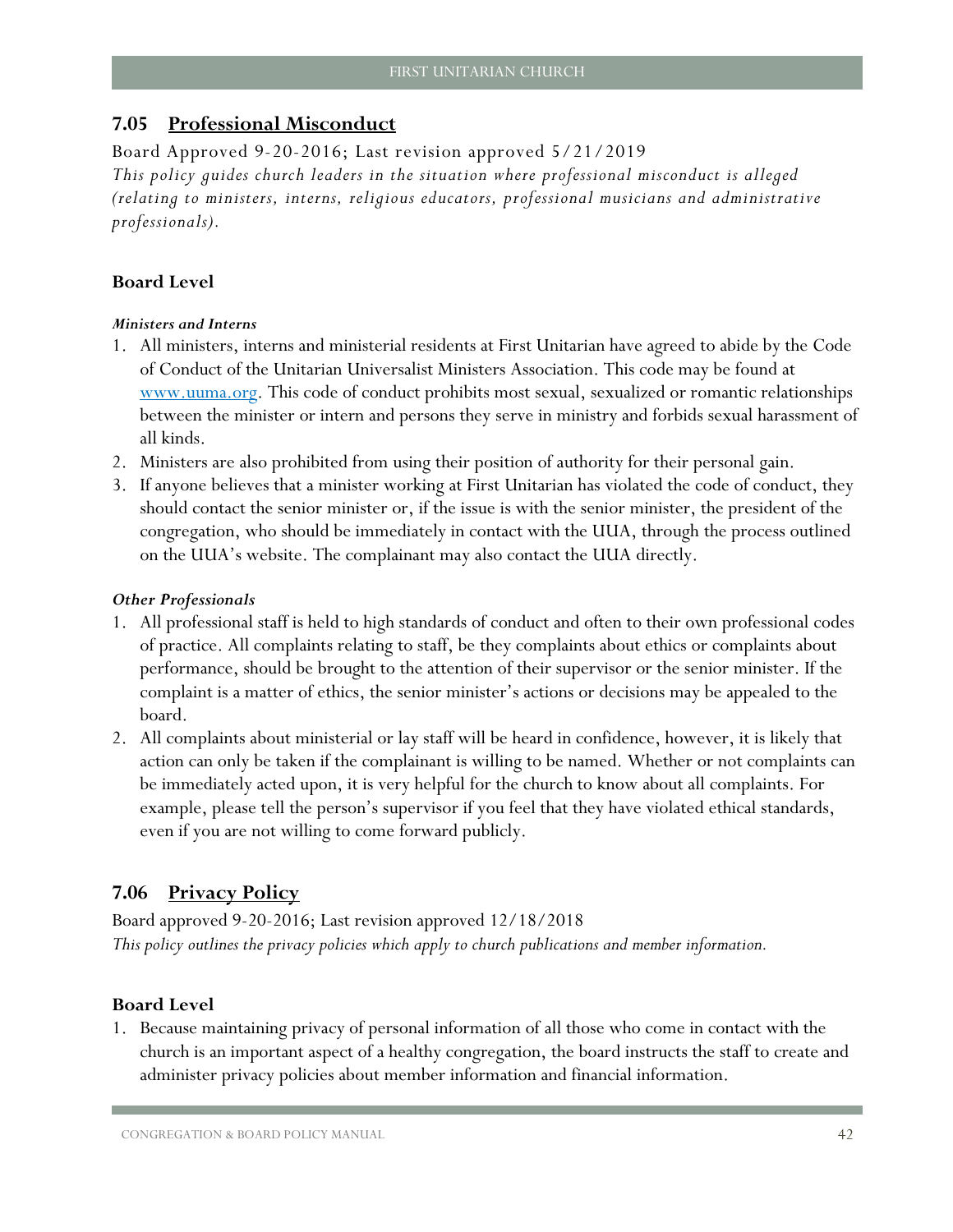## <span id="page-43-0"></span>**7.05 Professional Misconduct**

Board Approved 9-20-2016; Last revision approved 5/21/2019

*This policy guides church leaders in the situation where professional misconduct is alleged (relating to ministers, interns, religious educators, professional musicians and administrative professionals).*

## **Board Level**

#### *Ministers and Interns*

- 1. All ministers, interns and ministerial residents at First Unitarian have agreed to abide by the Code of Conduct of the Unitarian Universalist Ministers Association. This code may be found at [www.uuma.org.](http://www.uuma.org/) This code of conduct prohibits most sexual, sexualized or romantic relationships between the minister or intern and persons they serve in ministry and forbids sexual harassment of all kinds.
- 2. Ministers are also prohibited from using their position of authority for their personal gain.
- 3. If anyone believes that a minister working at First Unitarian has violated the code of conduct, they should contact the senior minister or, if the issue is with the senior minister, the president of the congregation, who should be immediately in contact with the UUA, through the process outlined on the UUA's website. The complainant may also contact the UUA directly.

#### *Other Professionals*

- 1. All professional staff is held to high standards of conduct and often to their own professional codes of practice. All complaints relating to staff, be they complaints about ethics or complaints about performance, should be brought to the attention of their supervisor or the senior minister. If the complaint is a matter of ethics, the senior minister's actions or decisions may be appealed to the board.
- 2. All complaints about ministerial or lay staff will be heard in confidence, however, it is likely that action can only be taken if the complainant is willing to be named. Whether or not complaints can be immediately acted upon, it is very helpful for the church to know about all complaints. For example, please tell the person's supervisor if you feel that they have violated ethical standards, even if you are not willing to come forward publicly.

## <span id="page-43-1"></span>**7.06 Privacy Policy**

Board approved 9-20-2016; Last revision approved 12/18/2018 *This policy outlines the privacy policies which apply to church publications and member information.* 

#### **Board Level**

1. Because maintaining privacy of personal information of all those who come in contact with the church is an important aspect of a healthy congregation, the board instructs the staff to create and administer privacy policies about member information and financial information.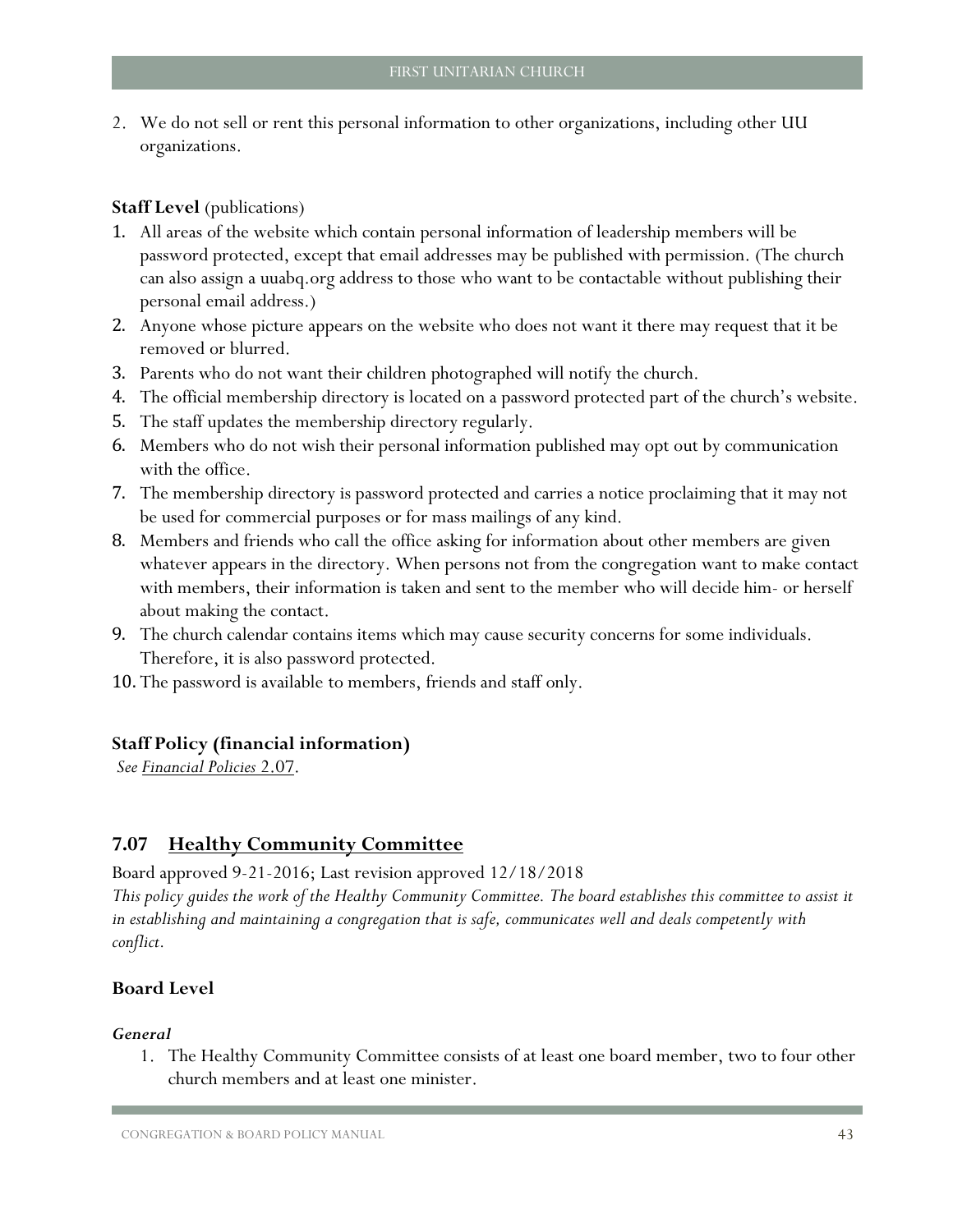2. We do not sell or rent this personal information to other organizations, including other UU organizations.

### **Staff Level** (publications)

- 1. All areas of the website which contain personal information of leadership members will be password protected, except that email addresses may be published with permission. (The church can also assign a uuabq.org address to those who want to be contactable without publishing their personal email address.)
- 2. Anyone whose picture appears on the website who does not want it there may request that it be removed or blurred.
- 3. Parents who do not want their children photographed will notify the church.
- 4. The official membership directory is located on a password protected part of the church's website.
- 5. The staff updates the membership directory regularly.
- 6. Members who do not wish their personal information published may opt out by communication with the office.
- 7. The membership directory is password protected and carries a notice proclaiming that it may not be used for commercial purposes or for mass mailings of any kind.
- 8. Members and friends who call the office asking for information about other members are given whatever appears in the directory. When persons not from the congregation want to make contact with members, their information is taken and sent to the member who will decide him- or herself about making the contact.
- 9. The church calendar contains items which may cause security concerns for some individuals. Therefore, it is also password protected.
- 10. The password is available to members, friends and staff only.

#### **Staff Policy (financial information)**

*See [Financial Policies](#page-16-0)* 2.07.

## <span id="page-44-0"></span>**7.07 Healthy Community Committee**

Board approved 9-21-2016; Last revision approved 12/18/2018

*This policy guides the work of the Healthy Community Committee. The board establishes this committee to assist it in establishing and maintaining a congregation that is safe, communicates well and deals competently with conflict.*

## **Board Level**

#### *General*

1. The Healthy Community Committee consists of at least one board member, two to four other church members and at least one minister.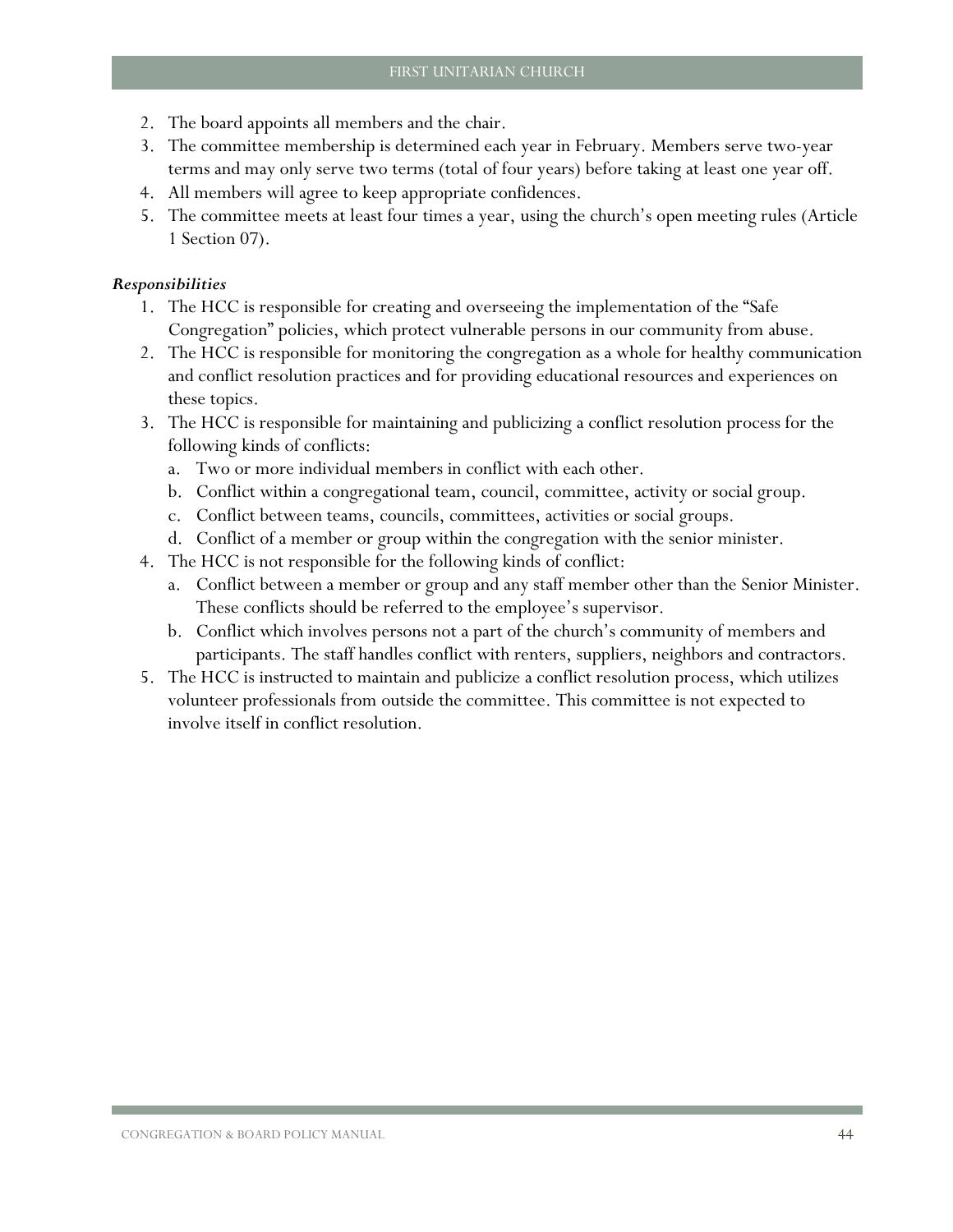- 2. The board appoints all members and the chair.
- 3. The committee membership is determined each year in February. Members serve two-year terms and may only serve two terms (total of four years) before taking at least one year off.
- 4. All members will agree to keep appropriate confidences.
- 5. The committee meets at least four times a year, using the church's open meeting rules (Article 1 Section 07).

#### *Responsibilities*

- 1. The HCC is responsible for creating and overseeing the implementation of the "Safe Congregation" policies, which protect vulnerable persons in our community from abuse.
- 2. The HCC is responsible for monitoring the congregation as a whole for healthy communication and conflict resolution practices and for providing educational resources and experiences on these topics.
- 3. The HCC is responsible for maintaining and publicizing a conflict resolution process for the following kinds of conflicts:
	- a. Two or more individual members in conflict with each other.
	- b. Conflict within a congregational team, council, committee, activity or social group.
	- c. Conflict between teams, councils, committees, activities or social groups.
	- d. Conflict of a member or group within the congregation with the senior minister.
- 4. The HCC is not responsible for the following kinds of conflict:
	- a. Conflict between a member or group and any staff member other than the Senior Minister. These conflicts should be referred to the employee's supervisor.
	- b. Conflict which involves persons not a part of the church's community of members and participants. The staff handles conflict with renters, suppliers, neighbors and contractors.
- <span id="page-45-0"></span>5. The HCC is instructed to maintain and publicize a conflict resolution process, which utilizes volunteer professionals from outside the committee. This committee is not expected to involve itself in conflict resolution.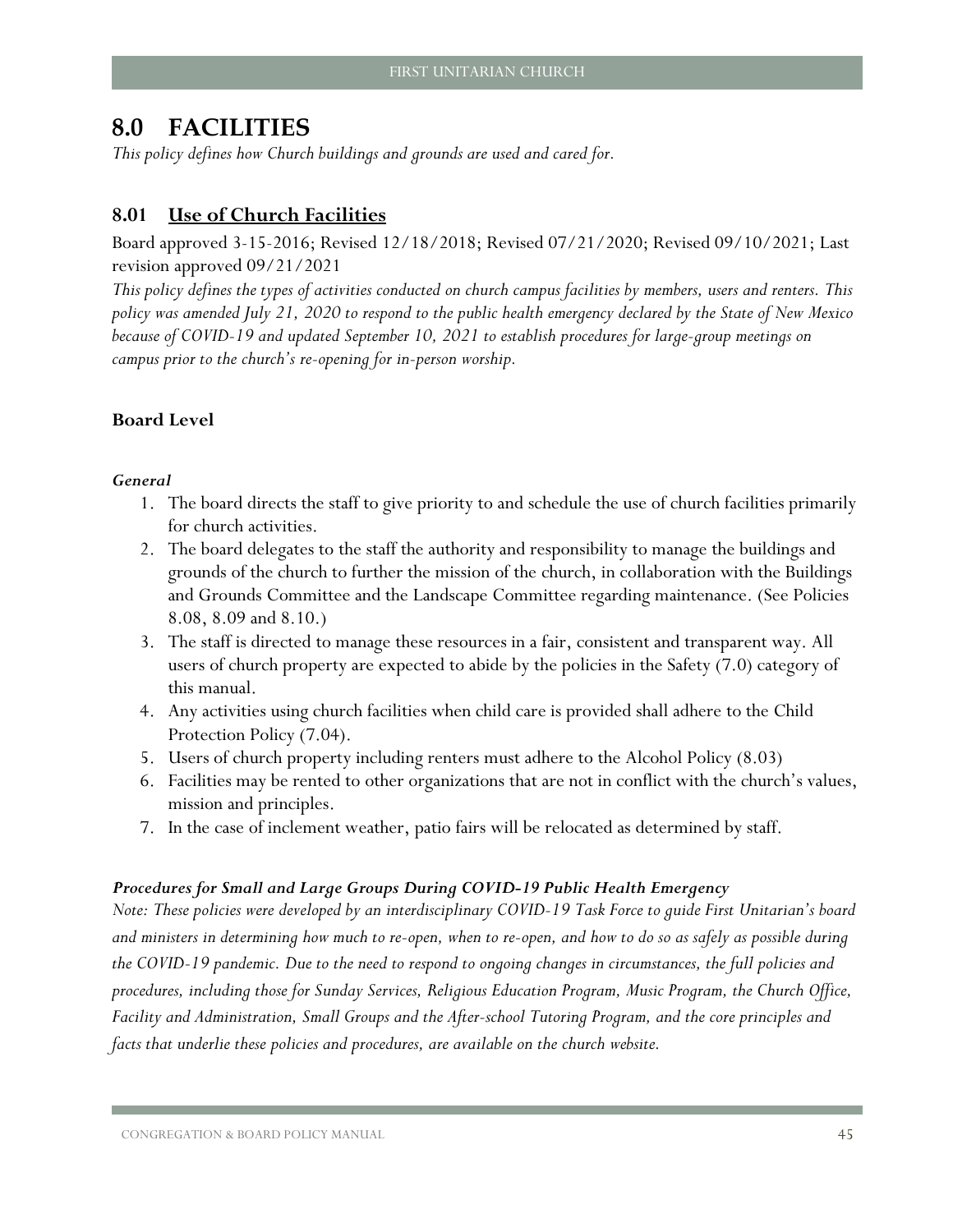## <span id="page-46-0"></span>**8.0 FACILITIES**

*This policy defines how Church buildings and grounds are used and cared for.*

## <span id="page-46-1"></span>**8.01 Use of Church Facilities**

Board approved 3-15-2016; Revised 12/18/2018; Revised 07/21/2020; Revised 09/10/2021; Last revision approved 09/21/2021

*This policy defines the types of activities conducted on church campus facilities by members, users and renters. This policy was amended July 21, 2020 to respond to the public health emergency declared by the State of New Mexico because of COVID-19 and updated September 10, 2021 to establish procedures for large-group meetings on campus prior to the church's re-opening for in-person worship.*

#### **Board Level**

#### *General*

- 1. The board directs the staff to give priority to and schedule the use of church facilities primarily for church activities.
- 2. The board delegates to the staff the authority and responsibility to manage the buildings and grounds of the church to further the mission of the church, in collaboration with the Buildings and Grounds Committee and the Landscape Committee regarding maintenance. (See Policies [8.08,](#page-49-1) [8.09](#page-51-0) and [8.10.](#page-51-1))
- 3. The staff is directed to manage these resources in a fair, consistent and transparent way. All users of church property are expected to abide by the policies in the Safety [\(7.0\)](#page-36-0) category of this manual.
- 4. Any activities using church facilities when child care is provided shall adhere to the Child Protection Policy [\(7.04\)](#page-40-0).
- 5. Users of church property including renters must adhere to the Alcohol Policy [\(8.03\)](#page-47-1)
- 6. Facilities may be rented to other organizations that are not in conflict with the church's values, mission and principles.
- 7. In the case of inclement weather, patio fairs will be relocated as determined by staff.

#### <span id="page-46-2"></span>*Procedures for Small and Large Groups During COVID-19 Public Health Emergency*

*Note: These policies were developed by an interdisciplinary COVID-19 Task Force to guide First Unitarian's board and ministers in determining how much to re-open, when to re-open, and how to do so as safely as possible during the COVID-19 pandemic. Due to the need to respond to ongoing changes in circumstances, the full policies and procedures, including those for Sunday Services, Religious Education Program, Music Program, the Church Office, Facility and Administration, Small Groups and the After-school Tutoring Program, and the core principles and facts that underlie these policies and procedures, are available on the church website.*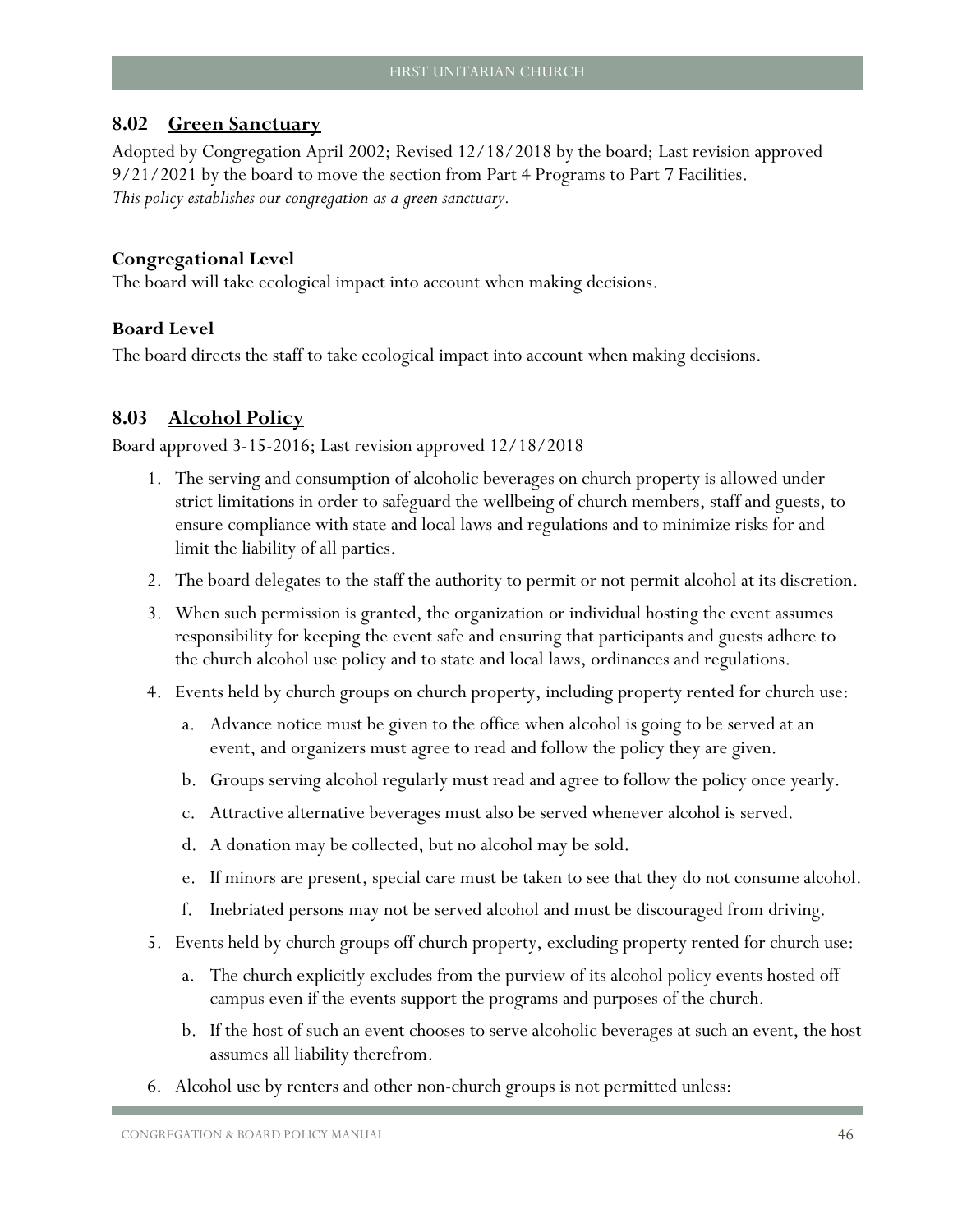## <span id="page-47-0"></span>**8.02 Green Sanctuary**

Adopted by Congregation April 2002; Revised 12/18/2018 by the board; Last revision approved 9/21/2021 by the board to move the section from Part 4 Programs to Part 7 Facilities. *This policy establishes our congregation as a green sanctuary.*

#### **Congregational Level**

The board will take ecological impact into account when making decisions.

#### **Board Level**

The board directs the staff to take ecological impact into account when making decisions.

## <span id="page-47-1"></span>**8.03 Alcohol Policy**

Board approved 3-15-2016; Last revision approved 12/18/2018

- 1. The serving and consumption of alcoholic beverages on church property is allowed under strict limitations in order to safeguard the wellbeing of church members, staff and guests, to ensure compliance with state and local laws and regulations and to minimize risks for and limit the liability of all parties.
- 2. The board delegates to the staff the authority to permit or not permit alcohol at its discretion.
- 3. When such permission is granted, the organization or individual hosting the event assumes responsibility for keeping the event safe and ensuring that participants and guests adhere to the church alcohol use policy and to state and local laws, ordinances and regulations.
- 4. Events held by church groups on church property, including property rented for church use:
	- a. Advance notice must be given to the office when alcohol is going to be served at an event, and organizers must agree to read and follow the policy they are given.
	- b. Groups serving alcohol regularly must read and agree to follow the policy once yearly.
	- c. Attractive alternative beverages must also be served whenever alcohol is served.
	- d. A donation may be collected, but no alcohol may be sold.
	- e. If minors are present, special care must be taken to see that they do not consume alcohol.
	- f. Inebriated persons may not be served alcohol and must be discouraged from driving.
- 5. Events held by church groups off church property, excluding property rented for church use:
	- a. The church explicitly excludes from the purview of its alcohol policy events hosted off campus even if the events support the programs and purposes of the church.
	- b. If the host of such an event chooses to serve alcoholic beverages at such an event, the host assumes all liability therefrom.
- 6. Alcohol use by renters and other non-church groups is not permitted unless: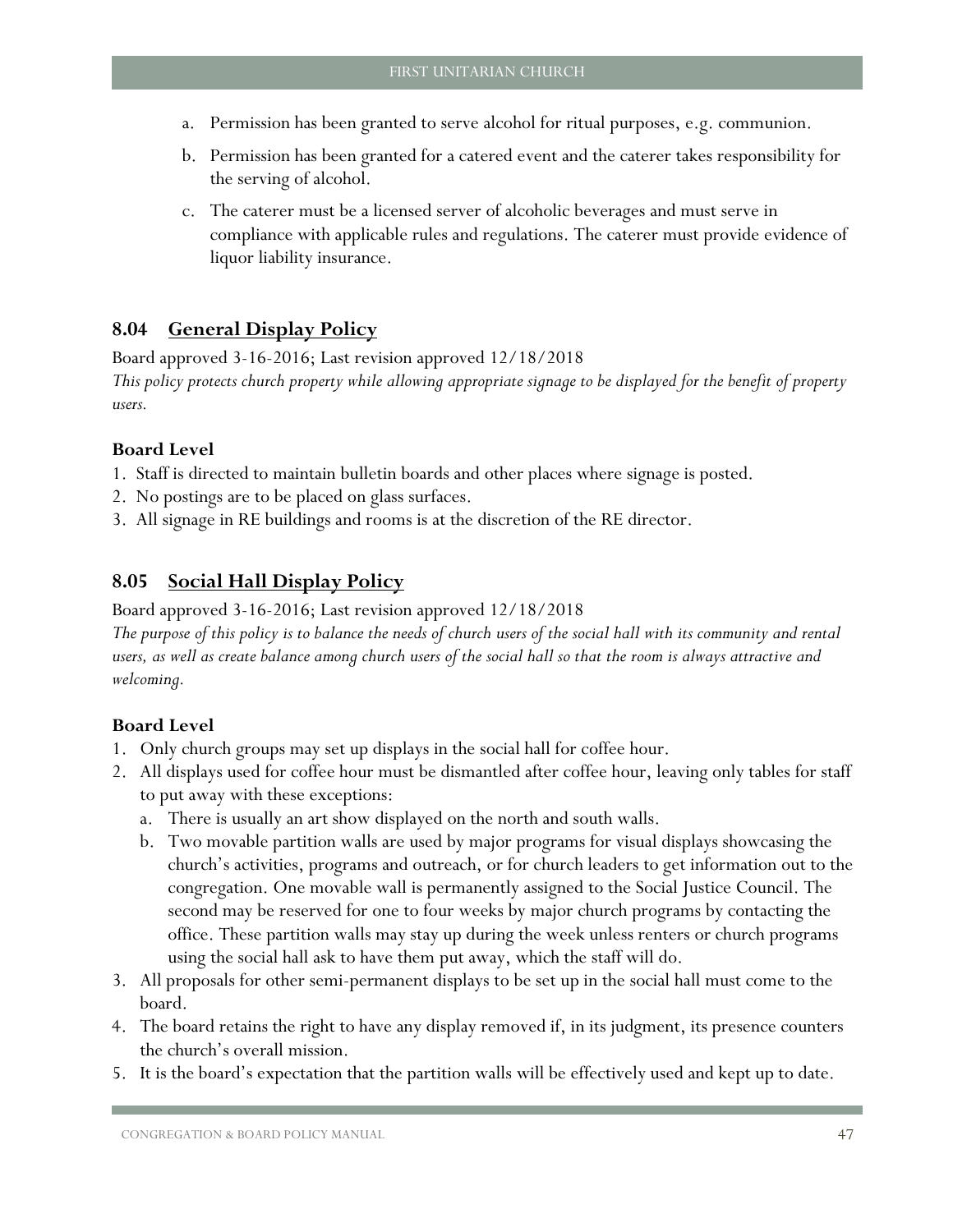- a. Permission has been granted to serve alcohol for ritual purposes, e.g. communion.
- b. Permission has been granted for a catered event and the caterer takes responsibility for the serving of alcohol.
- c. The caterer must be a licensed server of alcoholic beverages and must serve in compliance with applicable rules and regulations. The caterer must provide evidence of liquor liability insurance.

## <span id="page-48-0"></span>**8.04 General Display Policy**

Board approved 3-16-2016; Last revision approved 12/18/2018 *This policy protects church property while allowing appropriate signage to be displayed for the benefit of property users.*

## **Board Level**

- 1. Staff is directed to maintain bulletin boards and other places where signage is posted.
- 2. No postings are to be placed on glass surfaces.
- 3. All signage in RE buildings and rooms is at the discretion of the RE director.

## <span id="page-48-1"></span>**8.05 Social Hall Display Policy**

Board approved 3-16-2016; Last revision approved 12/18/2018

*The purpose of this policy is to balance the needs of church users of the social hall with its community and rental users, as well as create balance among church users of the social hall so that the room is always attractive and welcoming.*

- 1. Only church groups may set up displays in the social hall for coffee hour.
- 2. All displays used for coffee hour must be dismantled after coffee hour, leaving only tables for staff to put away with these exceptions:
	- a. There is usually an art show displayed on the north and south walls.
	- b. Two movable partition walls are used by major programs for visual displays showcasing the church's activities, programs and outreach, or for church leaders to get information out to the congregation. One movable wall is permanently assigned to the Social Justice Council. The second may be reserved for one to four weeks by major church programs by contacting the office. These partition walls may stay up during the week unless renters or church programs using the social hall ask to have them put away, which the staff will do.
- 3. All proposals for other semi-permanent displays to be set up in the social hall must come to the board.
- 4. The board retains the right to have any display removed if, in its judgment, its presence counters the church's overall mission.
- 5. It is the board's expectation that the partition walls will be effectively used and kept up to date.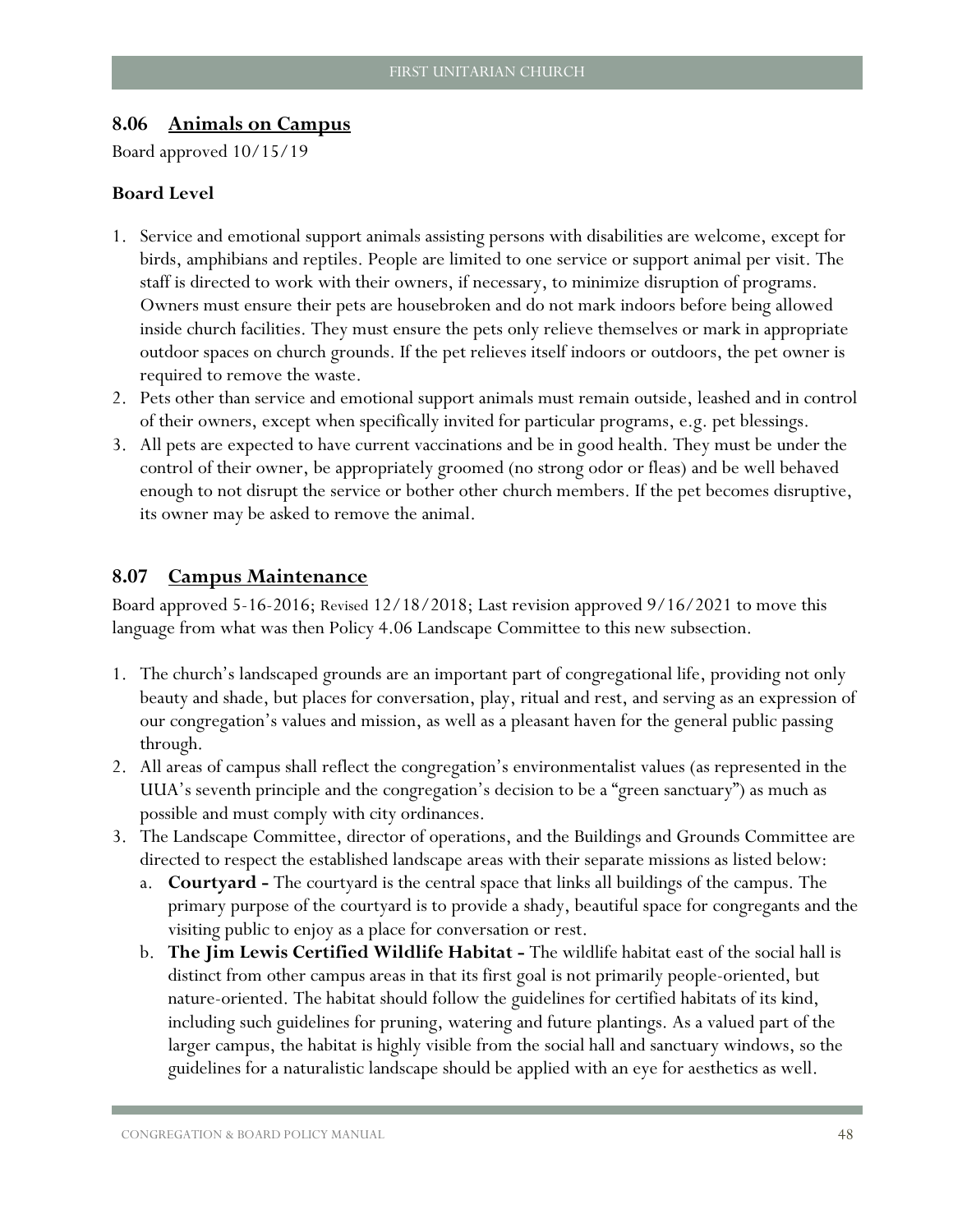#### <span id="page-49-0"></span>**8.06 Animals on Campus**

Board approved 10/15/19

#### **Board Level**

- 1. Service and emotional support animals assisting persons with disabilities are welcome, except for birds, amphibians and reptiles. People are limited to one service or support animal per visit. The staff is directed to work with their owners, if necessary, to minimize disruption of programs. Owners must ensure their pets are housebroken and do not mark indoors before being allowed inside church facilities. They must ensure the pets only relieve themselves or mark in appropriate outdoor spaces on church grounds. If the pet relieves itself indoors or outdoors, the pet owner is required to remove the waste.
- 2. Pets other than service and emotional support animals must remain outside, leashed and in control of their owners, except when specifically invited for particular programs, e.g. pet blessings.
- 3. All pets are expected to have current vaccinations and be in good health. They must be under the control of their owner, be appropriately groomed (no strong odor or fleas) and be well behaved enough to not disrupt the service or bother other church members. If the pet becomes disruptive, its owner may be asked to remove the animal.

#### <span id="page-49-1"></span>**8.07 Campus Maintenance**

Board approved 5-16-2016; Revised 12/18/2018; Last revision approved 9/16/2021 to move this language from what was then Policy 4.06 Landscape Committee to this new subsection.

- 1. The church's landscaped grounds are an important part of congregational life, providing not only beauty and shade, but places for conversation, play, ritual and rest, and serving as an expression of our congregation's values and mission, as well as a pleasant haven for the general public passing through.
- 2. All areas of campus shall reflect the congregation's environmentalist values (as represented in the UUA's seventh principle and the congregation's decision to be a "green sanctuary") as much as possible and must comply with city ordinances.
- 3. The Landscape Committee, director of operations, and the Buildings and Grounds Committee are directed to respect the established landscape areas with their separate missions as listed below:
	- a. **Courtyard -** The courtyard is the central space that links all buildings of the campus. The primary purpose of the courtyard is to provide a shady, beautiful space for congregants and the visiting public to enjoy as a place for conversation or rest.
	- b. **The Jim Lewis Certified Wildlife Habitat -** The wildlife habitat east of the social hall is distinct from other campus areas in that its first goal is not primarily people-oriented, but nature-oriented. The habitat should follow the guidelines for certified habitats of its kind, including such guidelines for pruning, watering and future plantings. As a valued part of the larger campus, the habitat is highly visible from the social hall and sanctuary windows, so the guidelines for a naturalistic landscape should be applied with an eye for aesthetics as well.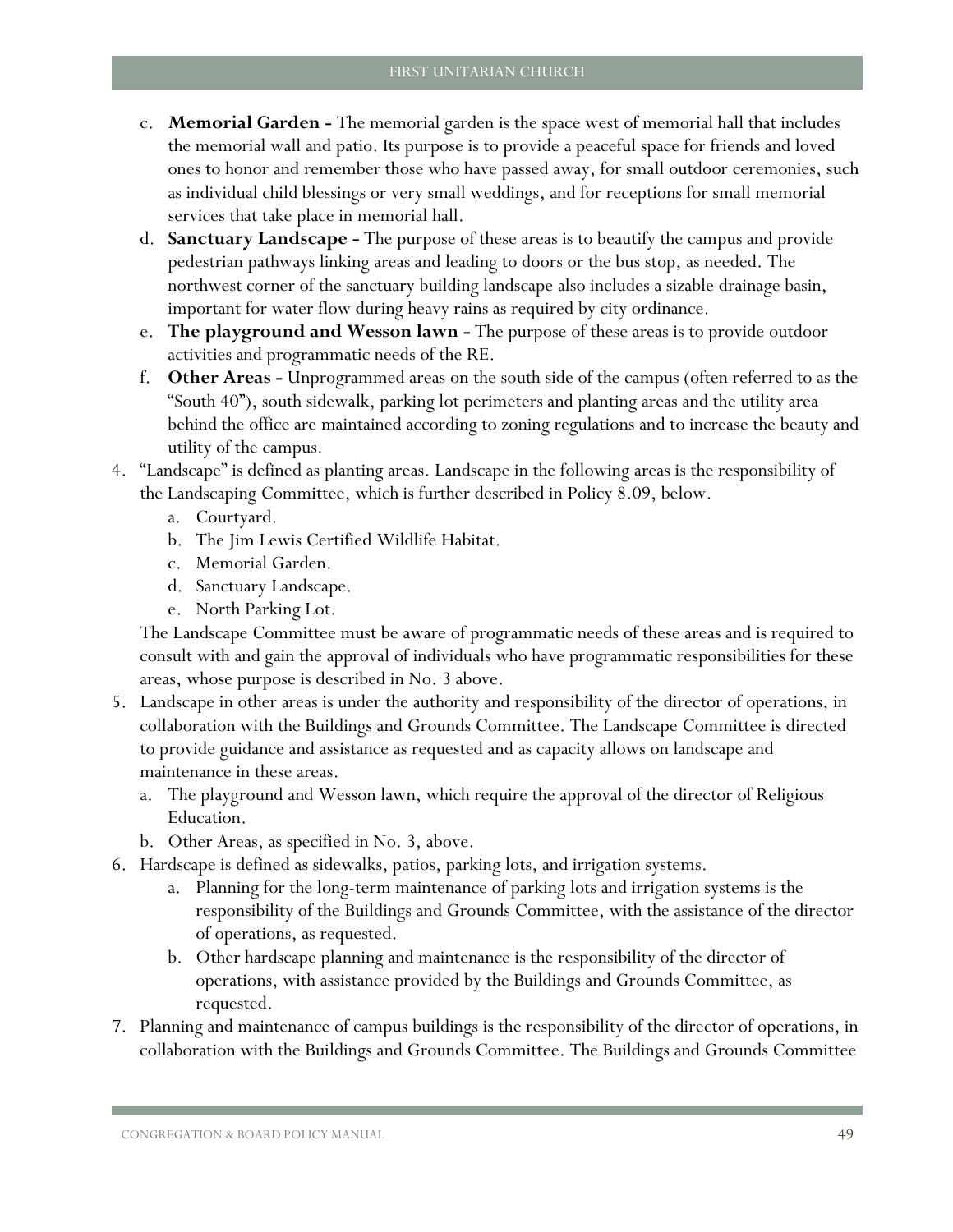- c. **Memorial Garden -** The memorial garden is the space west of memorial hall that includes the memorial wall and patio. Its purpose is to provide a peaceful space for friends and loved ones to honor and remember those who have passed away, for small outdoor ceremonies, such as individual child blessings or very small weddings, and for receptions for small memorial services that take place in memorial hall.
- d. **Sanctuary Landscape -** The purpose of these areas is to beautify the campus and provide pedestrian pathways linking areas and leading to doors or the bus stop, as needed. The northwest corner of the sanctuary building landscape also includes a sizable drainage basin, important for water flow during heavy rains as required by city ordinance.
- e. **The playground and Wesson lawn -** The purpose of these areas is to provide outdoor activities and programmatic needs of the RE.
- f. **Other Areas -** Unprogrammed areas on the south side of the campus (often referred to as the "South 40"), south sidewalk, parking lot perimeters and planting areas and the utility area behind the office are maintained according to zoning regulations and to increase the beauty and utility of the campus.
- 4. "Landscape" is defined as planting areas. Landscape in the following areas is the responsibility of the Landscaping Committee, which is further described in Policy [8.09, below.](#page-51-1)
	- a. Courtyard.
	- b. The Jim Lewis Certified Wildlife Habitat.
	- c. Memorial Garden.
	- d. Sanctuary Landscape.
	- e. North Parking Lot.

The Landscape Committee must be aware of programmatic needs of these areas and is required to consult with and gain the approval of individuals who have programmatic responsibilities for these areas, whose purpose is described in No. 3 above.

- 5. Landscape in other areas is under the authority and responsibility of the director of operations, in collaboration with the Buildings and Grounds Committee. The Landscape Committee is directed to provide guidance and assistance as requested and as capacity allows on landscape and maintenance in these areas.
	- a. The playground and Wesson lawn, which require the approval of the director of Religious Education.
	- b. Other Areas, as specified in No. 3, above.
- 6. Hardscape is defined as sidewalks, patios, parking lots, and irrigation systems.
	- a. Planning for the long-term maintenance of parking lots and irrigation systems is the responsibility of the Buildings and Grounds Committee, with the assistance of the director of operations, as requested.
	- b. Other hardscape planning and maintenance is the responsibility of the director of operations, with assistance provided by the Buildings and Grounds Committee, as requested.
- 7. Planning and maintenance of campus buildings is the responsibility of the director of operations, in collaboration with the Buildings and Grounds Committee. The Buildings and Grounds Committee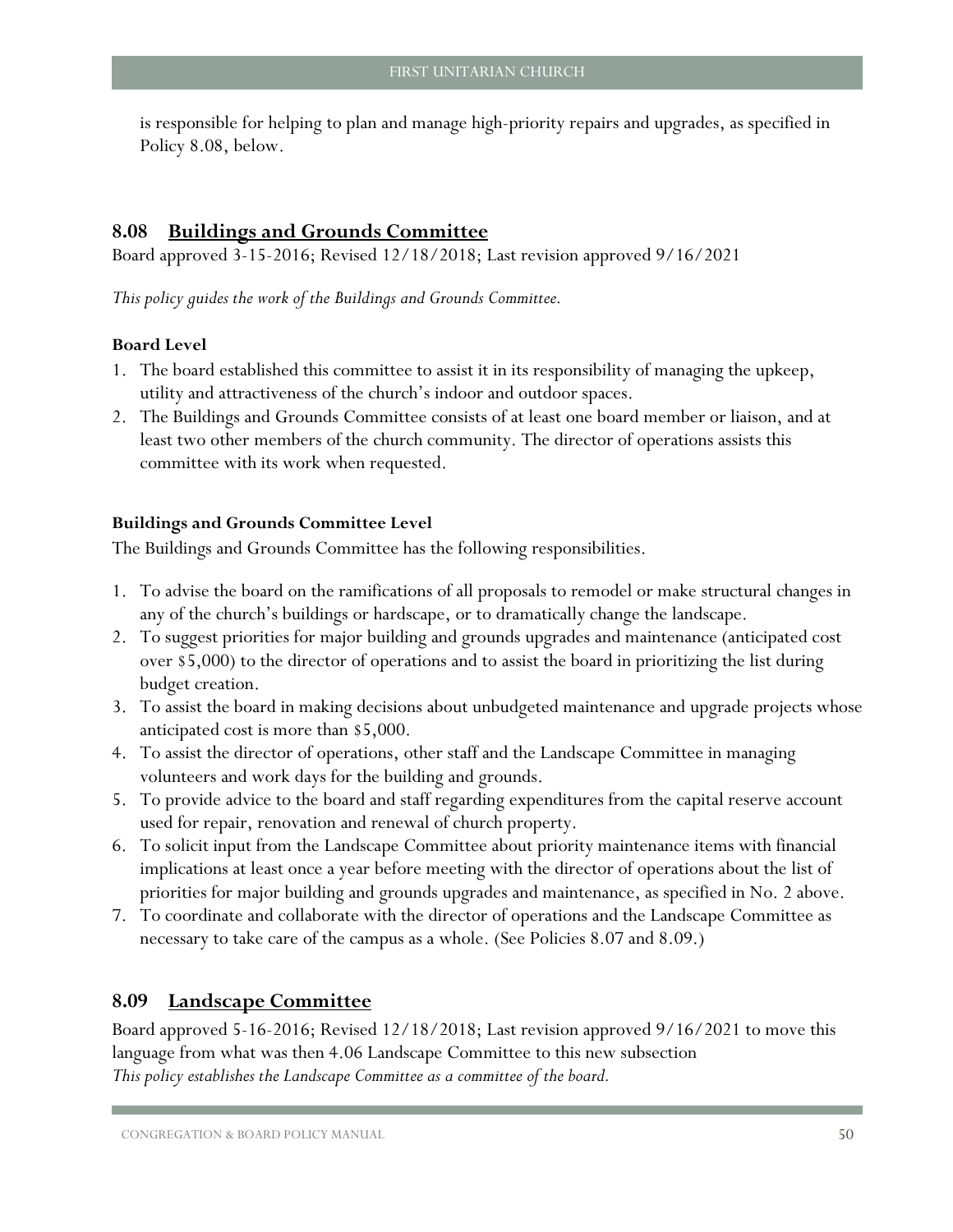is responsible for helping to plan and manage high-priority repairs and upgrades, as specified in Policy [8.08, below.](#page-51-0)

## <span id="page-51-0"></span>**8.08 Buildings and Grounds Committee**

Board approved 3-15-2016; Revised 12/18/2018; Last revision approved 9/16/2021

*This policy guides the work of the Buildings and Grounds Committee.* 

#### **Board Level**

- 1. The board established this committee to assist it in its responsibility of managing the upkeep, utility and attractiveness of the church's indoor and outdoor spaces.
- 2. The Buildings and Grounds Committee consists of at least one board member or liaison, and at least two other members of the church community. The director of operations assists this committee with its work when requested.

## **Buildings and Grounds Committee Level**

The Buildings and Grounds Committee has the following responsibilities.

- 1. To advise the board on the ramifications of all proposals to remodel or make structural changes in any of the church's buildings or hardscape, or to dramatically change the landscape.
- 2. To suggest priorities for major building and grounds upgrades and maintenance (anticipated cost over \$5,000) to the director of operations and to assist the board in prioritizing the list during budget creation.
- 3. To assist the board in making decisions about unbudgeted maintenance and upgrade projects whose anticipated cost is more than \$5,000.
- 4. To assist the director of operations, other staff and the Landscape Committee in managing volunteers and work days for the building and grounds.
- 5. To provide advice to the board and staff regarding expenditures from the capital reserve account used for repair, renovation and renewal of church property.
- 6. To solicit input from the Landscape Committee about priority maintenance items with financial implications at least once a year before meeting with the director of operations about the list of priorities for major building and grounds upgrades and maintenance, as specified in No. 2 above.
- 7. To coordinate and collaborate with the director of operations and the Landscape Committee as necessary to take care of the campus as a whole. (See Policies [8.07](#page-49-1) and [8.09.](#page-51-1))

## <span id="page-51-1"></span>**8.09 Landscape Committee**

Board approved 5-16-2016; Revised 12/18/2018; Last revision approved 9/16/2021 to move this language from what was then 4.06 Landscape Committee to this new subsection *This policy establishes the Landscape Committee as a committee of the board.*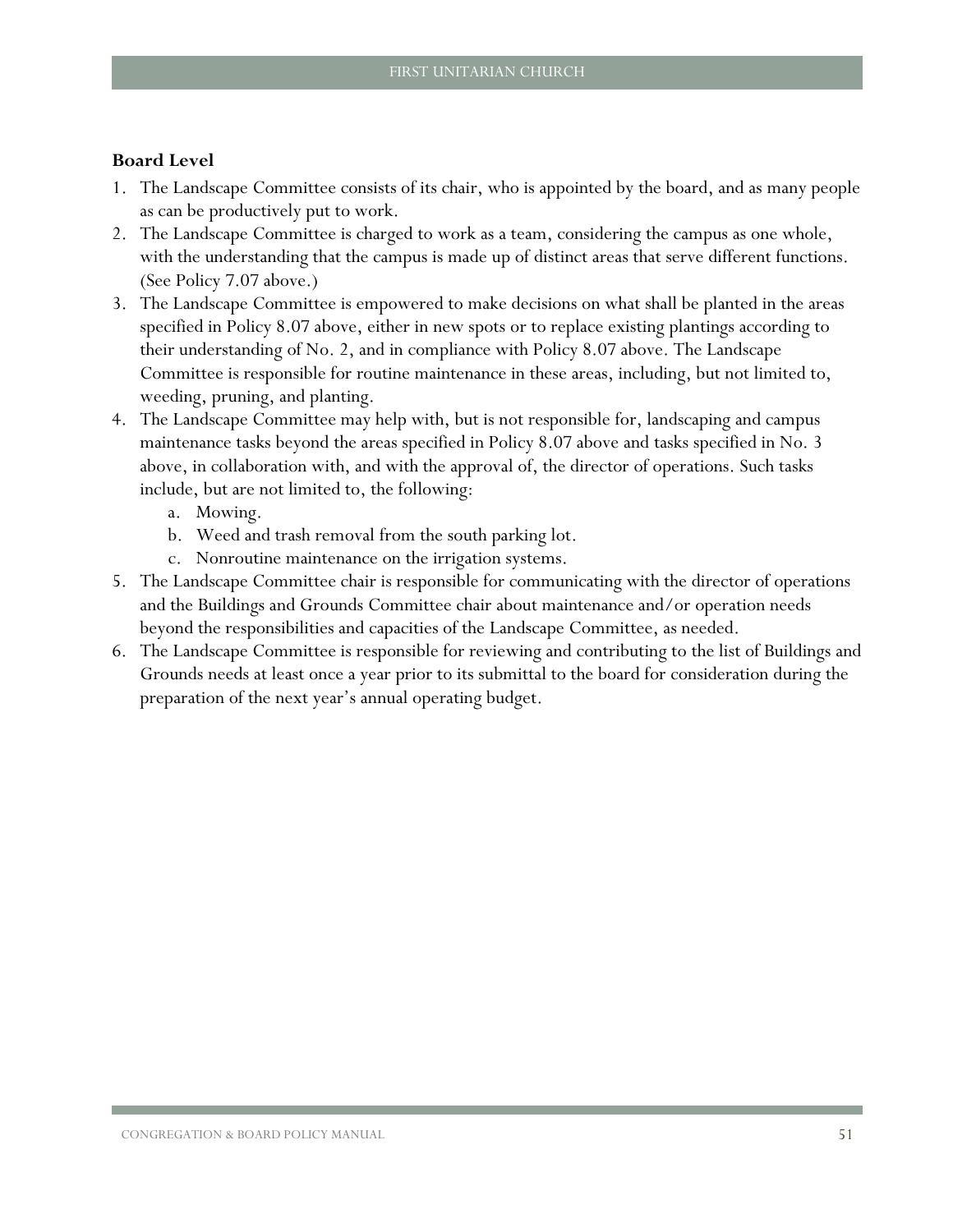- 1. The Landscape Committee consists of its chair, who is appointed by the board, and as many people as can be productively put to work.
- <span id="page-52-0"></span>2. The Landscape Committee is charged to work as a team, considering the campus as one whole, with the understanding that the campus is made up of distinct areas that serve different functions. (See Policy 7.07 above.)
- <span id="page-52-1"></span>3. The Landscape Committee is empowered to make decisions on what shall be planted in the areas specified in Policy [8.07](#page-49-1) [above,](#page-49-1) either in new spots or to replace existing plantings according to their understanding of No. [2,](#page-52-0) and in compliance with Policy [8.07](#page-49-1) [above.](#page-49-1) The Landscape Committee is responsible for routine maintenance in these areas, including, but not limited to, weeding, pruning, and planting.
- 4. The Landscape Committee may help with, but is not responsible for, landscaping and campus maintenance tasks beyond the areas specified in Policy [8.07](#page-49-1) [above](#page-49-1) and tasks specified in No. [3](#page-52-1) above, in collaboration with, and with the approval of, the director of operations. Such tasks include, but are not limited to, the following:
	- a. Mowing.
	- b. Weed and trash removal from the south parking lot.
	- c. Nonroutine maintenance on the irrigation systems.
- 5. The Landscape Committee chair is responsible for communicating with the director of operations and the Buildings and Grounds Committee chair about maintenance and/or operation needs beyond the responsibilities and capacities of the Landscape Committee, as needed.
- 6. The Landscape Committee is responsible for reviewing and contributing to the list of Buildings and Grounds needs at least once a year prior to its submittal to the board for consideration during the preparation of the next year's annual operating budget.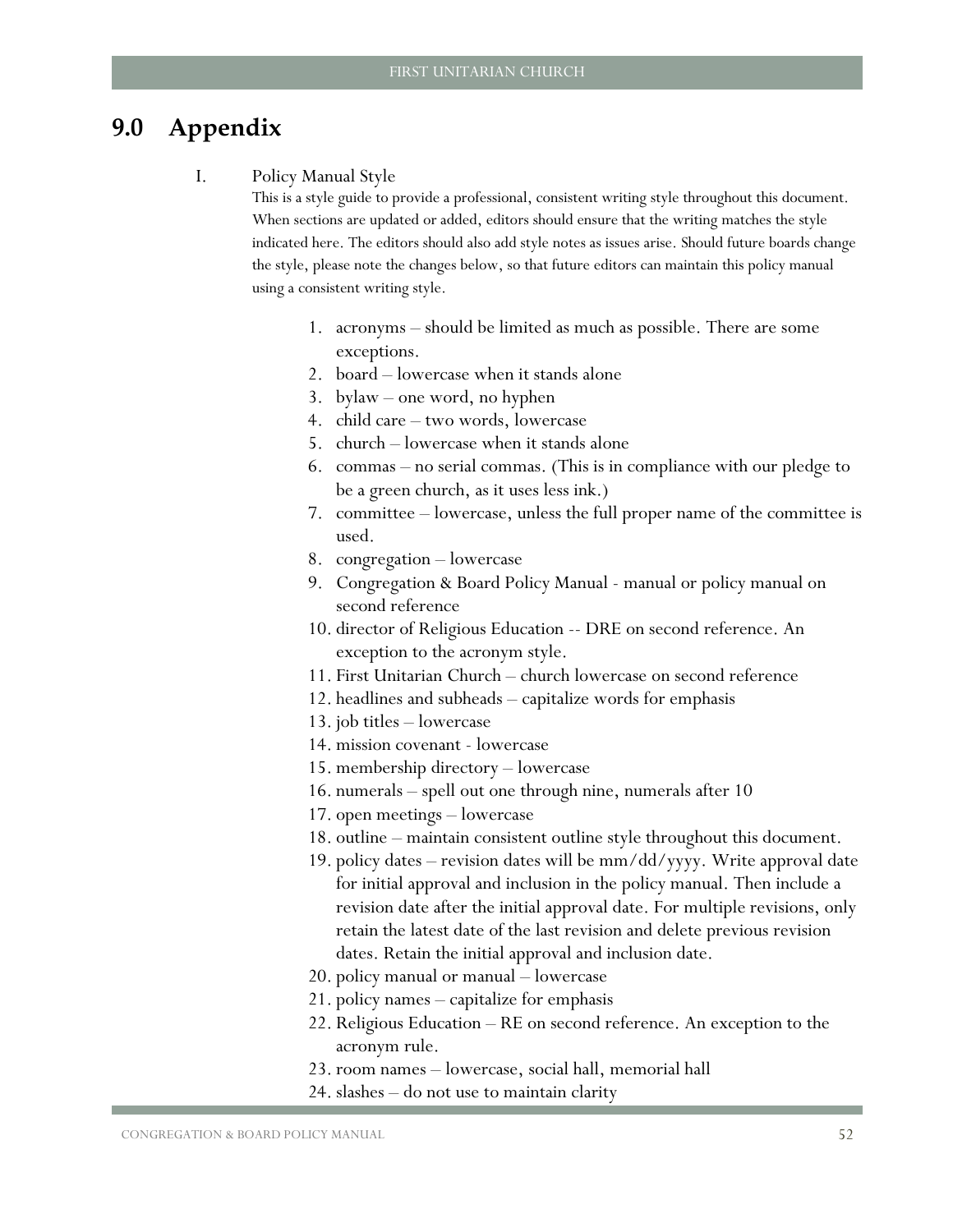## <span id="page-53-0"></span>**9.0 Appendix**

#### I. Policy Manual Style

This is a style guide to provide a professional, consistent writing style throughout this document. When sections are updated or added, editors should ensure that the writing matches the style indicated here. The editors should also add style notes as issues arise. Should future boards change the style, please note the changes below, so that future editors can maintain this policy manual using a consistent writing style.

- 1. acronyms should be limited as much as possible. There are some exceptions.
- 2. board lowercase when it stands alone
- 3. bylaw one word, no hyphen
- 4. child care two words, lowercase
- 5. church lowercase when it stands alone
- 6. commas no serial commas. (This is in compliance with our pledge to be a green church, as it uses less ink.)
- 7. committee lowercase, unless the full proper name of the committee is used.
- 8. congregation lowercase
- 9. Congregation & Board Policy Manual manual or policy manual on second reference
- 10. director of Religious Education -- DRE on second reference. An exception to the acronym style.
- 11. First Unitarian Church church lowercase on second reference
- 12. headlines and subheads capitalize words for emphasis
- 13. job titles lowercase
- 14. mission covenant lowercase
- 15. membership directory lowercase
- 16. numerals spell out one through nine, numerals after 10
- 17. open meetings lowercase
- 18. outline maintain consistent outline style throughout this document.
- 19. policy dates revision dates will be mm/dd/yyyy. Write approval date for initial approval and inclusion in the policy manual. Then include a revision date after the initial approval date. For multiple revisions, only retain the latest date of the last revision and delete previous revision dates. Retain the initial approval and inclusion date.
- 20. policy manual or manual lowercase
- 21. policy names capitalize for emphasis
- 22. Religious Education RE on second reference. An exception to the acronym rule.
- 23. room names lowercase, social hall, memorial hall
- 24. slashes do not use to maintain clarity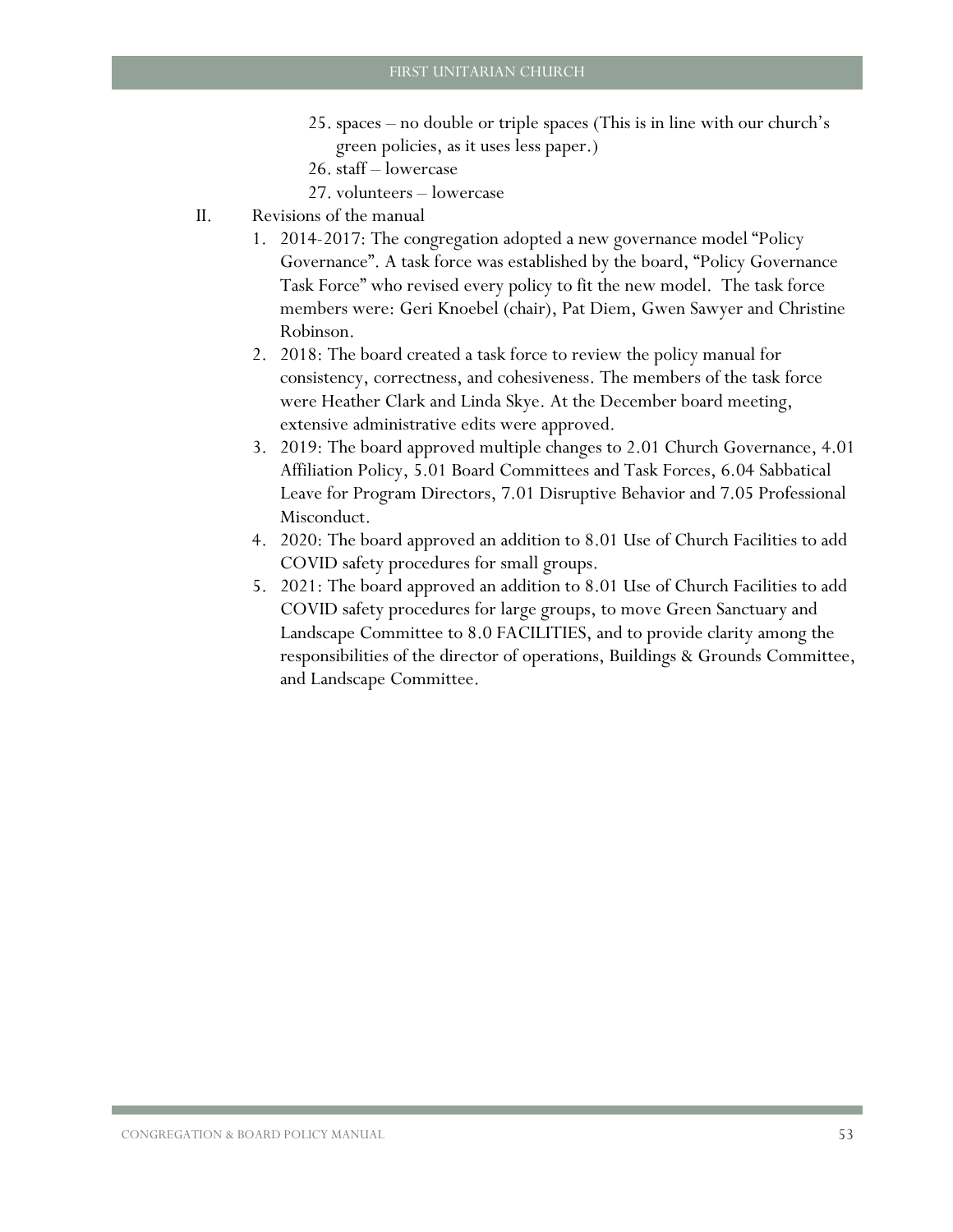- 25. spaces no double or triple spaces (This is in line with our church's green policies, as it uses less paper.)
- 26. staff lowercase
- 27. volunteers lowercase
- II. Revisions of the manual
	- 1. 2014-2017: The congregation adopted a new governance model "Policy Governance". A task force was established by the board, "Policy Governance Task Force" who revised every policy to fit the new model. The task force members were: Geri Knoebel (chair), Pat Diem, Gwen Sawyer and Christine Robinson.
	- 2. 2018: The board created a task force to review the policy manual for consistency, correctness, and cohesiveness. The members of the task force were Heather Clark and Linda Skye. At the December board meeting, extensive administrative edits were approved.
	- 3. 2019: The board approved multiple changes to [2.01](#page-7-1) [Church Governance,](#page-7-1) [4.01](#page-25-1) [Affiliation](#page-25-1) Policy, [5.01](#page-28-1) Board Committees [and Task Forces,](#page-28-1) [6.04](#page-34-1) [Sabbatical](#page-34-1)  [Leave for Program Directors,](#page-34-1) [7.01](#page-36-1) [Disruptive Behavior](#page-36-1) and [7.05](#page-43-0) [Professional](#page-43-0)  [Misconduct.](#page-43-0)
	- 4. 2020: The board approved an addition to [8.01](#page-46-1) Use [of Church Facilities](#page-46-1) to add COVID safety procedures for small groups.
	- 5. 2021: The board approved an addition to [8.01](#page-46-1) Use [of Church Facilities](#page-46-1) to add COVID safety procedures for large groups, to move Green Sanctuary and Landscape Committee to [8.0](#page-46-0) [FACILITIES,](#page-46-0) and to provide clarity among the responsibilities of the director of operations, Buildings & Grounds Committee, and Landscape Committee.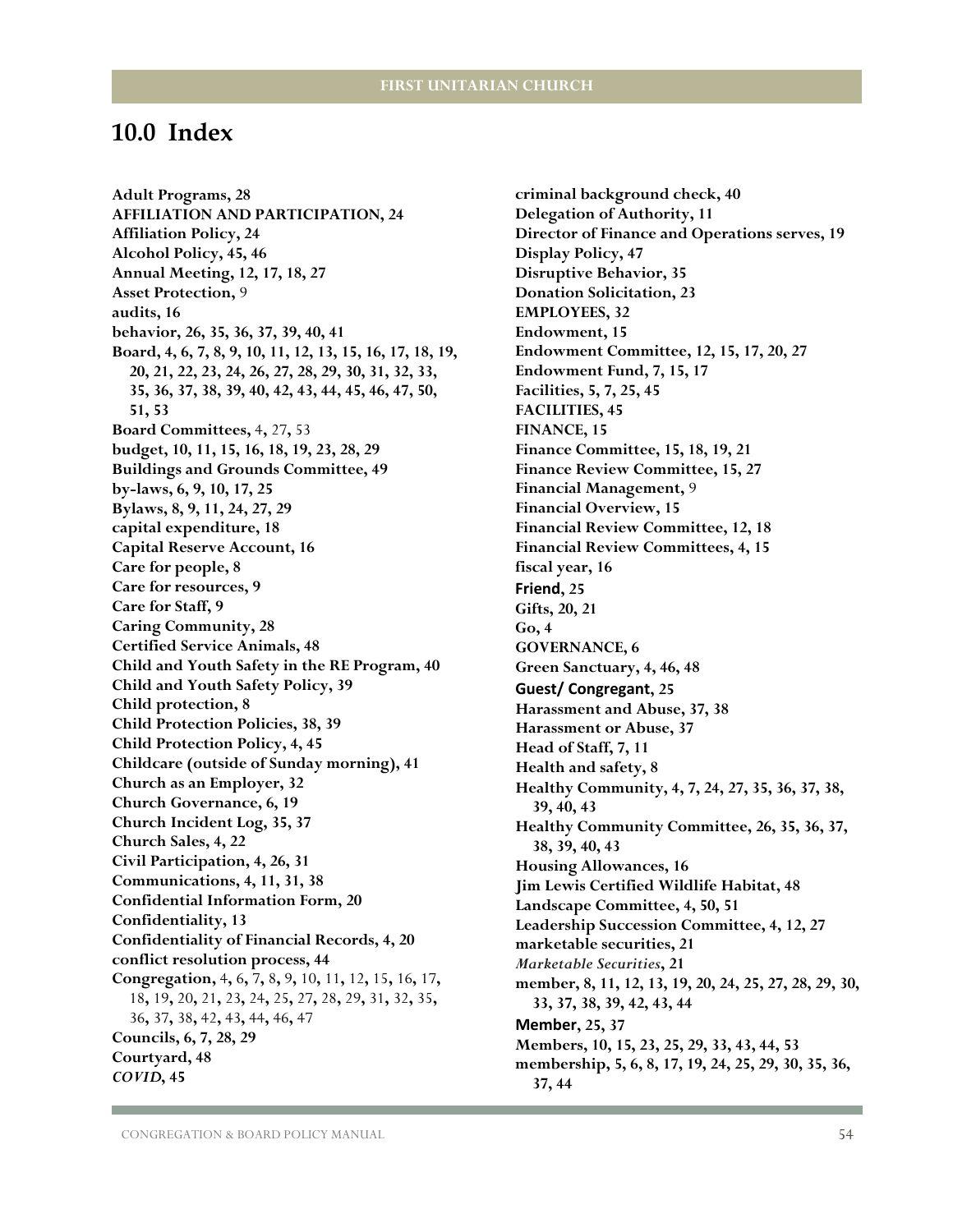## <span id="page-55-0"></span>**10.0 Index**

**Adult Programs, 28 AFFILIATION AND PARTICIPATION, 24 Affiliation Policy, 24 Alcohol Policy, 45, 46 Annual Meeting, 12, 17, 18, 27 Asset Protection,** 9 **audits, 16 behavior, 26, 35, 36, 37, 39, 40, 41 Board, 4, 6, 7, 8, 9, 10, 11, 12, 13, 15, 16, 17, 18, 19, 20, 21, 22, 23, 24, 26, 27, 28, 29, 30, 31, 32, 33, 35, 36, 37, 38, 39, 40, 42, 43, 44, 45, 46, 47, 50, 51, 53 Board Committees,** 4**,** 27**,** 53 **budget, 10, 11, 15, 16, 18, 19, 23, 28, 29 Buildings and Grounds Committee, 49 by-laws, 6, 9, 10, 17, 25 Bylaws, 8, 9, 11, 24, 27, 29 capital expenditure, 18 Capital Reserve Account, 16 Care for people, 8 Care for resources, 9 Care for Staff, 9 Caring Community, 28 Certified Service Animals, 48 Child and Youth Safety in the RE Program, 40 Child and Youth Safety Policy, 39 Child protection, 8 Child Protection Policies, 38, 39 Child Protection Policy, 4, 45 Childcare (outside of Sunday morning), 41 Church as an Employer, 32 Church Governance, 6, 19 Church Incident Log, 35, 37 Church Sales, 4, 22 Civil Participation, 4, 26, 31 Communications, 4, 11, 31, 38 Confidential Information Form, 20 Confidentiality, 13 Confidentiality of Financial Records, 4, 20 conflict resolution process, 44 Congregation,** 4**,** 6**,** 7**,** 8**,** 9**,** 10**,** 11**,** 12**,** 15**,** 16**,** 17**,**  18**,** 19**,** 20**,** 21**,** 23**,** 24**,** 25**,** 27**,** 28**,** 29**,** 31**,** 32**,** 35**,**  36**,** 37**,** 38**,** 42**,** 43**,** 44**,** 46**,** 47 **Councils, 6, 7, 28, 29 Courtyard, 48** *COVID***, 45**

**criminal background check, 40 Delegation of Authority, 11 Director of Finance and Operations serves, 19 Display Policy, 47 Disruptive Behavior, 35 Donation Solicitation, 23 EMPLOYEES, 32 Endowment, 15 Endowment Committee, 12, 15, 17, 20, 27 Endowment Fund, 7, 15, 17 Facilities, 5, 7, 25, 45 FACILITIES, 45 FINANCE, 15 Finance Committee, 15, 18, 19, 21 Finance Review Committee, 15, 27 Financial Management,** 9 **Financial Overview, 15 Financial Review Committee, 12, 18 Financial Review Committees, 4, 15 fiscal year, 16 Friend, 25 Gifts, 20, 21 Go, 4 GOVERNANCE, 6 Green Sanctuary, 4, 46, 48 Guest/ Congregant, 25 Harassment and Abuse, 37, 38 Harassment or Abuse, 37 Head of Staff, 7, 11 Health and safety, 8 Healthy Community, 4, 7, 24, 27, 35, 36, 37, 38, 39, 40, 43 Healthy Community Committee, 26, 35, 36, 37, 38, 39, 40, 43 Housing Allowances, 16 Jim Lewis Certified Wildlife Habitat, 48 Landscape Committee, 4, 50, 51 Leadership Succession Committee, 4, 12, 27 marketable securities, 21** *Marketable Securities***, 21 member, 8, 11, 12, 13, 19, 20, 24, 25, 27, 28, 29, 30, 33, 37, 38, 39, 42, 43, 44 Member, 25, 37 Members, 10, 15, 23, 25, 29, 33, 43, 44, 53 membership, 5, 6, 8, 17, 19, 24, 25, 29, 30, 35, 36, 37, 44**